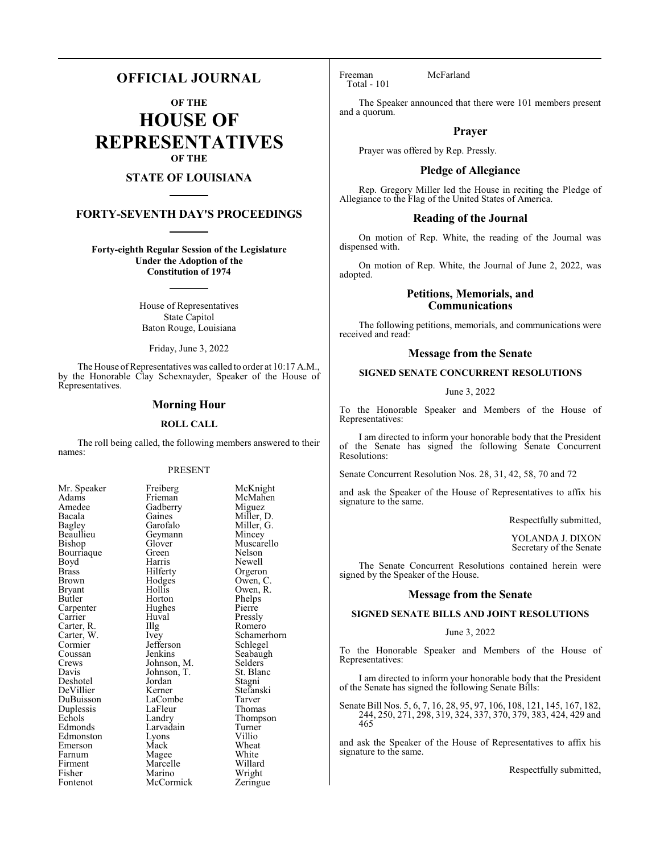## **OFFICIAL JOURNAL**

**OF THE**

**HOUSE OF REPRESENTATIVES OF THE**

## **STATE OF LOUISIANA**

## **FORTY-SEVENTH DAY'S PROCEEDINGS**

**Forty-eighth Regular Session of the Legislature Under the Adoption of the Constitution of 1974**

> House of Representatives State Capitol Baton Rouge, Louisiana

Friday, June 3, 2022

The House of Representatives was called to order at 10:17 A.M., by the Honorable Clay Schexnayder, Speaker of the House of Representatives.

## **Morning Hour**

### **ROLL CALL**

The roll being called, the following members answered to their names:

### PRESENT

McKnight McMahen Miguez Miller, D. Miller, G. Mincey Muscarello Nelson Newell Orgeron Owen, C. Owen, R. Phelps<br>Pierre

Pressly Romero Schamerhorn Schlegel Seabaugh Selders<sup>o</sup> St. Blanc Stagni Stefanski Tarver<br>Thomas

Thompson Turner<br>Villio

White Willard Wright Zeringue

| Mr. Speaker   | Freiberg    | McKnig    |
|---------------|-------------|-----------|
| Adams         | Frieman     | McMah     |
| Amedee        | Gadberry    | Miguez    |
| Bacala        | Gaines      | Miller, l |
| Bagley        | Garofalo    | Miller,   |
| Beaullieu     | Geymann     | Mincey    |
| Bishop        | Glover      | Muscare   |
| Bourriaque    | Green       | Nelson    |
| Boyd          | Harris      | Newell    |
| Brass         | Hilferty    | Orgeror   |
| Brown         | Hodges      | Owen, 0   |
| <b>Bryant</b> | Hollis      | Owen, I   |
| Butler        | Horton      | Phelps    |
| Carpenter     | Hughes      | Pierre    |
| Carrier       | Huval       | Pressly   |
| Carter, R.    | Illg        | Romero    |
| Carter, W.    | Ivey        | Schame    |
| Cormier       | Jefferson   | Schlege   |
| Coussan       | Jenkins     | Seabaug   |
| Crews         | Johnson, M. | Selders   |
| Davis         | Johnson, T. | St. Blan  |
| Deshotel      | Jordan      | Stagni    |
| DeVillier     | Kerner      | Stefansl  |
| DuBuisson     | LaCombe     | Tarver    |
| Duplessis     | LaFleur     | Thomas    |
| Echols        | Landry      | Thomps    |
| Edmonds       | Larvadain   | Turner    |
| Edmonston     | Lyons       | Villio    |
| Emerson       | Mack        | Wheat     |
| Farnum        | Magee       | White     |
| Firment       | Marcelle    | Willard   |
| Fisher        | Marino      | Wright    |
| Fontenot      | McCormick   | Zeringu   |
|               |             |           |

Freeman McFarland Total - 101

The Speaker announced that there were 101 members present and a quorum.

## **Prayer**

Prayer was offered by Rep. Pressly.

## **Pledge of Allegiance**

Rep. Gregory Miller led the House in reciting the Pledge of Allegiance to the Flag of the United States of America.

## **Reading of the Journal**

On motion of Rep. White, the reading of the Journal was dispensed with.

On motion of Rep. White, the Journal of June 2, 2022, was adopted.

## **Petitions, Memorials, and Communications**

The following petitions, memorials, and communications were received and read:

## **Message from the Senate**

## **SIGNED SENATE CONCURRENT RESOLUTIONS**

June 3, 2022

To the Honorable Speaker and Members of the House of Representatives:

I am directed to inform your honorable body that the President of the Senate has signed the following Senate Concurrent Resolutions:

Senate Concurrent Resolution Nos. 28, 31, 42, 58, 70 and 72

and ask the Speaker of the House of Representatives to affix his signature to the same.

Respectfully submitted,

YOLANDA J. DIXON Secretary of the Senate

The Senate Concurrent Resolutions contained herein were signed by the Speaker of the House.

### **Message from the Senate**

### **SIGNED SENATE BILLS AND JOINT RESOLUTIONS**

### June 3, 2022

To the Honorable Speaker and Members of the House of Representatives:

I am directed to inform your honorable body that the President of the Senate has signed the following Senate Bills:

Senate Bill Nos. 5, 6, 7, 16, 28, 95, 97, 106, 108, 121, 145, 167, 182, 244, 250, 271, 298, 319, 324, 337, 370, 379, 383, 424, 429 and 465

and ask the Speaker of the House of Representatives to affix his signature to the same.

Respectfully submitted,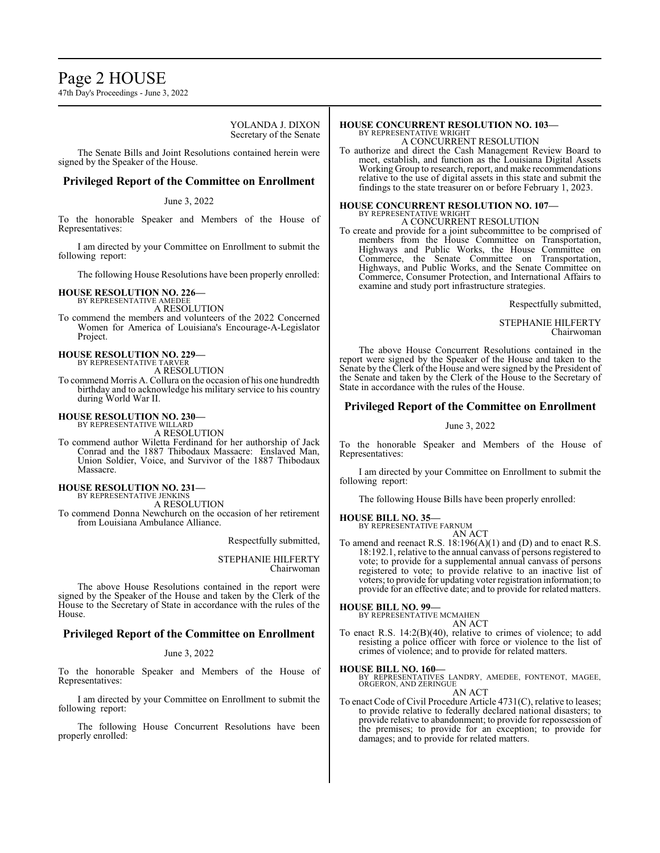## Page 2 HOUSE

47th Day's Proceedings - June 3, 2022

YOLANDA J. DIXON Secretary of the Senate

The Senate Bills and Joint Resolutions contained herein were signed by the Speaker of the House.

## **Privileged Report of the Committee on Enrollment**

### June 3, 2022

To the honorable Speaker and Members of the House of Representatives:

I am directed by your Committee on Enrollment to submit the following report:

The following House Resolutions have been properly enrolled:

### **HOUSE RESOLUTION NO. 226—**

BY REPRESENTATIVE AMEDEE A RESOLUTION

To commend the members and volunteers of the 2022 Concerned Women for America of Louisiana's Encourage-A-Legislator Project.

#### **HOUSE RESOLUTION NO. 229—** BY REPRESENTATIVE TARVER

A RESOLUTION

To commend Morris A. Collura on the occasion of his one hundredth birthday and to acknowledge his military service to his country during World War II.

## **HOUSE RESOLUTION NO. 230—** BY REPRESENTATIVE WILLARD

A RESOLUTION

To commend author Wiletta Ferdinand for her authorship of Jack Conrad and the 1887 Thibodaux Massacre: Enslaved Man, Union Soldier, Voice, and Survivor of the 1887 Thibodaux Massacre.

#### **HOUSE RESOLUTION NO. 231—** BY REPRESENTATIVE JENKINS

A RESOLUTION

To commend Donna Newchurch on the occasion of her retirement from Louisiana Ambulance Alliance.

Respectfully submitted,

STEPHANIE HILFERTY Chairwoman

The above House Resolutions contained in the report were signed by the Speaker of the House and taken by the Clerk of the House to the Secretary of State in accordance with the rules of the House.

## **Privileged Report of the Committee on Enrollment**

### June 3, 2022

To the honorable Speaker and Members of the House of Representatives:

I am directed by your Committee on Enrollment to submit the following report:

The following House Concurrent Resolutions have been properly enrolled:

## **HOUSE CONCURRENT RESOLUTION NO. 103—**

BY REPRESENTATIVE WRIGHT A CONCURRENT RESOLUTION

To authorize and direct the Cash Management Review Board to meet, establish, and function as the Louisiana Digital Assets Working Group to research, report, and make recommendations relative to the use of digital assets in this state and submit the findings to the state treasurer on or before February 1, 2023.

# **HOUSE CONCURRENT RESOLUTION NO. 107—** BY REPRESENTATIVE WRIGHT

A CONCURRENT RESOLUTION

To create and provide for a joint subcommittee to be comprised of members from the House Committee on Transportation, Highways and Public Works, the House Committee on Commerce, the Senate Committee on Transportation, Highways, and Public Works, and the Senate Committee on Commerce, Consumer Protection, and International Affairs to examine and study port infrastructure strategies.

Respectfully submitted,

STEPHANIE HILFERTY Chairwoman

The above House Concurrent Resolutions contained in the report were signed by the Speaker of the House and taken to the Senate by the Clerk of the House and were signed by the President of the Senate and taken by the Clerk of the House to the Secretary of State in accordance with the rules of the House.

## **Privileged Report of the Committee on Enrollment**

### June 3, 2022

To the honorable Speaker and Members of the House of Representatives:

I am directed by your Committee on Enrollment to submit the following report:

The following House Bills have been properly enrolled:

### **HOUSE BILL NO. 35—**

BY REPRESENTATIVE FARNUM

AN ACT To amend and reenact R.S. 18:196(A)(1) and (D) and to enact R.S. 18:192.1, relative to the annual canvass of persons registered to vote; to provide for a supplemental annual canvass of persons registered to vote; to provide relative to an inactive list of voters; to provide for updating voter registration information; to provide for an effective date; and to provide for related matters.

## **HOUSE BILL NO. 99—**

BY REPRESENTATIVE MCMAHEN

- AN ACT
- To enact R.S. 14:2(B)(40), relative to crimes of violence; to add resisting a police officer with force or violence to the list of crimes of violence; and to provide for related matters.

**HOUSE BILL NO. 160—** BY REPRESENTATIVES LANDRY, AMEDEE, FONTENOT, MAGEE, ORGERON, AND ZERINGUE

AN ACT

To enact Code of Civil Procedure Article 4731(C), relative to leases; to provide relative to federally declared national disasters; to provide relative to abandonment; to provide for repossession of the premises; to provide for an exception; to provide for damages; and to provide for related matters.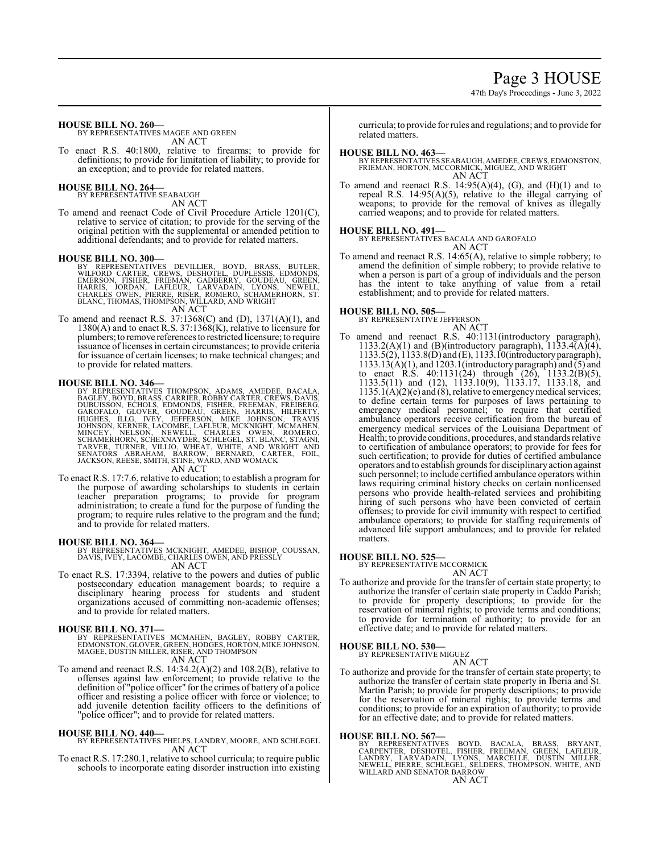## Page 3 HOUSE

47th Day's Proceedings - June 3, 2022

**HOUSE BILL NO. 260—**

BY REPRESENTATIVES MAGEE AND GREEN AN ACT

To enact R.S. 40:1800, relative to firearms; to provide for definitions; to provide for limitation of liability; to provide for an exception; and to provide for related matters.

## **HOUSE BILL NO. 264—** BY REPRESENTATIVE SEABAUGH

AN ACT

To amend and reenact Code of Civil Procedure Article 1201(C), relative to service of citation; to provide for the serving of the original petition with the supplemental or amended petition to additional defendants; and to provide for related matters.

### **HOUSE BILL NO. 300—**

BY REPRESENTATIVES DEVILLIER, BOYD, BRASS, BUTLER,<br>WILFORD CARTER, CREWS, DESHOTEL, DUPLESSIS, EDMONDS,<br>EMERSON, FISHER, FRIEMAN, GADBERRY, GOUDEAU, GREEN,<br>HARRIS, JORDAN, LAFLEUR, LARVADAIN, LYONS, NEWELL,<br>CHARLES OWEN, P

To amend and reenact R.S. 37:1368(C) and (D), 1371(A)(1), and 1380(A) and to enact R.S. 37:1368(K), relative to licensure for plumbers; to remove references to restricted licensure; to require issuance of licenses in certain circumstances; to provide criteria for issuance of certain licenses; to make technical changes; and to provide for related matters.

**HOUSE BILL NO. 346—**<br>BY REPRESENTATIVES THOMPSON, ADAMS, AMEDEE, BACALA,<br>BAGLEY, BOYD, BRASS, CARRIER, ROBBY CARTER, CREWS, DAVIS,<br>DUBUISSON, ECHOLS, EDMONDS, FISHER, FREEMAN, FREIBERG,<br>GAROFALO, GLOVER, GOUDEAU, GREEN, H

To enact R.S. 17:7.6, relative to education; to establish a program for the purpose of awarding scholarships to students in certain teacher preparation programs; to provide for program administration; to create a fund for the purpose of funding the program; to require rules relative to the program and the fund; and to provide for related matters.

### **HOUSE BILL NO. 364—**

BY REPRESENTATIVES MCKNIGHT, AMEDEE, BISHOP, COUSSAN, DAVIS, IVEY, LACOMBE, CHARLES OWEN, AND PRESSLY AN ACT

To enact R.S. 17:3394, relative to the powers and duties of public postsecondary education management boards; to require a disciplinary hearing process for students and student organizations accused of committing non-academic offenses; and to provide for related matters.

## **HOUSE BILL NO. 371—**

BY REPRESENTATIVES MCMAHEN, BAGLEY, ROBBY CARTER,<br>EDMONSTON,GLOVER,GREEN,HODGES,HORTON,MIKEJOHNSON,<br>MAGEE,DUSTIN MILLER,RISER,ANDTHOMPSON AN ACT

To amend and reenact R.S.  $14:34.2(A)(2)$  and  $108.2(B)$ , relative to offenses against law enforcement; to provide relative to the definition of "police officer" for the crimes of battery of a police officer and resisting a police officer with force or violence; to add juvenile detention facility officers to the definitions of "police officer"; and to provide for related matters.

## **HOUSE BILL NO. 440—**

- BY REPRESENTATIVES PHELPS, LANDRY, MOORE, AND SCHLEGEL AN ACT
- To enact R.S. 17:280.1, relative to school curricula; to require public schools to incorporate eating disorder instruction into existing

curricula; to provide for rules and regulations; and to provide for related matters.

- **HOUSE BILL NO. 463—** BY REPRESENTATIVES SEABAUGH, AMEDEE,CREWS, EDMONSTON, FRIEMAN, HORTON, MCCORMICK, MIGUEZ, AND WRIGHT AN ACT
- To amend and reenact R.S.  $14:95(A)(4)$ , (G), and  $(H)(1)$  and to repeal R.S. 14:95(A)(5), relative to the illegal carrying of weapons; to provide for the removal of knives as illegally carried weapons; and to provide for related matters.

### **HOUSE BILL NO. 491—**

BY REPRESENTATIVES BACALA AND GAROFALO

AN ACT

To amend and reenact R.S. 14:65(A), relative to simple robbery; to amend the definition of simple robbery; to provide relative to when a person is part of a group of individuals and the person has the intent to take anything of value from a retail establishment; and to provide for related matters.

### **HOUSE BILL NO. 505—**

BY REPRESENTATIVE JEFFERSON AN ACT

To amend and reenact R.S. 40:1131(introductory paragraph), 1133.2(A)(1) and (B)(introductory paragraph),  $1133.4(A)(4)$ , 1133.5(2), 1133.8(D) and (E), 1133.10(introductoryparagraph),  $1133.13(A)(1)$ , and  $1203.1$  (introductory paragraph) and  $\overline{(5)}$  and to enact R.S. 40:1131(24) through (26), 1133.2(B)(5), 1133.5(11) and (12), 1133.10(9), 1133.17, 1133.18, and  $1135.1(A)(2)(e)$  and (8), relative to emergency medical services; to define certain terms for purposes of laws pertaining to emergency medical personnel; to require that certified ambulance operators receive certification from the bureau of emergency medical services of the Louisiana Department of Health; to provide conditions, procedures, and standards relative to certification of ambulance operators; to provide for fees for such certification; to provide for duties of certified ambulance operators and to establish grounds for disciplinaryaction against such personnel; to include certified ambulance operators within laws requiring criminal history checks on certain nonlicensed persons who provide health-related services and prohibiting hiring of such persons who have been convicted of certain offenses; to provide for civil immunity with respect to certified ambulance operators; to provide for staffing requirements of advanced life support ambulances; and to provide for related matters.

### **HOUSE BILL NO. 525—**

BY REPRESENTATIVE MCCORMICK

## AN ACT

To authorize and provide for the transfer of certain state property; to authorize the transfer of certain state property in Caddo Parish; to provide for property descriptions; to provide for the reservation of mineral rights; to provide terms and conditions; to provide for termination of authority; to provide for an effective date; and to provide for related matters.

### **HOUSE BILL NO. 530—**

BY REPRESENTATIVE MIGUEZ AN ACT

To authorize and provide for the transfer of certain state property; to authorize the transfer of certain state property in Iberia and St. Martin Parish; to provide for property descriptions; to provide for the reservation of mineral rights; to provide terms and conditions; to provide for an expiration of authority; to provide for an effective date; and to provide for related matters.

### **HOUSE BILL NO. 567—**

BY REPRESENTATIVES BOYD, BACALA, BRASS, BRYANT,<br>CARPENTER, DESHOTEL, FISHER, FREEMAN, GREEN, LAFLEUR,<br>LANDRY, LARVADAIN, LYONS, MARCELLE, DUSTIN MILLER,<br>NEWELL, PIERRE, SCHLEGEL, SELDERS, THOMPSON, WHITE, AND WILLARD AND SENATOR BARROW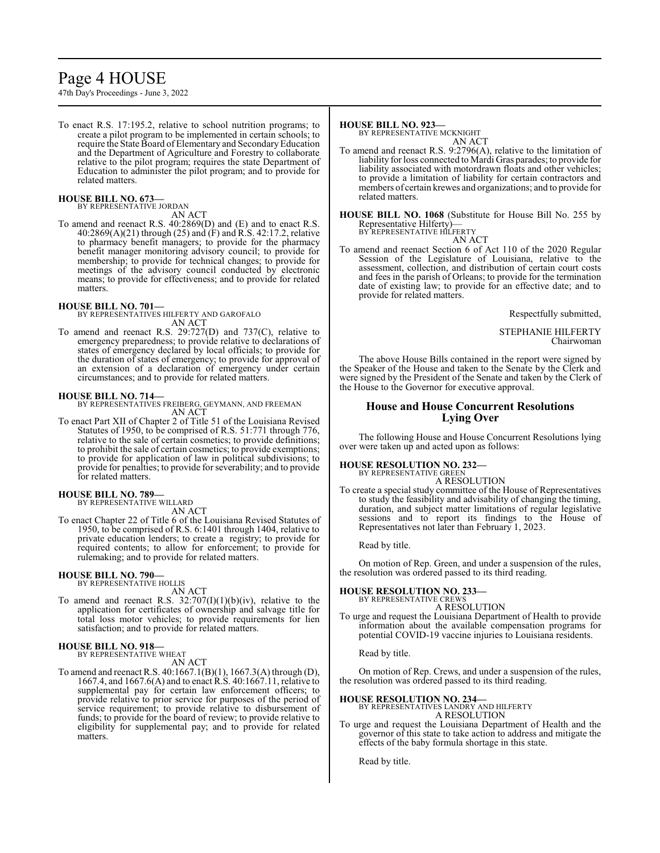# Page 4 HOUSE

47th Day's Proceedings - June 3, 2022

To enact R.S. 17:195.2, relative to school nutrition programs; to create a pilot program to be implemented in certain schools; to require the State Board of Elementary and SecondaryEducation and the Department of Agriculture and Forestry to collaborate relative to the pilot program; requires the state Department of Education to administer the pilot program; and to provide for related matters.

## **HOUSE BILL NO. 673—** BY REPRESENTATIVE JORDAN

AN ACT

To amend and reenact R.S. 40:2869(D) and (E) and to enact R.S. 40:2869(A)(21) through (25) and (F) and R.S. 42:17.2, relative to pharmacy benefit managers; to provide for the pharmacy benefit manager monitoring advisory council; to provide for membership; to provide for technical changes; to provide for meetings of the advisory council conducted by electronic means; to provide for effectiveness; and to provide for related matters.

### **HOUSE BILL NO. 701—**

BY REPRESENTATIVES HILFERTY AND GAROFALO AN ACT

To amend and reenact R.S. 29:727(D) and 737(C), relative to emergency preparedness; to provide relative to declarations of states of emergency declared by local officials; to provide for the duration of states of emergency; to provide for approval of an extension of a declaration of emergency under certain circumstances; and to provide for related matters.

### **HOUSE BILL NO. 714—**

BY REPRESENTATIVES FREIBERG, GEYMANN, AND FREEMAN AN ACT

To enact Part XII of Chapter 2 of Title 51 of the Louisiana Revised Statutes of 1950, to be comprised of R.S. 51:771 through 776, relative to the sale of certain cosmetics; to provide definitions; to prohibit the sale of certain cosmetics; to provide exemptions; to provide for application of law in political subdivisions; to provide for penalties; to provide for severability; and to provide for related matters.

## **HOUSE BILL NO. 789—** BY REPRESENTATIVE WILLARD

AN ACT

To enact Chapter 22 of Title 6 of the Louisiana Revised Statutes of 1950, to be comprised of R.S. 6:1401 through 1404, relative to private education lenders; to create a registry; to provide for required contents; to allow for enforcement; to provide for rulemaking; and to provide for related matters.

## **HOUSE BILL NO. 790—** BY REPRESENTATIVE HOLLIS

AN ACT

To amend and reenact R.S.  $32:707(I)(1)(b)(iv)$ , relative to the application for certificates of ownership and salvage title for total loss motor vehicles; to provide requirements for lien satisfaction; and to provide for related matters.

## **HOUSE BILL NO. 918—** BY REPRESENTATIVE WHEAT

AN ACT

To amend and reenact R.S. 40:1667.1(B)(1), 1667.3(A) through (D), 1667.4, and 1667.6(A) and to enact R.S. 40:1667.11, relative to supplemental pay for certain law enforcement officers; to provide relative to prior service for purposes of the period of service requirement; to provide relative to disbursement of funds; to provide for the board of review; to provide relative to eligibility for supplemental pay; and to provide for related matters.

### **HOUSE BILL NO. 923—**

BY REPRESENTATIVE MCKNIGHT AN ACT

To amend and reenact R.S. 9:2796(A), relative to the limitation of liability for loss connected to Mardi Gras parades; to provide for liability associated with motordrawn floats and other vehicles; to provide a limitation of liability for certain contractors and members of certain krewes and organizations; and to provide for related matters.

**HOUSE BILL NO. 1068** (Substitute for House Bill No. 255 by Representative Hilferty)— BY REPRESENTATIVE HILFERTY

AN ACT

To amend and reenact Section 6 of Act 110 of the 2020 Regular Session of the Legislature of Louisiana, relative to the assessment, collection, and distribution of certain court costs and fees in the parish of Orleans; to provide for the termination date of existing law; to provide for an effective date; and to provide for related matters.

Respectfully submitted,

STEPHANIE HILFERTY Chairwoman

The above House Bills contained in the report were signed by the Speaker of the House and taken to the Senate by the Clerk and were signed by the President of the Senate and taken by the Clerk of the House to the Governor for executive approval.

## **House and House Concurrent Resolutions Lying Over**

The following House and House Concurrent Resolutions lying over were taken up and acted upon as follows:

**HOUSE RESOLUTION NO. 232—**

BY REPRESENTATIVE GREEN

A RESOLUTION To create a special study committee of the House of Representatives to study the feasibility and advisability of changing the timing, duration, and subject matter limitations of regular legislative sessions and to report its findings to the House of Representatives not later than February 1, 2023.

Read by title.

On motion of Rep. Green, and under a suspension of the rules, the resolution was ordered passed to its third reading.

## **HOUSE RESOLUTION NO. 233—**

BY REPRESENTATIVE CREWS A RESOLUTION

To urge and request the Louisiana Department of Health to provide information about the available compensation programs for potential COVID-19 vaccine injuries to Louisiana residents.

Read by title.

On motion of Rep. Crews, and under a suspension of the rules, the resolution was ordered passed to its third reading.

### **HOUSE RESOLUTION NO. 234—**

BY REPRESENTATIVES LANDRY AND HILFERTY A RESOLUTION

To urge and request the Louisiana Department of Health and the governor of this state to take action to address and mitigate the effects of the baby formula shortage in this state.

Read by title.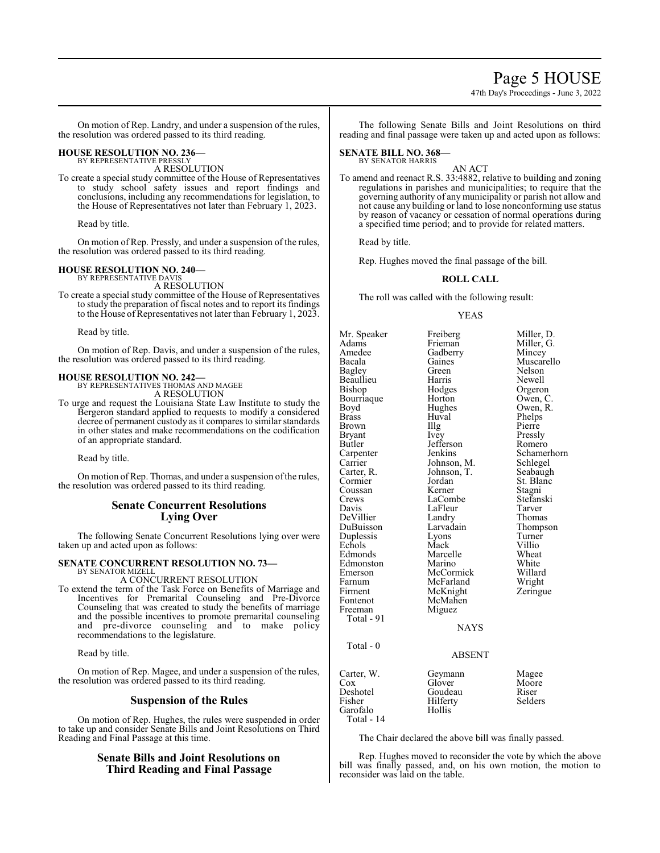## Page 5 HOUSE

47th Day's Proceedings - June 3, 2022

On motion of Rep. Landry, and under a suspension of the rules, the resolution was ordered passed to its third reading.

#### **HOUSE RESOLUTION NO. 236—** BY REPRESENTATIVE PRESSLY

A RESOLUTION

To create a special study committee of the House of Representatives to study school safety issues and report findings and conclusions, including any recommendations for legislation, to the House of Representatives not later than February 1, 2023.

Read by title.

On motion of Rep. Pressly, and under a suspension of the rules, the resolution was ordered passed to its third reading.

#### **HOUSE RESOLUTION NO. 240—** BY REPRESENTATIVE DAVIS

A RESOLUTION

To create a special study committee of the House of Representatives to study the preparation of fiscal notes and to report its findings to the House of Representatives not later than February 1, 2023.

Read by title.

On motion of Rep. Davis, and under a suspension of the rules, the resolution was ordered passed to its third reading.

# **HOUSE RESOLUTION NO. 242—** BY REPRESENTATIVES THOMAS AND MAGEE

A RESOLUTION

To urge and request the Louisiana State Law Institute to study the Bergeron standard applied to requests to modify a considered decree of permanent custody as it compares to similar standards in other states and make recommendations on the codification of an appropriate standard.

Read by title.

On motion of Rep. Thomas, and under a suspension ofthe rules, the resolution was ordered passed to its third reading.

## **Senate Concurrent Resolutions Lying Over**

The following Senate Concurrent Resolutions lying over were taken up and acted upon as follows:

### **SENATE CONCURRENT RESOLUTION NO. 73—** BY SENATOR MIZELL

A CONCURRENT RESOLUTION

To extend the term of the Task Force on Benefits of Marriage and Incentives for Premarital Counseling and Pre-Divorce Counseling that was created to study the benefits of marriage and the possible incentives to promote premarital counseling and pre-divorce counseling and to make policy recommendations to the legislature.

Read by title.

On motion of Rep. Magee, and under a suspension of the rules, the resolution was ordered passed to its third reading.

## **Suspension of the Rules**

On motion of Rep. Hughes, the rules were suspended in order to take up and consider Senate Bills and Joint Resolutions on Third Reading and Final Passage at this time.

## **Senate Bills and Joint Resolutions on Third Reading and Final Passage**

The following Senate Bills and Joint Resolutions on third reading and final passage were taken up and acted upon as follows:

#### **SENATE BILL NO. 368—** BY SENATOR HARRIS

AN ACT To amend and reenact R.S. 33:4882, relative to building and zoning regulations in parishes and municipalities; to require that the governing authority of any municipality or parish not allow and not cause any building or land to lose nonconforming use status by reason of vacancy or cessation of normal operations during a specified time period; and to provide for related matters.

Read by title.

Rep. Hughes moved the final passage of the bill.

## **ROLL CALL**

The roll was called with the following result:

## YEAS

Mr. Speaker Freiberg Miller, D.<br>Adams Frieman Miller, G. Adams Frieman Miller, G.<br>Amedee Gadberry Mincey Amedee Gadberry<br>Bacala Gaines Gaines Muscarello<br>Green Nelson Bagley Green Nelson<br>Beaullieu Harris Newell Beaullieu Harris<br>Bishop Hodges Bishop Hodges Orgeron<br>Bourriaque Horton Owen, C Bourriaque Horton Owen, C.<br>Boyd Hughes Owen, R. Boyd Hughes Owen, R.<br>Brass Huval Phelps Huval Phelps<br>Illg Pierre Brown Illg<br>Bryant Ivey Bryant Ivey Pressly<br>Butler Jefferson Romero Jefferson Romero<br>Jenkins Schamerhorn Carpenter Jenkins Schamer<br>Carrier Johnson, M. Schlegel Carrier Johnson, M. Schlegel Carter, R. Johnson, T. Cormier Jordan Jordan St. Blanc<br>Kerner Stagni Coussan Kerner Stagni<br>Crews LaCombe Stefanski Crews LaCombe Stefan:<br>
Davis LaFleur Tarver LaFleur Tarver<br>
Landrv Thomas DeVillier Landry<br>DuBuisson Larvadain Larvadain Thompson<br>Lyons Turner Duplessis Lyons Turner<br>
Echols Mack Villio Echols Mack Villio<br>Edmonds Marcelle Wheat Edmonds Marcelle Wheat<br>Edmonston Marino White Edmonston Marino White<br>
Emerson McCormick Willard Emerson McCormick Willard<br>Farnum McFarland Wright Farnum McFarland Wright<br>
Firment McKnight Zeringue Firment McKnight<br>Fontenot McMahen Fontenot McMahen<br>Freeman Miguez Miguez Total - 91 NAYS Total - 0 ABSENT

| Carter, W. | Geymann  | Magee   |
|------------|----------|---------|
| Cox        | Glover   | Moore   |
| Deshotel   | Goudeau  | Riser   |
| Fisher     | Hilferty | Selders |
| Garofalo   | Hollis   |         |
| Total - 14 |          |         |
|            |          |         |

The Chair declared the above bill was finally passed.

Rep. Hughes moved to reconsider the vote by which the above bill was finally passed, and, on his own motion, the motion to reconsider was laid on the table.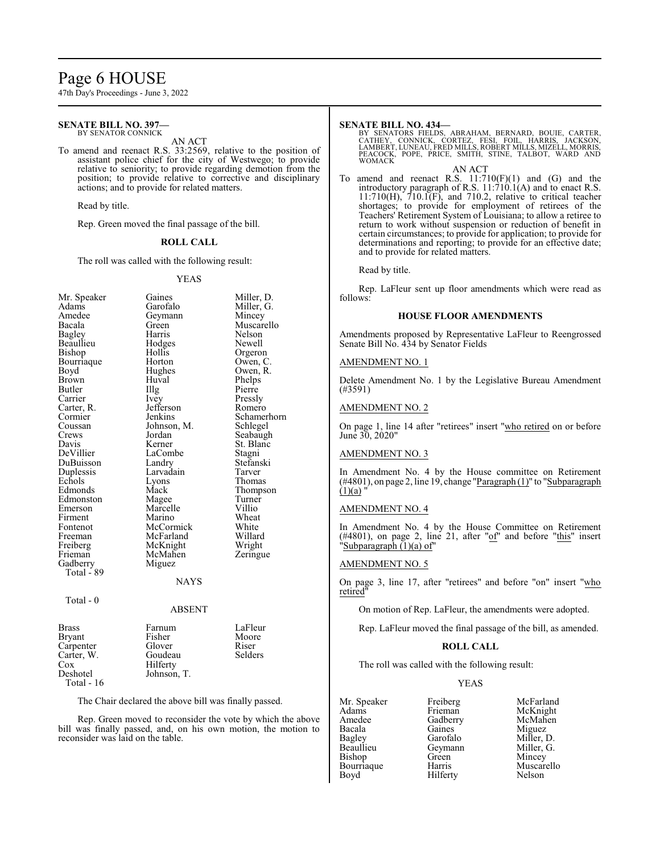## Page 6 HOUSE

47th Day's Proceedings - June 3, 2022

#### **SENATE BILL NO. 397—** BY SENATOR CONNICK

## AN ACT

To amend and reenact R.S. 33:2569, relative to the position of assistant police chief for the city of Westwego; to provide relative to seniority; to provide regarding demotion from the position; to provide relative to corrective and disciplinary actions; and to provide for related matters.

Read by title.

Rep. Green moved the final passage of the bill.

### **ROLL CALL**

The roll was called with the following result:

### YEAS

| Mr. Speaker    | Gaines      | Miller, D.  |
|----------------|-------------|-------------|
| Adams          | Garofalo    | Miller, G.  |
| Amedee         | Geymann     | Mincey      |
| Bacala         | Green       | Muscarello  |
| Bagley         | Harris      | Nelson      |
| Beaullieu      | Hodges      | Newell      |
| Bishop         | Hollis      | Orgeron     |
| Bourriaque     | Horton      | Owen, C.    |
| Boyd           | Hughes      | Owen, R.    |
| Brown          | Huval       | Phelps      |
| Butler         | Illg        | Pierre      |
| Carrier        | Ivey        | Pressly     |
| Carter, R.     | Jefferson   | Romero      |
| Cormier        | Jenkins     | Schamerhorn |
| Coussan        | Johnson, M. | Schlegel    |
| Crews          | Jordan      | Seabaugh    |
| Davis          | Kerner      | St. Blanc   |
| DeVillier      | LaCombe     | Stagni      |
| DuBuisson      | Landry      | Stefanski   |
| Duplessis      | Larvadain   | Tarver      |
| Echols         | Lyons       | Thomas      |
| Edmonds        | Mack        | Thompson    |
| Edmonston      | Magee       | Turner      |
| Emerson        | Marcelle    | Villio      |
| Firment        | Marino      | Wheat       |
| Fontenot       | McCormick   | White       |
| Freeman        | McFarland   | Willard     |
| Freiberg       | McKnight    | Wright      |
| Frieman        | McMahen     | Zeringue    |
| Gadberry       | Miguez      |             |
| Total - 89     |             |             |
|                | NAYS        |             |
| Total - 0      |             |             |
|                | ABSENT      |             |
| $\blacksquare$ |             | $T^*$<br>T. |

| <b>Brass</b>  | Farnum      | LaFleur |
|---------------|-------------|---------|
| <b>Bryant</b> | Fisher      | Moore   |
| Carpenter     | Glover      | Riser   |
| Carter, W.    | Goudeau     | Selders |
| Cox           | Hilferty    |         |
| Deshotel      | Johnson, T. |         |
| Total - $16$  |             |         |

The Chair declared the above bill was finally passed.

Rep. Green moved to reconsider the vote by which the above bill was finally passed, and, on his own motion, the motion to reconsider was laid on the table.

### **SENATE BILL NO. 434—**

BY SENATORS FIELDS, ABRAHAM, BERNARD, BOUIE, CARTER, CATHEY, CONNICK, CORTEZ, FESI, FOIL, HARRIS, JACKSON, LAMBERT, LUNEAU, FRED MILLS, ROBERT MILLS, MIZELL, MORRIS, PEACOCK, POPE, PRICE, SMITH, STINE, TALBOT, WARD AND WOMACK

AN ACT To amend and reenact R.S.  $11:710(F)(1)$  and  $(G)$  and the introductory paragraph of R.S. 11:710.1(A) and to enact R.S.  $11:710(H)$ ,  $710.1(F)$ , and  $710.2$ , relative to critical teacher shortages; to provide for employment of retirees of the Teachers' Retirement System of Louisiana; to allow a retiree to return to work without suspension or reduction of benefit in certain circumstances; to provide for application; to provide for determinations and reporting; to provide for an effective date; and to provide for related matters.

Read by title.

Rep. LaFleur sent up floor amendments which were read as follows:

### **HOUSE FLOOR AMENDMENTS**

Amendments proposed by Representative LaFleur to Reengrossed Senate Bill No. 434 by Senator Fields

### AMENDMENT NO. 1

Delete Amendment No. 1 by the Legislative Bureau Amendment (#3591)

## AMENDMENT NO. 2

On page 1, line 14 after "retirees" insert "who retired on or before June 30, 2020"

### AMENDMENT NO. 3

In Amendment No. 4 by the House committee on Retirement  $(\#4801)$ , on page 2, line 19, change "Paragraph  $(1)$ " to "Subparagraph  $(1)(a)$ 

## AMENDMENT NO. 4

In Amendment No. 4 by the House Committee on Retirement (#4801), on page 2, line 21, after "of" and before "this" insert "Subparagraph (1)(a) of"

### AMENDMENT NO. 5

On page 3, line 17, after "retirees" and before "on" insert "who retired

On motion of Rep. LaFleur, the amendments were adopted.

Rep. LaFleur moved the final passage of the bill, as amended.

## **ROLL CALL**

The roll was called with the following result:

Hilferty

### YEAS

Mr. Speaker Freiberg McFarland<br>Adams Frieman McKnight Adams Frieman McKnight<br>Amedee Gadberry McMahen Amedee Gadberry<br>Bacala Gaines Bacala Gaines Miguez Bagley Garofalo Miller, D. Bishop<br>Bourriaque Bourriaque Harris Muscarello<br>
Boyd Hilferty Nelson

Geymann Miller, I<br>Green Mincey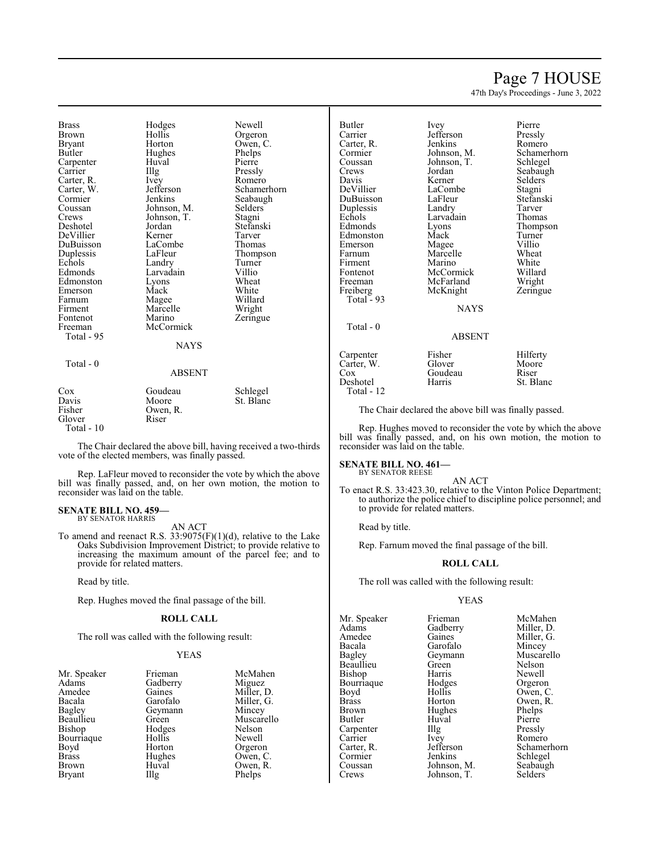## Page 7 HOUSE

47th Day's Proceedings - June 3, 2022

Brass Hodges Newell Brown Hollis Orgeron<br>Bryant Horton Owen, C Bryant Horton Owen, C.<br>Butler Hughes Phelps Carpenter Huv<br>Carrier Huy Carter, R. Ivey<br>Carter, W. Jefferson Carter, W. Jefferson Schamerhorn<br>
Cormier Jenkins Seabaugh Cormier Jenkins Seabaugh<br>Coussan Johnson, M. Selders Coussan Johnson, M. Selders Deshotel Jordan Stefans<br>DeVillier Kerner Tarver DeVillier Kerner Tarver DuBuisson LaComb<br>
Duplessis LaFleur Duplessis LaFleur Thompson<br>
Echols Landry Turner Echols Landry Turner<br>Edmonds Larvadain Villio Edmonston Lyons Wheat<br>
Emerson Mack White Emerson Mack White Farnum Magee Willard<br>Firment Marcelle Wright Firment Marcelle<br>Fontenot Marino Fontenot Marino Zeringue<br>Freeman McCormick Total - 95

Total - 0

Hughes Phelps<br>Huval Pierre Larvadain Villio<br>
Lyons Wheat McCormick

Pressly<br>Romero Johnson, T.<br>Jordan Stefanski

## ABSENT

**NAYS** 

| Cox         | Goudeau  | Schlegel  |
|-------------|----------|-----------|
| Davis       | Moore    | St. Blanc |
| Fisher      | Owen, R. |           |
| Glover      | Riser    |           |
| Total $-10$ |          |           |

The Chair declared the above bill, having received a two-thirds vote of the elected members, was finally passed.

Rep. LaFleur moved to reconsider the vote by which the above bill was finally passed, and, on her own motion, the motion to reconsider was laid on the table.

#### **SENATE BILL NO. 459—** BY SENATOR HARRIS

AN ACT

To amend and reenact R.S.  $33:9075(F)(1)(d)$ , relative to the Lake Oaks Subdivision Improvement District; to provide relative to increasing the maximum amount of the parcel fee; and to provide for related matters.

Read by title.

Rep. Hughes moved the final passage of the bill.

### **ROLL CALL**

The roll was called with the following result:

### YEAS

| Mr. Speaker   | Frieman           | McMal   |
|---------------|-------------------|---------|
| Adams         | Gadberry          | Miguez  |
| Amedee        | Gaines            | Miller, |
| Bacala        | Garofalo          | Miller, |
| Bagley        | Geymann           | Mincey  |
| Beaullieu     | Green             | Muscar  |
| Bishop        | Hodges            | Nelson  |
| Bourriaque    | Hollis            | Newell  |
| Boyd          | Horton            | Orgero  |
| <b>Brass</b>  | Hughes            | Owen,   |
| <b>Brown</b>  | Huval             | Owen,   |
| <b>Bryant</b> | $\prod_{i=1}^{n}$ | Phelps  |
|               |                   |         |

McMahen Miguez Miller, D. Miller, G. Mincey Muscarello Nelson<br>Newell Orgeron Owen, C. Owen, R. Phelps

Butler Ivey Pierre Carter, R. Jenkins<br>Cormier Johnson, M. Cormier Johnson, M. Schamerhorn<br>Coussan Johnson, T. Schlegel Coussan Johnson, T.<br>Crews Jordan Crews Jordan Seabaugh<br>
Davis Kerner Selders Davis Kerner Selders<br>
DeVillier LaCombe Stagni DuBuisson LaFleur Stefans<br>
Duplessis Landry Tarver Duplessis Landry Tarver<br>
Echols Larvadain Thomas Echols Larvadain<br>Edmonds Lyons Edmonston Mack Turner<br>Emerson Magee Villio Emerson Magee Villio<br>
Farnum Marcelle Wheat Farnum Marcelle Wheat<br>Firment Marino White Firment Marino White<br>Fontenot McCormick Willard Fontenot McCormick Willard<br>
Freeman McFarland Wright Freiberg McKnight Zeringue Total - 93 Total - 0 Carpenter Fisher Hilferty<br>Carter W. Glover Moore Carter, W. Glover Moor<br>Cox Goudeau Riser

Jefferson Pressly<br>Jenkins Romero LaCombe<br>
LaFleur Stefanski Lyons Thompson<br>
Mack Turner McFarland Wright<br>
McKnight Zeringue

NAYS

### ABSENT

Deshotel Total - 12 Goudeau Riser<br>
Harris St. Blanc

The Chair declared the above bill was finally passed.

Rep. Hughes moved to reconsider the vote by which the above bill was finally passed, and, on his own motion, the motion to reconsider was laid on the table.

#### **SENATE BILL NO. 461—** BY SENATOR REESE

AN ACT

To enact R.S. 33:423.30, relative to the Vinton Police Department; to authorize the police chief to discipline police personnel; and to provide for related matters.

Read by title.

Rep. Farnum moved the final passage of the bill.

## **ROLL CALL**

The roll was called with the following result:

Johnson, T.

## YEAS

Mr. Speaker Frieman McMahen<br>Adams Gadberry Miller, D. Adams Gadberry Miller, D.<br>Amedee Gaines Miller, G. Amedee Gaines Miller, G.<br>Bacala Garofalo Mincey Bacala Garofalo<br>Bagley Geymann Beaullieu Green Nelson<br>Bishop Harris Newell Bishop **Harris** Newell<br>Bourriaque Hodges Orgeron Bourriaque Hodge<br>Boyd Hollis Boyd Hollis Owen, C. Brass Horton Owen, R.<br>Brown Hughes Phelps Phelps Brown Hughes Phelps<br>Butler Huval Pierre Carpenter Illg<br>Carrier Ivev Carrier Ivey Romero<br>Carter, R. Jefferson Schamer Cormier Jenkins Schlegel<br>
Coussan Johnson, M. Seabaugh Coussan Johnson, M. Seabaughter Seabaughter Seabaughter Seabaughter Seabaughter Seabaughter Seabaughter Seabaughter Seabaughter Seabaughter Seabaughter Seabaughter Seabaughter Seabaughter Seabaughter Seabaughter Seabaughte

Geymann Muscarello<br>Green Nelson Huval Pierre<br>Illg Pressly Jefferson Schamerhorn<br>Jenkins Schlegel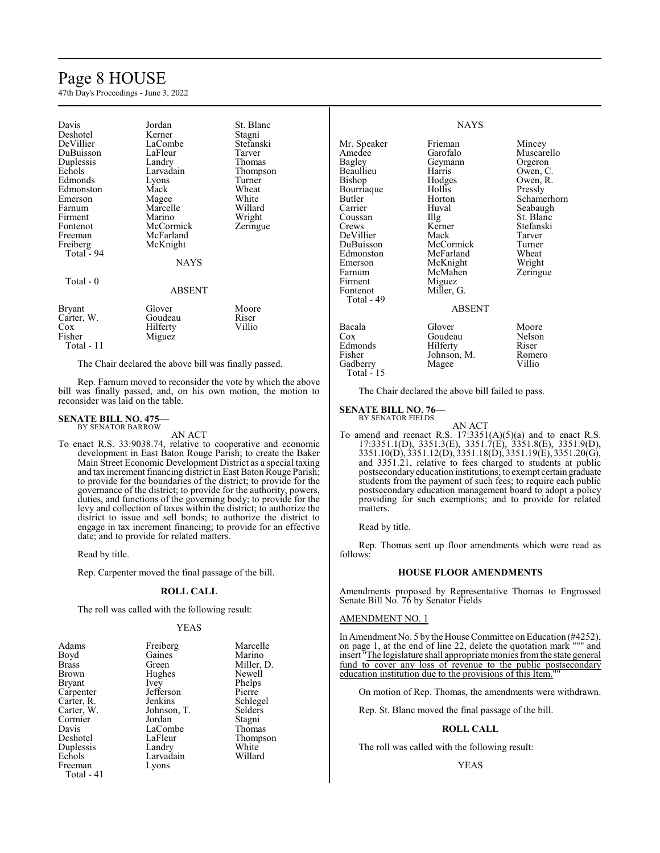# Page 8 HOUSE

47th Day's Proceedings - June 3, 2022

| Davis<br>Deshotel<br>DeVillier<br>DuBuisson<br>Duplessis<br>Echols<br>Edmonds<br>Edmonston<br>Emerson<br>Farnum<br>Firment<br>Fontenot<br>Freeman<br>Freiberg<br>Total - 94 | Jordan<br>Kerner<br>LaCombe<br>LaFleur<br>Landry<br>Larvadain<br>Lyons<br>Mack<br>Magee<br>Marcelle<br>Marino<br>McCormick<br>McFarland<br>McKnight<br><b>NAYS</b> | St. Blanc<br>Stagni<br>Stefanski<br>Tarver<br>Thomas<br>Thompson<br>Turner<br>Wheat<br>White<br>Willard<br>Wright<br>Zeringue |
|-----------------------------------------------------------------------------------------------------------------------------------------------------------------------------|--------------------------------------------------------------------------------------------------------------------------------------------------------------------|-------------------------------------------------------------------------------------------------------------------------------|
| Total - 0                                                                                                                                                                   | ABSENT                                                                                                                                                             |                                                                                                                               |
| <b>Bryant</b><br>Carter, W.<br>$\cos$<br>Fisher<br>Total - 11                                                                                                               | Glover<br>Goudeau<br>Hilferty<br>Miguez                                                                                                                            | Moore<br>Riser<br>Villio                                                                                                      |

The Chair declared the above bill was finally passed.

Rep. Farnum moved to reconsider the vote by which the above bill was finally passed, and, on his own motion, the motion to reconsider was laid on the table.

#### **SENATE BILL NO. 475—** BY SENATOR BARROW

AN ACT

To enact R.S. 33:9038.74, relative to cooperative and economic development in East Baton Rouge Parish; to create the Baker Main Street Economic Development District as a special taxing and tax increment financing district in East Baton Rouge Parish; to provide for the boundaries of the district; to provide for the governance of the district; to provide for the authority, powers, duties, and functions of the governing body; to provide for the levy and collection of taxes within the district; to authorize the district to issue and sell bonds; to authorize the district to engage in tax increment financing; to provide for an effective date; and to provide for related matters.

Read by title.

Rep. Carpenter moved the final passage of the bill.

## **ROLL CALL**

The roll was called with the following result:

### YEAS

| Adams         | Freiberg    | Marcelle   |
|---------------|-------------|------------|
| Boyd          | Gaines      | Marino     |
| <b>Brass</b>  | Green       | Miller, D. |
| Brown         | Hughes      | Newell     |
| <b>Bryant</b> | Ivey        | Phelps     |
| Carpenter     | Jefferson   | Pierre     |
| Carter, R.    | Jenkins     | Schlegel   |
| Carter, W.    | Johnson, T. | Selders    |
| Cormier       | Jordan      | Stagni     |
| Davis         | LaCombe     | Thomas     |
| Deshotel      | LaFleur     | Thompson   |
| Duplessis     | Landry      | White      |
| Echols        | Larvadain   | Willard    |
| Freeman       | Lyons       |            |
| Total $-41$   |             |            |

## NAYS

| Mr. Speaker | Frieman       | Mincey      |
|-------------|---------------|-------------|
| Amedee      | Garofalo      | Muscarello  |
| Bagley      | Geymann       | Orgeron     |
| Beaullieu   | Harris        | Owen, C.    |
| Bishop      | Hodges        | Owen, R.    |
| Bourriaque  | Hollis        | Pressly     |
| Butler      | Horton        | Schamerhorn |
| Carrier     | Huval         | Seabaugh    |
| Coussan     | Illg          | St. Blanc   |
| Crews       | Kerner        | Stefanski   |
| DeVillier   | Mack          | Tarver      |
| DuBuisson   | McCormick     | Turner      |
| Edmonston   | McFarland     | Wheat       |
| Emerson     | McKnight      | Wright      |
| Farnum      | McMahen       | Zeringue    |
| Firment     | Miguez        |             |
| Fontenot    | Miller, G.    |             |
| Total - 49  |               |             |
|             | <b>ABSENT</b> |             |
| Bacala      | Glover        | Moore       |
| $\cos$      | Goudeau       | Nelson      |
| Edmonds     | Hilferty      | Riser       |
| Fisher      | Johnson, M.   | Romero      |
| Gadberry    | Magee         | Villio      |

Total - 15

The Chair declared the above bill failed to pass.

#### **SENATE BILL NO. 76—** BY SENATOR FIELDS

AN ACT

- To amend and reenact R.S.  $17:3351(A)(5)(a)$  and to enact R.S. 17:3351.1(D), 3351.3(E), 3351.7(E), 3351.8(E), 3351.9(D), 3351.10(D), 3351.12(D), 3351.18(D), 3351.19(E), 3351.20(G), and 3351.21, relative to fees charged to students at public postsecondaryeducation institutions; to exempt certain graduate students from the payment of such fees; to require each public postsecondary education management board to adopt a policy providing for such exemptions; and to provide for related matters.
	- Read by title.

Rep. Thomas sent up floor amendments which were read as follows:

### **HOUSE FLOOR AMENDMENTS**

Amendments proposed by Representative Thomas to Engrossed Senate Bill No. 76 by Senator Fields

### AMENDMENT NO. 1

In Amendment No. 5 by the House Committee on Education (#4252), on page 1, at the end of line 22, delete the quotation mark """ and insert "The legislature shall appropriate monies fromthe state general fund to cover any loss of revenue to the public postsecondary education institution due to the provisions of this Item.

On motion of Rep. Thomas, the amendments were withdrawn.

Rep. St. Blanc moved the final passage of the bill.

## **ROLL CALL**

The roll was called with the following result:

## YEAS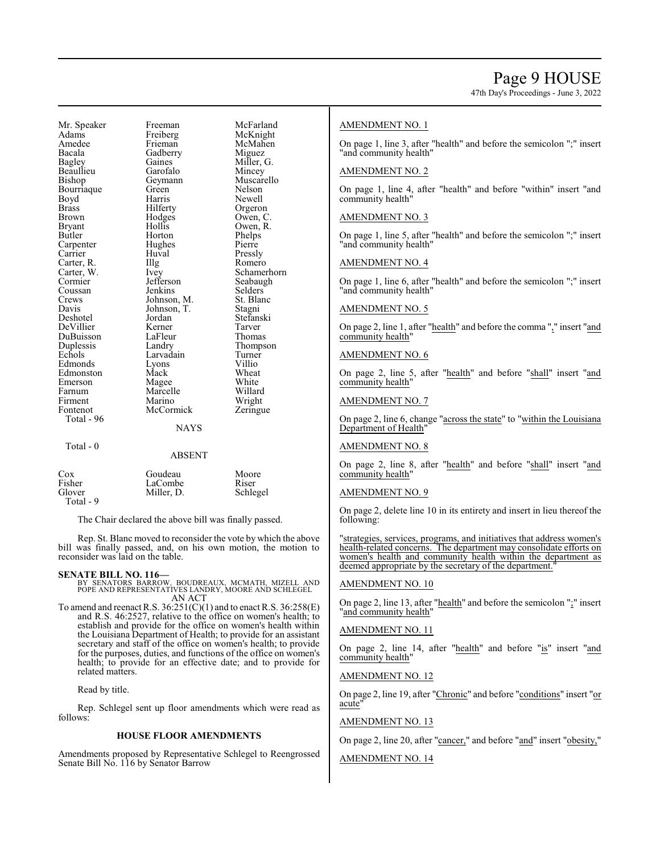47th Day's Proceedings - June 3, 2022

Mr. Speaker Freeman McFarland<br>
Adams Freiberg McKnight Adams Freiberg McKnight Amedee Frieman McMahen<br>Bacala Gadberry Miguez Bacala Gadberry<br>Bagley Gaines Beaullieu Bishop Geymann Muscarello<br>Bourriaque Green Nelson Bourriaque Green<br>Boyd Harris Boyd Harris Newell Brass Hilferty Orgeron<br>Brown Hodges Owen, C Brown Hodges Owen, C.<br>Bryant Hollis Owen, R. Bryant Hollis Owen, R. Carpenter Hughes Pierre<br>Carrier Huyal Pressly Carrier Huval Pressly Carter, R. Illg Romero<br>Carter, W. Ivey Schame Coussan Jenkins Selders<br>Crews Johnson M St Blanc Crews Johnson, M. St. Blanck<br>Davis Johnson, T. Stagni Davis Johnson, T.<br>Deshotel Jordan DeVillier Kerner Tarver DuBuisson LaFleur<br>Duplessis Landry Duplessis Landry Thompson<br>
Echols Larvadain Turner Edmonds Lyons Villio Edmonston Mack Wheat<br>Emerson Magee White Emerson Magee White<br>
Farnum Marcelle Willard Farnum Marcelle Willard<br>Firment Marino Wright Firment Marino Wright<br>
Fontenot McCormick Zeringue Total - 96 Total - 0

Gaines Miller, G.<br>Garofalo Mincey Horton Phelps<br>Hughes Pierre Jefferson Seabaugh<br>Jenkins Selders Jordan Stefanski<br>Kerner Tarver Larvadain Turner<br>Lyons Villio McCormick

Carter, W. Ivey Schamerhorn<br>
Cormier Jefferson Seabaugh

| Cox       | Goudeau    | Moore    |
|-----------|------------|----------|
| Fisher    | LaCombe    | Riser    |
| Glover    | Miller, D. | Schlegel |
| Total - 9 |            |          |

The Chair declared the above bill was finally passed.

Rep. St. Blanc moved to reconsider the vote by which the above bill was finally passed, and, on his own motion, the motion to reconsider was laid on the table.

**NAYS** 

ABSENT

### **SENATE BILL NO. 116—**

BY SENATORS BARROW, BOUDREAUX, MCMATH, MIZELL AND POPE AND REPRESENTATIVES LANDRY, MOORE AND SCHLEGEL AN ACT

To amend and reenact R.S.  $36:251(C)(1)$  and to enact R.S.  $36:258(E)$ and R.S. 46:2527, relative to the office on women's health; to establish and provide for the office on women's health within the Louisiana Department of Health; to provide for an assistant secretary and staff of the office on women's health; to provide for the purposes, duties, and functions of the office on women's health; to provide for an effective date; and to provide for related matters.

Read by title.

Rep. Schlegel sent up floor amendments which were read as follows:

## **HOUSE FLOOR AMENDMENTS**

Amendments proposed by Representative Schlegel to Reengrossed Senate Bill No. 116 by Senator Barrow

## AMENDMENT NO. 1

On page 1, line 3, after "health" and before the semicolon ";" insert "and community health"

### AMENDMENT NO. 2

On page 1, line 4, after "health" and before "within" insert "and community health"

### AMENDMENT NO. 3

On page 1, line 5, after "health" and before the semicolon ";" insert "and community health"

## AMENDMENT NO. 4

On page 1, line 6, after "health" and before the semicolon ";" insert "and community health"

## AMENDMENT NO. 5

On page 2, line 1, after "health" and before the comma "," insert "and community health"

## AMENDMENT NO. 6

On page 2, line 5, after "health" and before "shall" insert "and community health"

## AMENDMENT NO. 7

On page 2, line 6, change "across the state" to "within the Louisiana Department of Health"

## AMENDMENT NO. 8

On page 2, line 8, after "health" and before "shall" insert "and community health"

### AMENDMENT NO. 9

On page 2, delete line 10 in its entirety and insert in lieu thereof the following:

"strategies, services, programs, and initiatives that address women's health-related concerns. The department may consolidate efforts on women's health and community health within the department as deemed appropriate by the secretary of the department.

## AMENDMENT NO. 10

On page 2, line 13, after "health" and before the semicolon ";" insert "and community health"

### AMENDMENT NO. 11

On page 2, line 14, after "health" and before "is" insert "and community health"

## AMENDMENT NO. 12

On page 2, line 19, after "Chronic" and before "conditions" insert "or acute'

## AMENDMENT NO. 13

On page 2, line 20, after "cancer," and before "and" insert "obesity,"

## AMENDMENT NO. 14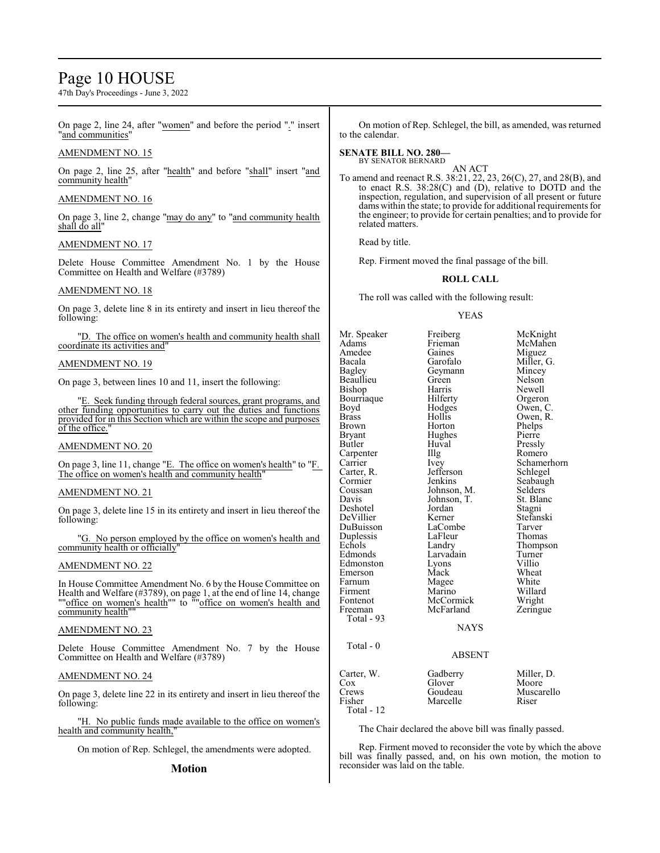## Page 10 HOUSE

47th Day's Proceedings - June 3, 2022

On page 2, line 24, after "women" and before the period "." insert "and communities"

## AMENDMENT NO. 15

On page 2, line 25, after "health" and before "shall" insert "and community health"

### AMENDMENT NO. 16

On page 3, line 2, change "may do any" to "and community health shall do all"

## AMENDMENT NO. 17

Delete House Committee Amendment No. 1 by the House Committee on Health and Welfare (#3789)

## AMENDMENT NO. 18

On page 3, delete line 8 in its entirety and insert in lieu thereof the following:

"D. The office on women's health and community health shall coordinate its activities and"

### AMENDMENT NO. 19

On page 3, between lines 10 and 11, insert the following:

"E. Seek funding through federal sources, grant programs, and other funding opportunities to carry out the duties and functions provided for in this Section which are within the scope and purposes of the office.

## AMENDMENT NO. 20

On page 3, line 11, change "E. The office on women's health" to "F. The office on women's health and community health'

### AMENDMENT NO. 21

On page 3, delete line 15 in its entirety and insert in lieu thereof the following:

"G. No person employed by the office on women's health and community health or officially"

## AMENDMENT NO. 22

In House Committee Amendment No. 6 by the House Committee on Health and Welfare (#3789), on page 1, at the end of line 14, change ""office on women's health"" to ""office on women's health and community health""

### AMENDMENT NO. 23

Delete House Committee Amendment No. 7 by the House Committee on Health and Welfare (#3789)

### AMENDMENT NO. 24

On page 3, delete line 22 in its entirety and insert in lieu thereof the following:

"H. No public funds made available to the office on women's health and community health,"

On motion of Rep. Schlegel, the amendments were adopted.

### **Motion**

On motion of Rep. Schlegel, the bill, as amended, was returned to the calendar.

## **SENATE BILL NO. 280—**

BY SENATOR BERNARD

AN ACT To amend and reenact R.S. 38:21, 22, 23, 26(C), 27, and 28(B), and to enact R.S. 38:28(C) and (D), relative to DOTD and the inspection, regulation, and supervision of all present or future dams within the state; to provide for additional requirements for the engineer; to provide for certain penalties; and to provide for related matters.

Read by title.

Rep. Firment moved the final passage of the bill.

## **ROLL CALL**

The roll was called with the following result:

## YEAS

Mr. Speaker Freiberg McKnight<br>Adams Frieman McMahen Adams Frieman McMahen<br>Amedee Gaines Miguez Amedee Gaines Miguez<br>Bacala Garofalo Miller. Bacala Garofalo Miller, G. Geymann Mincey<br>Green Nelson Beaullieu Green<br>Bishop Harris Harris Newell<br>Hilferty Orgeron Bourriaque Hilferty<br>Boyd Hodges Boyd Hodges Owen, C.<br>Brass Hollis Owen, R. Brass Hollis Owen, R. Brown Horton Phelps<br>Bryant Hughes Pierre Hughes Pierre<br>Huval Presslv Butler Huval Pressly<br>Carpenter IIIg Romero Carpenter IIIg<br>Carrier Ivey Ivey Schamerhorn<br>Jefferson Schlegel Carter, R. Jefferson<br>Cormier Jenkins Cormier Jenkins Seabaugh<br>Coussan Johnson, M. Selders Coussan Johnson, M. Selders<br>Davis Johnson, T. St. Blanc Johnson, T.<br>
Jordan Stagni Deshotel Jordan Stagni<br>
DeVillier Kerner Stefanski DeVillier Kerner Stefans<br>DuBuisson LaCombe Tarver DuBuisson LaCombe Tarver<br>
Duplessis LaFleur Thomas Duplessis LaFleu<br>Echols Landry Echols Landry Thompson<br>Edmonds Larvadain Turner Larvadain Turne<br>Lyons Villio Edmonston Lyons<br>Emerson Mack Emerson Mack Wheat<br>
Farnum Magee White Magee White<br>Marino Willard Firment Marino Willard<br>Fontenot McCormick Wright Fontenot McCormick<br>Freeman McFarland Zeringue Total - 93 NAYS Total - 0 ABSENT Carter, W. Gadberry Miller, D.<br>Cox Glover Moore Cox Glover Crews Goudeau Crews Goudeau Muscarello<br>
Fisher Marcelle Riser Marcelle

Total - 12

The Chair declared the above bill was finally passed.

Rep. Firment moved to reconsider the vote by which the above bill was finally passed, and, on his own motion, the motion to reconsider was laid on the table.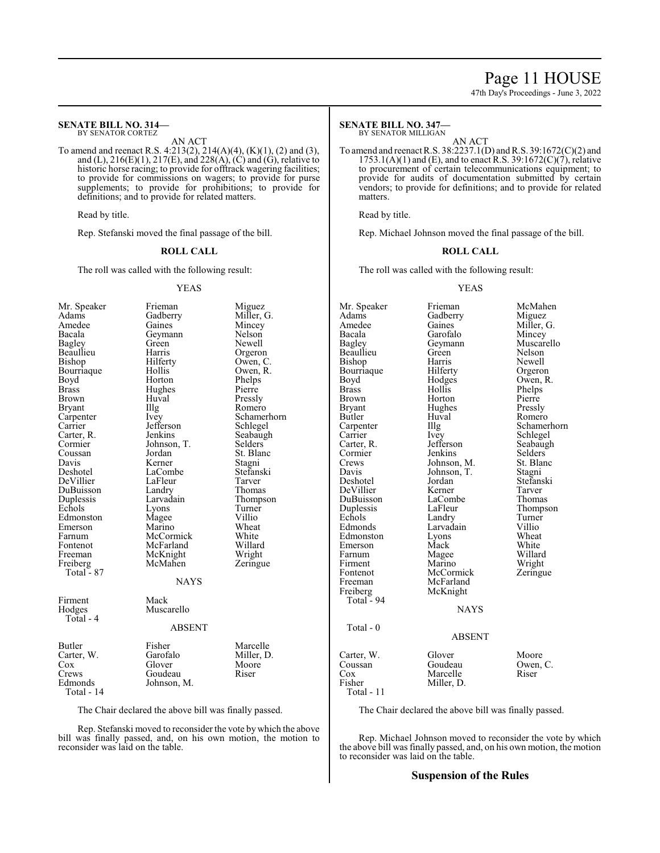## Page 11 HOUSE

47th Day's Proceedings - June 3, 2022

#### **SENATE BILL NO. 314—** BY SENATOR CORTEZ

AN ACT

To amend and reenact R.S. 4:213(2), 214(A)(4), (K)(1), (2) and (3), and (L),  $216(E)(1)$ ,  $217(E)$ , and  $228(A)$ , (C) and (G), relative to historic horse racing; to provide for offtrack wagering facilities; to provide for commissions on wagers; to provide for purse supplements; to provide for prohibitions; to provide for definitions; and to provide for related matters.

Read by title.

Rep. Stefanski moved the final passage of the bill.

### **ROLL CALL**

The roll was called with the following result:

Geymann<br>Green

Hughes<br>Huval

### YEAS

Frieman Miguez<br>Gadberry Miller, Gadberry Miller, G.<br>Gaines Mincey

Green Newell<br>Harris Orgero

Mincey<br>Nelson

Owen, R.<br>Phelps

Schamerhorn<br>Schlegel

Seabaugh<br>Selders

St. Blanc<br>Stagni

Turner<br>Villio

Zeringue

| Mr. Speaker                                              |
|----------------------------------------------------------|
| Adams                                                    |
| Amedee                                                   |
| Bacala                                                   |
| <b>Bagley</b>                                            |
| Beaullieu                                                |
| Bishop                                                   |
| Bourriaque                                               |
| Boyd                                                     |
| <b>Brass</b>                                             |
| Brown                                                    |
| Bryant                                                   |
|                                                          |
|                                                          |
|                                                          |
| Carpenter<br>Carrier<br>Carter, R.<br>Cormier<br>Coussan |
|                                                          |
| Davis                                                    |
| Deshotel                                                 |
| DeVillier                                                |
| DuBuisson                                                |
| Duplessis<br>Echols                                      |
|                                                          |
| Edmonston                                                |
| Emerson                                                  |
| Farnum                                                   |
| Fontenot                                                 |
| Freeman                                                  |
| Freiberg                                                 |
| 87<br>Total -                                            |
|                                                          |
|                                                          |
| Firment                                                  |
| Hodges                                                   |
| Total - 4                                                |
|                                                          |
|                                                          |
| Butler                                                   |
|                                                          |
| Carter, W.<br>Cox                                        |

Harris Orgeron<br>Hilferty Owen, C Hilferty Owen, C.<br>Hollis Owen, R. Horton Phelps<br>Hughes Pierre Huval Pressly<br>Illg Romerc Illg Romero<br>Ivey Schamer Jefferson<br>Jenkins Johnson, T.<br>Jordan Kerner Stagni<br>LaCombe Stefanski LaCombe<br>LaFleur Tarver LaFleur Tarver<br>Landry Thomas Landry<br>Larvadain Larvadain Thompson<br>Lyons Turner Magee Villio<br>
Marino Wheat Marino Wheat<br>
McCormick White McCormick White<br>
McFarland Willard McFarland Willard<br>
McKnight Wright

#### **NAYS**

McKnight<br>McMahen

## Mack Muscarello ABSENT

| Butler       | Fisher      | Marcelle   |
|--------------|-------------|------------|
| Carter, W.   | Garofalo    | Miller, D. |
| Cox          | Glover      | Moore      |
| Crews        | Goudeau     | Riser      |
| Edmonds      | Johnson, M. |            |
| Total - $14$ |             |            |

The Chair declared the above bill was finally passed.

Rep. Stefanski moved to reconsider the vote by which the above bill was finally passed, and, on his own motion, the motion to reconsider was laid on the table.

#### **SENATE BILL NO. 347—** BY SENATOR MILLIGAN

AN ACT

To amend and reenact R.S. 38:2237.1(D) andR.S. 39:1672(C)(2) and  $1753.1(A)(1)$  and (E), and to enact R.S. 39:1672(C)(7), relative to procurement of certain telecommunications equipment; to provide for audits of documentation submitted by certain vendors; to provide for definitions; and to provide for related matters.

Read by title.

Rep. Michael Johnson moved the final passage of the bill.

### **ROLL CALL**

The roll was called with the following result:

### YEAS

Mr. Speaker Frieman McMahen<br>Adams Gadberry Miguez Adams Gadberry<br>Amedee Gaines Amedee Gaines Miller, G.<br>Bacala Garofalo Mincey Bacala Garofalo Mincey Geymann Muscarello<br>Green Nelson Beaullieu Green Nelson<br>Bishop Harris Newell Bishop Harris Newell<br>Bourriaque Hilferty Orgeron Bourriaque Hilferty<br>Boyd Hodges Boyd Hodges Owen, R.<br>Brass Hollis Phelps Brass Hollis Phelps<br>Brown Horton Pierre Brown Horton Pierre<br>Bryant Hughes Pressly Bryant Hughes<br>Butler Huval Butler Huval Romero<br>
Carpenter IIIg Schame Carpenter Illg Schamerhorn<br>
Carrier Ivev Schlegel Carrier Ivey Schlegel<br>Carter, R. Jefferson Seabaugl Jefferson Seabaugh<br>Jenkins Selders Cormier Jenkins Selders<br>Crews Johnson, M. St. Blanc Crews Johnson, M. St. Blanch<br>Davis Johnson, T. Stagni Davis Johnson, T.<br>Deshotel Jordan Jordan Stefanski<br>Kerner Tarver DeVillier Kerner Tarver DuBuisson LaComb<br>
Duplessis LaFleur Duplessis LaFleur Thompson Echols Landry Turner<br>Edmonds Larvadain Villio Larvadain Villio<br>
Lyons Wheat Edmonston Lyons Wheat<br>Emerson Mack White Emerson Mack White<br>
Farnum Magee Willard Farnum Magee<br>Firment Marino Firment Marino Wright<br>
Fontenot McCormick Zeringu Fontenot McCormick Zeringue<br>
Freeman McFarland Zeringue Freeman McFarland<br>Freiberg McKnight McKnight Total  $-94$ **NAYS**  Total - 0 ABSENT Carter, W. Glover Moore<br>
Coussan Goudeau Owen, C. Coussan Goudeau Owen<br>
Cox Marcelle Riser Cox Marcelle<br>Fisher Miller, D Miller, D. Total - 11

The Chair declared the above bill was finally passed.

Rep. Michael Johnson moved to reconsider the vote by which the above bill was finally passed, and, on his own motion, the motion to reconsider was laid on the table.

## **Suspension of the Rules**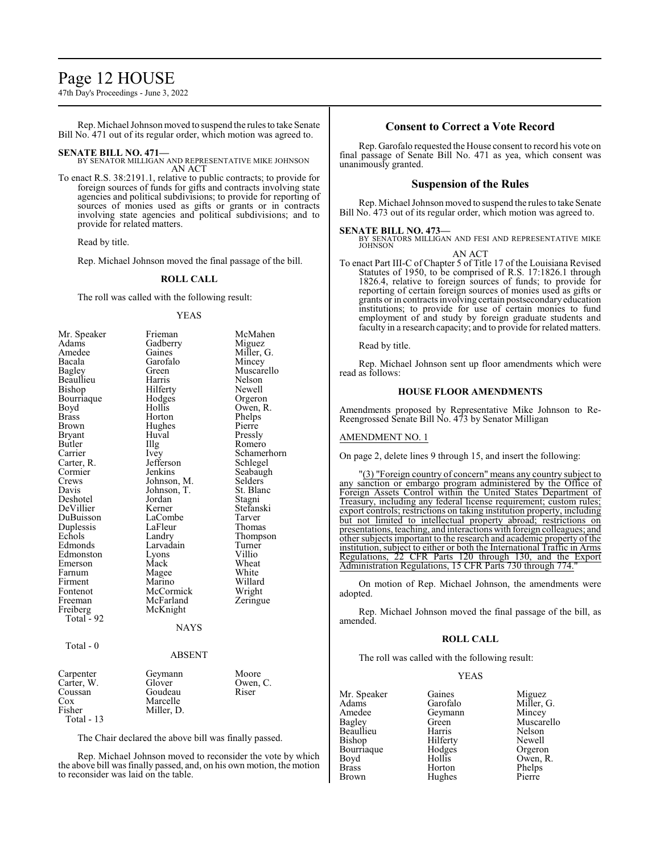## Page 12 HOUSE

47th Day's Proceedings - June 3, 2022

Rep. Michael Johnson moved to suspend the rules to take Senate Bill No. 471 out of its regular order, which motion was agreed to.

## **SENATE BILL NO. 471—**

BY SENATOR MILLIGAN AND REPRESENTATIVE MIKE JOHNSON AN ACT

To enact R.S. 38:2191.1, relative to public contracts; to provide for foreign sources of funds for gifts and contracts involving state agencies and political subdivisions; to provide for reporting of sources of monies used as gifts or grants or in contracts involving state agencies and political subdivisions; and to provide for related matters.

Read by title.

Rep. Michael Johnson moved the final passage of the bill.

### **ROLL CALL**

The roll was called with the following result:

### YEAS

| Mr. Speaker   | Frieman     | McMahen     |
|---------------|-------------|-------------|
| Adams         | Gadberry    | Miguez      |
| Amedee        | Gaines      | Miller, G.  |
| Bacala        | Garofalo    | Mincey      |
| Bagley        | Green       | Muscarello  |
| Beaullieu     | Harris      | Nelson      |
| Bishop        | Hilferty    | Newell      |
| Bourriaque    | Hodges      | Orgeron     |
| Boyd          | Hollis      | Owen, R.    |
| <b>Brass</b>  | Horton      | Phelps      |
| Brown         | Hughes      | Pierre      |
| <b>Bryant</b> | Huval       | Pressly     |
| Butler        | Illg        | Romero      |
| Carrier       | Ivey        | Schamerhorn |
| Carter, R.    | Jefferson   | Schlegel    |
| Cormier       | Jenkins     | Seabaugh    |
| Crews         | Johnson, M. | Selders     |
| Davis         | Johnson, T. | St. Blanc   |
| Deshotel      | Jordan      | Stagni      |
| DeVillier     | Kerner      | Stefanski   |
| DuBuisson     | LaCombe     | Tarver      |
| Duplessis     | LaFleur     | Thomas      |
| Echols        | Landry      | Thompson    |
| Edmonds       | Larvadain   | Turner      |
| Edmonston     | Lyons       | Villio      |
| Emerson       | Mack        | Wheat       |
| Farnum        | Magee       | White       |
| Firment       | Marino      | Willard     |
| Fontenot      | McCormick   | Wright      |
| Freeman       | McFarland   | Zeringue    |
| Freiberg      | McKnight    |             |
| Total - 92    |             |             |
|               | <b>NAYS</b> |             |
| Total - 0     |             |             |
|               | ABSENT      |             |
| Carpenter     | Geymann     | Moore       |
| Carter, W.    | Glover      | Owen, C.    |
| Coussan       | Goudeau     | Riser       |
| $\cos$        | Marcelle    |             |
| Fisher        | Miller, D.  |             |
| Total - 13    |             |             |

The Chair declared the above bill was finally passed.

Rep. Michael Johnson moved to reconsider the vote by which the above bill was finally passed, and, on his own motion, the motion to reconsider was laid on the table.

## **Consent to Correct a Vote Record**

Rep. Garofalo requested the House consent to record his vote on final passage of Senate Bill No. 471 as yea, which consent was unanimously granted.

## **Suspension of the Rules**

Rep. Michael Johnson moved to suspend the rules to take Senate Bill No. 473 out of its regular order, which motion was agreed to.

**SENATE BILL NO. 473—**<br>BY SENATORS MILLIGAN AND FESI AND REPRESENTATIVE MIKE<br>JOHNSON

AN ACT

To enact Part III-C of Chapter 5 of Title 17 of the Louisiana Revised Statutes of 1950, to be comprised of R.S. 17:1826.1 through 1826.4, relative to foreign sources of funds; to provide for reporting of certain foreign sources of monies used as gifts or grants or in contracts involving certain postsecondary education institutions; to provide for use of certain monies to fund employment of and study by foreign graduate students and faculty in a research capacity; and to provide for related matters.

Read by title.

Rep. Michael Johnson sent up floor amendments which were read as follows:

### **HOUSE FLOOR AMENDMENTS**

Amendments proposed by Representative Mike Johnson to Re-Reengrossed Senate Bill No. 473 by Senator Milligan

### AMENDMENT NO. 1

On page 2, delete lines 9 through 15, and insert the following:

"(3) "Foreign country of concern" means any country subject to any sanction or embargo program administered by the Office of Foreign Assets Control within the United States Department of Treasury, including any federal license requirement; custom rules; export controls; restrictions on taking institution property, including but not limited to intellectual property abroad; restrictions on presentations, teaching, and interactions with foreign colleagues; and other subjects important to the research and academic property of the institution, subject to either or both the International Traffic in Arms Regulations, 22 CFR Parts 120 through 130, and the Export Administration Regulations, 15 CFR Parts 730 through 774."

On motion of Rep. Michael Johnson, the amendments were adopted.

Rep. Michael Johnson moved the final passage of the bill, as amended.

### **ROLL CALL**

The roll was called with the following result:

### YEAS

Mr. Speaker Gaines Miguez<br>Adams Garofalo Miller. Adams Garofalo Miller, G.<br>Amedee Geymann Mincey Amedee Geymann<br>Bagley Green Beaullieu Harris Nelson<br>Bishop Hilferty Newell Bishop Hilferty Newell<br>Bourriaque Hodges Orgeron Bourriaque Hodge<br>Boyd Hollis Boyd Hollis Owen, R. Brown Hughes

Green Muscarello<br>
Harris Nelson Horton Phelps<br>Hughes Pierre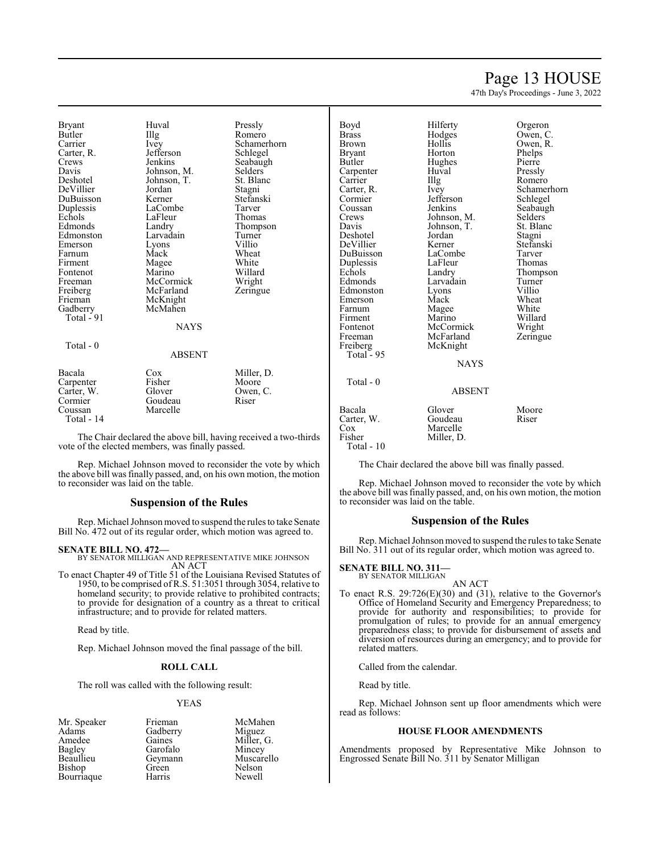## Page 13 HOUSE

47th Day's Proceedings - June 3, 2022

| Bryant<br>Butler<br>Carrier<br>Carter, R.<br>Crews<br>Davis    | Huval<br>Illg<br>Ivey<br>Jefferson<br>Jenkins                    | Pressl <sub>!</sub><br>Romer<br>Scham<br>Schleg<br>Seabaı<br>Selder |
|----------------------------------------------------------------|------------------------------------------------------------------|---------------------------------------------------------------------|
| Deshotel<br>DeVillier<br>DuBuisson<br>Duplessis                | Johnson, M.<br>Johnson, T.<br>Jordan<br>Kerner<br>LaCombe        | St. Bla<br>Stagni<br>Stefan<br>Tarver                               |
| Echols<br>Edmonds<br>Edmonston<br>Emerson<br>Farnum<br>Firment | LaFleur<br>Landry<br>Larvadain<br>Lyons<br>Mack                  | Thoma<br>Thomp<br>Turnei<br>Villio<br>Wheat<br>White                |
| Fontenot<br>Freeman<br>Freiberg<br>Frieman<br>Gadberry         | Magee<br>Marino<br>McCormick<br>McFarland<br>McKnight<br>McMahen | Willar<br>Wrigh<br>Zering                                           |
| Total - 91<br>Total $-0$                                       | <b>NAYS</b><br><b>ABSENT</b>                                     |                                                                     |
| Bacala<br>Carpenter<br>Carter, W.<br>Cormier                   | Cox<br>Fisher<br>Glover<br>Goudeau                               | Miller<br>Moore<br>Owen,<br>Riser                                   |

Pressly Romero Schamerhorn Schlegel Seabaugh Selders<sup>7</sup> St. Blanc Stagni Stefanski Tarver Thomas Thompson Turner<br>Villio Willard Wright Zeringue

| Bacala     | Cox      | Miller, D. |
|------------|----------|------------|
| Carpenter  | Fisher   | Moore      |
| Carter, W. | Glover   | Owen, C.   |
| Cormier    | Goudeau  | Riser      |
| Coussan    | Marcelle |            |
| Total - 14 |          |            |

The Chair declared the above bill, having received a two-thirds vote of the elected members, was finally passed.

Rep. Michael Johnson moved to reconsider the vote by which the above bill was finally passed, and, on his own motion, the motion to reconsider was laid on the table.

## **Suspension of the Rules**

Rep. Michael Johnson moved to suspend the rules to take Senate Bill No. 472 out of its regular order, which motion was agreed to.

### **SENATE BILL NO. 472—**

BY SENATOR MILLIGAN AND REPRESENTATIVE MIKE JOHNSON AN ACT

To enact Chapter 49 of Title 51 of the Louisiana Revised Statutes of 1950, to be comprised of R.S. 51:3051 through 3054, relative to homeland security; to provide relative to prohibited contracts; to provide for designation of a country as a threat to critical infrastructure; and to provide for related matters.

Read by title.

Rep. Michael Johnson moved the final passage of the bill.

### **ROLL CALL**

The roll was called with the following result:

### YEAS

Mr. Speaker Frieman McMahen<br>Adams Gadberry Miguez Adams Gadberry<br>Amedee Gaines Amedee Gaines Miller, G.<br>Bagley Garofalo Mincey Bagley Garofalo<br>Beaullieu Geymann Bishop Green Nelson<br>Bourriaque Harris Newell Bourriaque

Geymann Muscarello<br>Green Nelson

| Boyd       | Hilferty            | Orgeron     |  |  |
|------------|---------------------|-------------|--|--|
| Brass      | Hodges              | Owen, C.    |  |  |
| Brown      | Hollis              | Owen, R.    |  |  |
| Bryant     | Horton              | Phelps      |  |  |
| Butler     | Hughes              | Pierre      |  |  |
| Carpenter  | Huval               | Pressly     |  |  |
| Carrier    | Illg                | Romero      |  |  |
| Carter, R. | <i>lvey</i>         | Schamerhorn |  |  |
| Cormier    | Jefferson           | Schlegel    |  |  |
| Coussan    | Jenkins             | Seabaugh    |  |  |
| Crews      | Johnson, M.         | Selders     |  |  |
| Davis      | Johnson, T.         | St. Blanc   |  |  |
| Deshotel   | Jordan              | Stagni      |  |  |
| DeVillier  | Kerner              | Stefanski   |  |  |
| DuBuisson  | LaCombe             | Tarver      |  |  |
| Duplessis  | LaFleur             | Thomas      |  |  |
| Echols     | Landry              | Thompson    |  |  |
| Edmonds    | Turner<br>Larvadain |             |  |  |
| Edmonston  | Villio<br>Lyons     |             |  |  |
| Emerson    | Wheat<br>Mack       |             |  |  |
| Farnum     | White<br>Magee      |             |  |  |
| Firment    | Marino              | Willard     |  |  |
| Fontenot   | McCormick           | Wright      |  |  |
| Freeman    | McFarland           | Zeringue    |  |  |
| Freiberg   | McKnight            |             |  |  |
| Total - 95 |                     |             |  |  |
|            | NAYS                |             |  |  |
| Total - 0  |                     |             |  |  |
|            | ABSENT              |             |  |  |
| Bacala     | Glover              | Moore       |  |  |
| Carter, W. | Goudeau             | Riser       |  |  |
| Cox        | Marcelle            |             |  |  |
| Fisher     | Miller, D.          |             |  |  |
| Total - 10 |                     |             |  |  |

The Chair declared the above bill was finally passed.

Rep. Michael Johnson moved to reconsider the vote by which the above bill was finally passed, and, on his own motion, the motion to reconsider was laid on the table.

### **Suspension of the Rules**

Rep. Michael Johnson moved to suspend the rules to take Senate Bill No. 311 out of its regular order, which motion was agreed to.

#### **SENATE BILL NO. 311** BY SENATOR MILLIGAN

AN ACT

To enact R.S. 29:726(E)(30) and (31), relative to the Governor's Office of Homeland Security and Emergency Preparedness; to provide for authority and responsibilities; to provide for promulgation of rules; to provide for an annual emergency preparedness class; to provide for disbursement of assets and diversion of resources during an emergency; and to provide for related matters.

Called from the calendar.

Read by title.

Rep. Michael Johnson sent up floor amendments which were read as follows:

### **HOUSE FLOOR AMENDMENTS**

Amendments proposed by Representative Mike Johnson to Engrossed Senate Bill No. 311 by Senator Milligan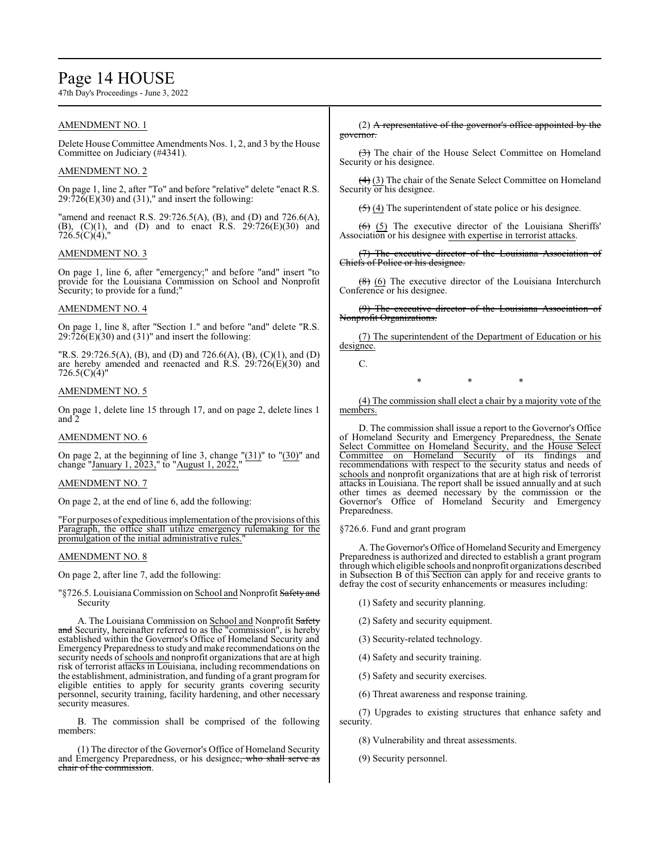## Page 14 HOUSE

47th Day's Proceedings - June 3, 2022

## AMENDMENT NO. 1

Delete House Committee Amendments Nos. 1, 2, and 3 by the House Committee on Judiciary (#4341).

## AMENDMENT NO. 2

On page 1, line 2, after "To" and before "relative" delete "enact R.S.  $29:72\overline{6}$ (E)(30) and (31)," and insert the following:

"amend and reenact R.S. 29:726.5(A), (B), and (D) and 726.6(A), (B),  $(C)(1)$ , and  $(D)$  and to enact R.S.  $29:726(E)(30)$  and 726.5(C)(4),"

## AMENDMENT NO. 3

On page 1, line 6, after "emergency;" and before "and" insert "to provide for the Louisiana Commission on School and Nonprofit Security; to provide for a fund;"

## AMENDMENT NO. 4

On page 1, line 8, after "Section 1." and before "and" delete "R.S.  $29:726(E)(30)$  and  $(31)$ " and insert the following:

"R.S. 29:726.5(A), (B), and (D) and 726.6(A), (B), (C)(1), and (D) are hereby amended and reenacted and R.S. 29:726(E)(30) and  $726.5(C)(4)$ "

### AMENDMENT NO. 5

On page 1, delete line 15 through 17, and on page 2, delete lines 1 and 2

## AMENDMENT NO. 6

On page 2, at the beginning of line 3, change  $"(31)"$  to  $"(30)"$  and change "January 1, 2023," to "August 1, 2022,"

### AMENDMENT NO. 7

On page 2, at the end of line 6, add the following:

"For purposes of expeditious implementation ofthe provisions ofthis Paragraph, the office shall utilize emergency rulemaking for the promulgation of the initial administrative rules.

### AMENDMENT NO. 8

On page 2, after line 7, add the following:

"§726.5. Louisiana Commission on School and Nonprofit Safety and Security

A. The Louisiana Commission on School and Nonprofit Safety and Security, hereinafter referred to as the "commission", is hereby established within the Governor's Office of Homeland Security and Emergency Preparedness to study and make recommendations on the security needs of schools and nonprofit organizations that are at high risk of terrorist attacks in Louisiana, including recommendations on the establishment, administration, and funding of a grant programfor eligible entities to apply for security grants covering security personnel, security training, facility hardening, and other necessary security measures.

B. The commission shall be comprised of the following members:

(1) The director of the Governor's Office of Homeland Security and Emergency Preparedness, or his designee, who shall serve as chair of the commission.

(2) A representative of the governor's office appointed by the governor.

(3) The chair of the House Select Committee on Homeland Security or his designee.

(4) (3) The chair of the Senate Select Committee on Homeland Security or his designee.

 $(5)$  (4) The superintendent of state police or his designee.

 $(6)$  (5) The executive director of the Louisiana Sheriffs' Association or his designee with expertise in terrorist attacks.

(7) The executive director of the Louisiana Association of Chiefs of Police or his designee.

 $(8)$  (6) The executive director of the Louisiana Interchurch Conference or his designee.

(9) The executive director of the Louisiana Association of Nonprofit Organizations.

(7) The superintendent of the Department of Education or his designee.

C.

\* \* \*

(4) The commission shall elect a chair by a majority vote of the members.

D. The commission shall issue a report to the Governor's Office of Homeland Security and Emergency Preparedness, the Senate Select Committee on Homeland Security, and the House Select Committee on Homeland Security of its findings and recommendations with respect to the security status and needs of schools and nonprofit organizations that are at high risk of terrorist attacks in Louisiana. The report shall be issued annually and at such other times as deemed necessary by the commission or the Governor's Office of Homeland Security and Emergency Preparedness.

### §726.6. Fund and grant program

A. The Governor's Office of Homeland Security and Emergency Preparedness is authorized and directed to establish a grant program through which eligible schools and nonprofit organizations described in Subsection B of this Section can apply for and receive grants to defray the cost of security enhancements or measures including:

- (1) Safety and security planning.
- (2) Safety and security equipment.
- (3) Security-related technology.
- (4) Safety and security training.
- (5) Safety and security exercises.
- (6) Threat awareness and response training.

(7) Upgrades to existing structures that enhance safety and security.

- (8) Vulnerability and threat assessments.
- (9) Security personnel.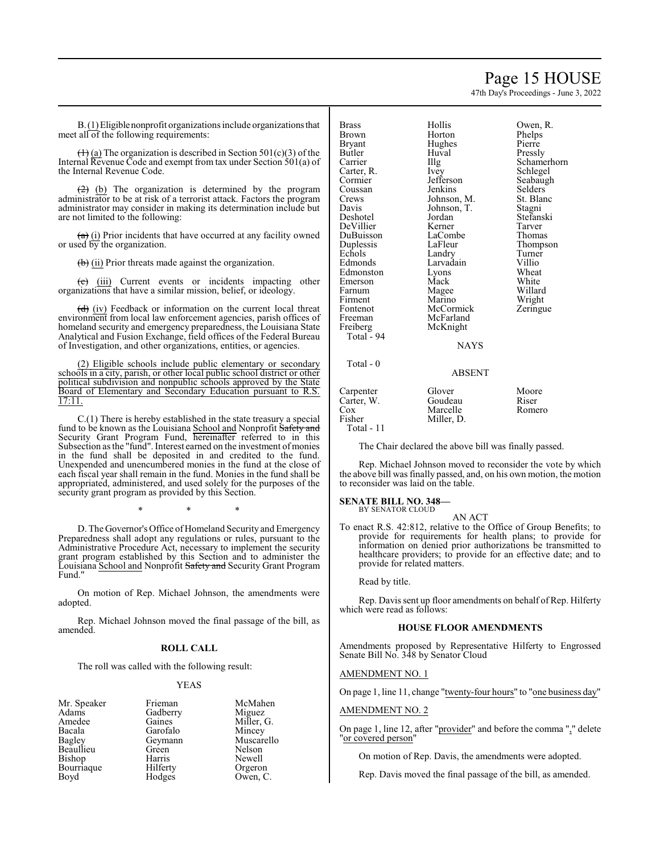## Page 15 HOUSE

47th Day's Proceedings - June 3, 2022

B.(1)Eligiblenonprofit organizations include organizationsthat meet all of the following requirements:

 $(1)$  (a) The organization is described in Section 501(c)(3) of the Internal Revenue Code and exempt from tax under Section 501(a) of the Internal Revenue Code.

 $(2)$  (b) The organization is determined by the program administrator to be at risk of a terrorist attack. Factors the program administrator may consider in making its determination include but are not limited to the following:

 $(a)$  (i) Prior incidents that have occurred at any facility owned or used by the organization.

 $\left(\frac{1}{b}\right)$  (ii) Prior threats made against the organization.

 $(e)$  (iii) Current events or incidents impacting other organizations that have a similar mission, belief, or ideology.

 $(d)$  (iv) Feedback or information on the current local threat environment from local law enforcement agencies, parish offices of homeland security and emergency preparedness, the Louisiana State Analytical and Fusion Exchange, field offices of the Federal Bureau of Investigation, and other organizations, entities, or agencies.

(2) Eligible schools include public elementary or secondary schools in a city, parish, or other local public school district or other political subdivision and nonpublic schools approved by the State Board of Elementary and Secondary Education pursuant to R.S. 17:11.

C.(1) There is hereby established in the state treasury a special fund to be known as the Louisiana School and Nonprofit Safety and Security Grant Program Fund, hereinafter referred to in this Subsection as the "fund". Interest earned on the investment of monies in the fund shall be deposited in and credited to the fund. Unexpended and unencumbered monies in the fund at the close of each fiscal year shall remain in the fund. Monies in the fund shall be appropriated, administered, and used solely for the purposes of the security grant program as provided by this Section.

\* \* \*

D. The Governor's Office of Homeland Security and Emergency Preparedness shall adopt any regulations or rules, pursuant to the Administrative Procedure Act, necessary to implement the security grant program established by this Section and to administer the Louisiana School and Nonprofit Safety and Security Grant Program Fund."

On motion of Rep. Michael Johnson, the amendments were adopted.

Rep. Michael Johnson moved the final passage of the bill, as amended.

### **ROLL CALL**

The roll was called with the following result:

Gadberry<br>Gaines

Garofalo<br>Geymann

### YEAS

| мr. Speaker |
|-------------|
| Adams       |
| Amedee      |
| Bacala      |
| Bagley      |
| Beaullieu   |
| Bishop      |
| Bourriaque  |
| Bovd        |

Frieman McMahen<br>Gadberry Miguez Miller, G.<br>Mincev Geymann Muscarello<br>Green Nelson Green Nelson<br>Beaullieu Newell Harris Newell<br>Hilferty Orgero Orgeron Hodges Owen, C.

| <b>Brass</b><br>Brown<br>Bryant<br>Butler<br>Carrier<br>Carter, R.<br>Cormier<br>Coussan<br>Crews<br>Davis<br>Deshotel<br>DeVillier<br>DuBuisson<br>Duplessis<br>Echols<br>Edmonds<br>Edmonston<br>Emerson<br>Farnum<br>Firment<br>Fontenot<br>Freeman<br>Freiberg<br>Total - 94 | Hollis<br>Horton<br>Hughes<br>Huval<br>Illg<br>Ivey<br>Jefferson<br>Jenkins<br>Johnson, M.<br>Johnson, T.<br>Jordan<br>Kerner<br>LaCombe<br>LaFleur<br>Landry<br>Larvadain<br>Lyons<br>Mack<br>Magee<br>Marino<br>McCormick<br>McFarland<br>McKnight | Owen, R.<br>Phelps<br>Pierre<br>Pressly<br>Schamerhorn<br>Schlegel<br>Seabaugh<br>Selders<br>St. Blanc<br>Stagni<br>Stefanski<br>Tarver<br>Thomas<br>Thompson<br>Turner<br>Villio<br>Wheat<br>White<br>Willard<br>Wright<br>Zeringue |
|----------------------------------------------------------------------------------------------------------------------------------------------------------------------------------------------------------------------------------------------------------------------------------|------------------------------------------------------------------------------------------------------------------------------------------------------------------------------------------------------------------------------------------------------|--------------------------------------------------------------------------------------------------------------------------------------------------------------------------------------------------------------------------------------|
|                                                                                                                                                                                                                                                                                  | <b>NAYS</b>                                                                                                                                                                                                                                          |                                                                                                                                                                                                                                      |
| Total - 0                                                                                                                                                                                                                                                                        | <b>ABSENT</b>                                                                                                                                                                                                                                        |                                                                                                                                                                                                                                      |
| Carpenter<br>Carter, W.<br>Cox<br>Fisher<br>Total - 11                                                                                                                                                                                                                           | Glover<br>Goudeau<br>Marcelle<br>Miller, D.                                                                                                                                                                                                          | Moore<br>Riser<br>Romero                                                                                                                                                                                                             |

The Chair declared the above bill was finally passed.

Rep. Michael Johnson moved to reconsider the vote by which the above bill was finally passed, and, on his own motion, the motion to reconsider was laid on the table.

## **SENATE BILL NO. 348—** BY SENATOR CLOUD

AN ACT

To enact R.S. 42:812, relative to the Office of Group Benefits; to provide for requirements for health plans; to provide for information on denied prior authorizations be transmitted to healthcare providers; to provide for an effective date; and to provide for related matters.

Read by title.

Rep. Davis sent up floor amendments on behalf of Rep. Hilferty which were read as follows:

### **HOUSE FLOOR AMENDMENTS**

Amendments proposed by Representative Hilferty to Engrossed Senate Bill No. 348 by Senator Cloud

## AMENDMENT NO. 1

On page 1, line 11, change "twenty-four hours" to "one business day"

## AMENDMENT NO. 2

On page 1, line 12, after "provider" and before the comma "," delete 'or covered person"

On motion of Rep. Davis, the amendments were adopted.

Rep. Davis moved the final passage of the bill, as amended.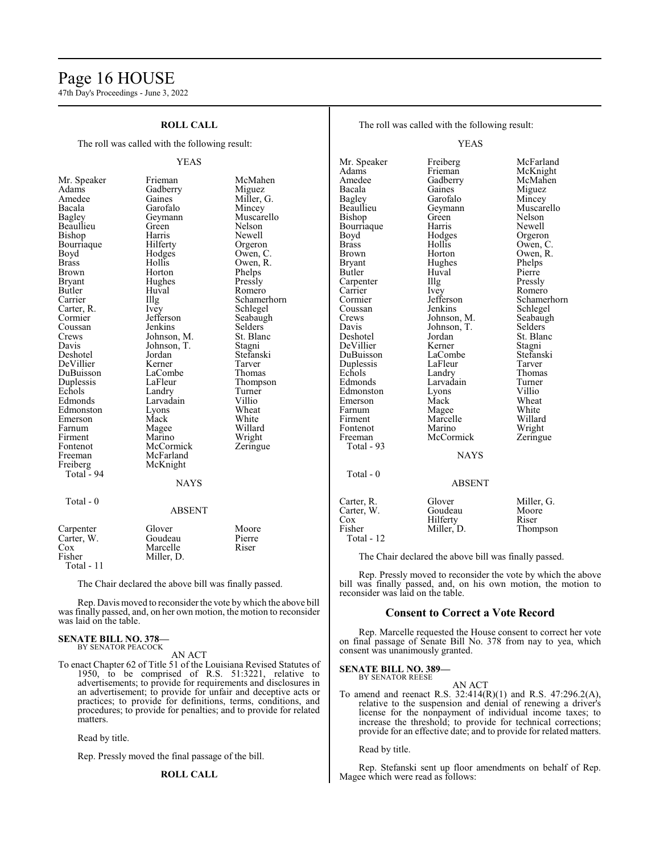## Page 16 HOUSE

47th Day's Proceedings - June 3, 2022

| <b>ROLL CALL</b><br>The roll was called with the following result: |               |                | The roll was called with the following result: |                                                       |                       |
|--------------------------------------------------------------------|---------------|----------------|------------------------------------------------|-------------------------------------------------------|-----------------------|
|                                                                    |               |                | <b>YEAS</b>                                    |                                                       |                       |
|                                                                    | <b>YEAS</b>   |                | Mr. Speaker<br>Adams                           | Freiberg<br>Frieman                                   | McFarland<br>McKnight |
| Mr. Speaker                                                        | Frieman       | McMahen        | Amedee                                         | Gadberry                                              | McMahen               |
| Adams                                                              | Gadberry      | Miguez         | Bacala                                         | Gaines                                                | Miguez                |
| Amedee                                                             | Gaines        | Miller, G.     | Bagley                                         | Garofalo                                              | Mincey                |
| Bacala                                                             | Garofalo      | Mincey         | Beaullieu                                      | Geymann                                               | Muscarello            |
| Bagley                                                             | Geymann       | Muscarello     | Bishop                                         | Green                                                 | Nelson                |
| Beaullieu                                                          | Green         | Nelson         | Bourriaque                                     | Harris                                                | Newell                |
| Bishop                                                             | Harris        | Newell         | Boyd                                           | Hodges                                                | Orgeron               |
| Bourriaque                                                         | Hilferty      | Orgeron        | <b>Brass</b>                                   | Hollis                                                | Owen, C.              |
| Boyd                                                               | Hodges        | Owen, C.       | Brown                                          | Horton                                                | Owen, R.              |
| <b>Brass</b>                                                       | Hollis        | Owen, R.       | <b>Bryant</b>                                  | Hughes                                                | Phelps                |
| Brown                                                              | Horton        | Phelps         | Butler                                         | Huval                                                 | Pierre                |
| Bryant                                                             | Hughes        | Pressly        | Carpenter                                      | Illg                                                  | Pressly               |
| Butler                                                             | Huval         | Romero         | Carrier                                        | Ivey                                                  | Romero                |
| Carrier                                                            | Illg          | Schamerhorn    | Cormier                                        | Jefferson                                             | Schamerhorn           |
| Carter, R.                                                         | Ivey          | Schlegel       | Coussan                                        | Jenkins                                               | Schlegel              |
| Cormier                                                            | Jefferson     | Seabaugh       | Crews                                          | Johnson, M.                                           | Seabaugh              |
| Coussan                                                            | Jenkins       | <b>Selders</b> | Davis                                          | Johnson, T.                                           | <b>Selders</b>        |
| Crews                                                              | Johnson, M.   | St. Blanc      | Deshotel                                       | Jordan                                                | St. Blanc             |
| Davis                                                              | Johnson, T.   | Stagni         | DeVillier                                      | Kerner                                                | Stagni                |
| Deshotel                                                           | Jordan        | Stefanski      | DuBuisson                                      | LaCombe                                               | Stefanski             |
| DeVillier                                                          | Kerner        | Tarver         | Duplessis                                      | LaFleur                                               | Tarver                |
| DuBuisson                                                          | LaCombe       | Thomas         | Echols                                         | Landry                                                | Thomas                |
| Duplessis                                                          | LaFleur       | Thompson       | Edmonds                                        | Larvadain                                             | Turner                |
| Echols                                                             | Landry        | Turner         | Edmonston                                      | Lyons                                                 | Villio                |
| Edmonds                                                            | Larvadain     | Villio         | Emerson                                        | Mack                                                  | Wheat                 |
| Edmonston                                                          | Lyons         | Wheat          | Farnum                                         | Magee                                                 | White                 |
| Emerson                                                            | Mack          | White          | Firment                                        | Marcelle                                              | Willard               |
| Farnum                                                             | Magee         | Willard        | Fontenot                                       | Marino                                                | Wright                |
| Firment                                                            | Marino        | Wright         | Freeman                                        | McCormick                                             | Zeringue              |
| Fontenot                                                           | McCormick     | Zeringue       | Total - 93                                     |                                                       |                       |
| Freeman                                                            | McFarland     |                |                                                | <b>NAYS</b>                                           |                       |
| Freiberg                                                           | McKnight      |                |                                                |                                                       |                       |
| Total - 94                                                         |               |                | Total - 0                                      |                                                       |                       |
|                                                                    | <b>NAYS</b>   |                |                                                | <b>ABSENT</b>                                         |                       |
|                                                                    |               |                |                                                |                                                       |                       |
| Total - 0                                                          |               |                | Carter, R.                                     | Glover                                                | Miller, G.            |
|                                                                    | <b>ABSENT</b> |                | Carter, W.                                     | Goudeau                                               | Moore                 |
|                                                                    |               |                | $\cos$                                         | Hilferty                                              | Riser                 |
| Carpenter                                                          | Glover        | Moore          | Fisher                                         | Miller, D.                                            | Thompson              |
| Carter, W.                                                         | Goudeau       | Pierre         | Total - 12                                     |                                                       |                       |
| Cox                                                                | Marcelle      | Riser          |                                                |                                                       |                       |
| Fisher                                                             | Miller, D.    |                |                                                | The Chair declared the above bill was finally passed. |                       |
| Total - 11                                                         |               |                |                                                |                                                       |                       |

The Chair declared the above bill was finally passed.

Rep. Davis moved to reconsider the vote by which the above bill was finally passed, and, on her own motion, the motion to reconsider was laid on the table.

### **SENATE BILL NO. 378—** BY SENATOR PEACOCK

AN ACT

To enact Chapter 62 of Title 51 of the Louisiana Revised Statutes of 1950, to be comprised of R.S. 51:3221, relative to advertisements; to provide for requirements and disclosures in an advertisement; to provide for unfair and deceptive acts or practices; to provide for definitions, terms, conditions, and procedures; to provide for penalties; and to provide for related matters.

Read by title.

Rep. Pressly moved the final passage of the bill.

### **ROLL CALL**

Read by title.

reconsider was laid on the table.

consent was unanimously granted.

**SENATE BILL NO. 389—** BY SENATOR REESE

Rep. Stefanski sent up floor amendments on behalf of Rep. Magee which were read as follows:

Rep. Pressly moved to reconsider the vote by which the above bill was finally passed, and, on his own motion, the motion to

Rep. Marcelle requested the House consent to correct her vote on final passage of Senate Bill No. 378 from nay to yea, which

**Consent to Correct a Vote Record**

AN ACT To amend and reenact R.S. 32:414(R)(1) and R.S. 47:296.2(A), relative to the suspension and denial of renewing a driver's license for the nonpayment of individual income taxes; to increase the threshold; to provide for technical corrections; provide for an effective date; and to provide for related matters.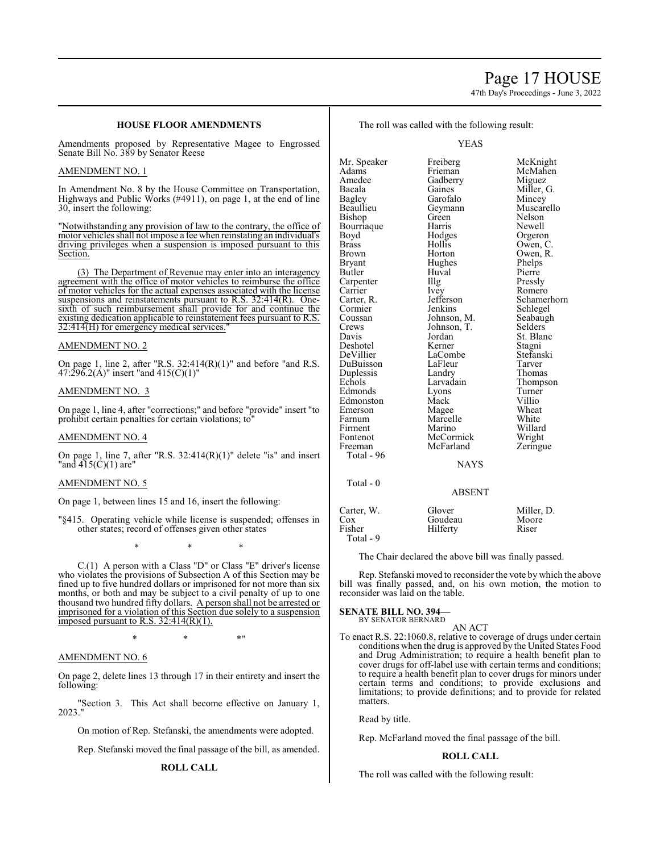## Page 17 HOUSE

47th Day's Proceedings - June 3, 2022

## **HOUSE FLOOR AMENDMENTS**

Amendments proposed by Representative Magee to Engrossed Senate Bill No. 389 by Senator Reese

## AMENDMENT NO. 1

In Amendment No. 8 by the House Committee on Transportation, Highways and Public Works (#4911), on page 1, at the end of line 30, insert the following:

"Notwithstanding any provision of law to the contrary, the office of motor vehicles shall not impose a fee when reinstating an individual's driving privileges when a suspension is imposed pursuant to this Section.

(3) The Department of Revenue may enter into an interagency agreement with the office of motor vehicles to reimburse the office of motor vehicles for the actual expenses associated with the license suspensions and reinstatements pursuant to R.S. 32:414(R). Onesixth of such reimbursement shall provide for and continue the existing dedication applicable to reinstatement fees pursuant to R.S. 32:414(H) for emergency medical services.

### AMENDMENT NO. 2

On page 1, line 2, after "R.S.  $32:414(R)(1)$ " and before "and R.S. 47:296.2(A)" insert "and 415(C)(1)"

## AMENDMENT NO. 3

On page 1, line 4, after "corrections;" and before "provide" insert "to prohibit certain penalties for certain violations; to"

### AMENDMENT NO. 4

On page 1, line 7, after "R.S. 32:414(R)(1)" delete "is" and insert "and 415(C)(1) are"

### AMENDMENT NO. 5

On page 1, between lines 15 and 16, insert the following:

"§415. Operating vehicle while license is suspended; offenses in other states; record of offenses given other states

\* \* \*

C.(1) A person with a Class "D" or Class "E" driver's license who violates the provisions of Subsection A of this Section may be fined up to five hundred dollars or imprisoned for not more than six months, or both and may be subject to a civil penalty of up to one thousand two hundred fifty dollars. A person shall not be arrested or imprisoned for a violation of this Section due solely to a suspension imposed pursuant to R.S.  $32:414(R)(1)$ .

\* \* \*"

## AMENDMENT NO. 6

On page 2, delete lines 13 through 17 in their entirety and insert the following:

"Section 3. This Act shall become effective on January 1, 2023."

On motion of Rep. Stefanski, the amendments were adopted.

Rep. Stefanski moved the final passage of the bill, as amended.

## **ROLL CALL**

The roll was called with the following result:

YEAS

Mr. Speaker Freiberg McKnight<br>
Adams Frieman McMahen Adams Frieman McMahen Amedee Gadberry Miguez<br>Bacala Gaines Miller, Bacala Gaines Miller, G.<br>Bagley Garofalo Mincey Bagley Garofalo<br>Beaullieu Geymann Geymann Muscarello<br>Green Nelson Bishop Green Nelson<br>Bourriaque Harris Newell Bourriaque Harris<br>Boyd Hodges Boyd Hodges Orgeron<br>Brass Hollis Owen, C Brass Hollis Owen, C. Brown Horton Owen, R.<br>Bryant Hughes Phelps Bryant Hughes Phelps<br>Butler Huval Pierre Huval Pierre<br>Illg Pressly Carpenter IIIg<br>Carrier Ivey Carrier Ivey Romero<br>Carter, R. Jefferson Schamer Carter, R. Jefferson Schamerhorn<br>
Cormier Jenkins Schlegel Cormier Jenkins Schlegel<br>Coussan Johnson, M. Seabaugh Coussan Johnson, M. Seabaugh<br>Crews Johnson, T. Selders Crews Johnson, T.<br>Davis Jordan Jordan St. Blanc<br>Kerner Stagni Deshotel Kerner Stagni<br>
DeVillier LaCombe Stefanski LaCombe Stefans<br>LaFleur Tarver DuBuisson LaFleur Tarver Duplessis Landry<br>
Echols Larvadain Larvadain Thompson<br>Lyons Turner Edmonds Lyons Turner<br>Edmonston Mack Villio Edmonston Mack Villio<br>
Emerson Magee Wheat Emerson Magee Wheat<br>
Farnum Marcelle White Farnum Marcelle White<br>Firment Marino Willard Firment Marino Willard<br>Fontenot McCormick Wright Fontenot McCormick Wright<br>
Freeman McFarland Zeringue McFarland Total - 96 NAYS Total - 0 ABSENT Carter, W. Glover Miller, D.<br>Cox Goudeau Moore Cox Goudeau Moor<br>
Fisher Hilferty Riser Hilferty Total - 9

The Chair declared the above bill was finally passed.

Rep. Stefanski moved to reconsider the vote by which the above bill was finally passed, and, on his own motion, the motion to reconsider was laid on the table.

#### **SENATE BILL NO. 394—** BY SENATOR BERNARD

AN ACT

To enact R.S. 22:1060.8, relative to coverage of drugs under certain conditions when the drug is approved by the United States Food and Drug Administration; to require a health benefit plan to cover drugs for off-label use with certain terms and conditions; to require a health benefit plan to cover drugs for minors under certain terms and conditions; to provide exclusions and limitations; to provide definitions; and to provide for related matters.

Read by title.

Rep. McFarland moved the final passage of the bill.

### **ROLL CALL**

The roll was called with the following result: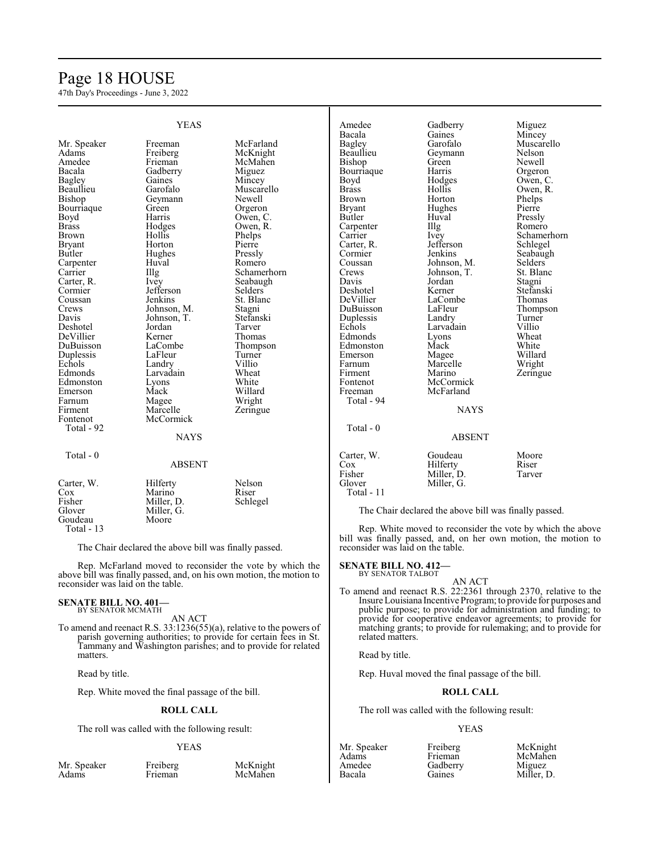## Page 18 HOUSE

47th Day's Proceedings - June 3, 2022

|               | <b>YEAS</b>       |                | Amedee        | Gadberry                                               | Miguez      |
|---------------|-------------------|----------------|---------------|--------------------------------------------------------|-------------|
|               |                   |                | Bacala        | Gaines                                                 | Mincey      |
| Mr. Speaker   | Freeman           | McFarland      | Bagley        | Garofalo                                               | Muscarello  |
| Adams         | Freiberg          | McKnight       | Beaullieu     | Geymann                                                | Nelson      |
| Amedee        | Frieman           | McMahen        | Bishop        | Green                                                  | Newell      |
| Bacala        | Gadberry          | Miguez         | Bourriaque    | Harris                                                 | Orgeron     |
| <b>Bagley</b> | Gaines            | Mincey         | Boyd          | Hodges                                                 | Owen, C.    |
| Beaullieu     | Garofalo          | Muscarello     | <b>Brass</b>  | Hollis                                                 | Owen, R.    |
| <b>Bishop</b> | Geymann           | Newell         | <b>Brown</b>  | Horton                                                 | Phelps      |
| Bourriaque    | Green             | Orgeron        | <b>Bryant</b> | Hughes                                                 | Pierre      |
| Boyd          | Harris            | Owen, C.       | Butler        | Huval                                                  | Pressly     |
| <b>Brass</b>  | Hodges            | Owen, R.       | Carpenter     | $\prod_{i=1}^{n}$                                      | Romero      |
| <b>Brown</b>  | Hollis            | Phelps         | Carrier       | Ivey                                                   | Schamerhorn |
| <b>Bryant</b> | Horton            | Pierre         | Carter, R.    | Jefferson                                              | Schlegel    |
|               |                   |                |               | Jenkins                                                |             |
| Butler        | Hughes            | Pressly        | Cormier       |                                                        | Seabaugh    |
| Carpenter     | Huval             | Romero         | Coussan       | Johnson, M.                                            | Selders     |
| Carrier       | Illg              | Schamerhorn    | Crews         | Johnson, T.                                            | St. Blanc   |
| Carter, R.    | Ivey              | Seabaugh       | Davis         | Jordan                                                 | Stagni      |
| Cormier       | Jefferson         | <b>Selders</b> | Deshotel      | Kerner                                                 | Stefanski   |
| Coussan       | Jenkins           | St. Blanc      | DeVillier     | LaCombe                                                | Thomas      |
| Crews         | Johnson, M.       | Stagni         | DuBuisson     | LaFleur                                                | Thompson    |
| Davis         | Johnson, T.       | Stefanski      | Duplessis     | Landry                                                 | Turner      |
| Deshotel      | Jordan            | Tarver         | Echols        | Larvadain                                              | Villio      |
| DeVillier     | Kerner            | Thomas         | Edmonds       | Lyons                                                  | Wheat       |
| DuBuisson     | LaCombe           | Thompson       | Edmonston     | Mack                                                   | White       |
| Duplessis     | LaFleur           | Turner         | Emerson       | Magee                                                  | Willard     |
| Echols        | Landry            | Villio         | Farnum        | Marcelle                                               | Wright      |
| Edmonds       | Larvadain         | Wheat          | Firment       | Marino                                                 | Zeringue    |
| Edmonston     | Lyons             | White          | Fontenot      | McCormick                                              |             |
| Emerson       | Mack              | Willard        | Freeman       | McFarland                                              |             |
| Farnum        |                   | Wright         | Total - 94    |                                                        |             |
| Firment       | Magee<br>Marcelle |                |               | <b>NAYS</b>                                            |             |
|               |                   | Zeringue       |               |                                                        |             |
| Fontenot      | McCormick         |                |               |                                                        |             |
| Total - 92    |                   |                | Total - 0     |                                                        |             |
|               | <b>NAYS</b>       |                |               | <b>ABSENT</b>                                          |             |
| Total - 0     |                   |                | Carter, W.    | Goudeau                                                | Moore       |
|               | <b>ABSENT</b>     |                | Cox           | Hilferty                                               | Riser       |
|               |                   |                | Fisher        | Miller, D.                                             | Tarver      |
| Carter, W.    | Hilferty          | Nelson         | Glover        | Miller, G.                                             |             |
| Cox           | Marino            | Riser          | Total - 11    |                                                        |             |
|               |                   |                |               |                                                        |             |
| Fisher        | Miller, D.        | Schlegel       |               |                                                        |             |
| Glover        | Miller, G.        |                |               | The Chair declared the above bill was finally passed.  |             |
| Goudeau       | Moore             |                |               |                                                        |             |
| Total - 13    |                   |                |               | Rep. White moved to reconsider the vote by which the a |             |

The Chair declared the above bill was finally passed.

Rep. McFarland moved to reconsider the vote by which the above bill was finally passed, and, on his own motion, the motion to reconsider was laid on the table.

### **SENATE BILL NO. 401—** BY SENATOR MCMATH

AN ACT To amend and reenact R.S. 33:1236(55)(a), relative to the powers of parish governing authorities; to provide for certain fees in St. Tammany and Washington parishes; and to provide for related matters.

Read by title.

Rep. White moved the final passage of the bill.

### **ROLL CALL**

The roll was called with the following result:

### YEAS

Mr. Speaker Freiberg McKnight<br>Adams Frieman McMahen

McMahen

Rep. White moved to reconsider the vote by which the above bill was finally passed, and, on her own motion, the motion to reconsider was laid on the table.

### **SENATE BILL NO. 412—**

BY SENATOR TALBOT

To amend and reenact R.S. 22:2361 through 2370, relative to the Insure Louisiana Incentive Program; to provide for purposes and public purpose; to provide for administration and funding; to provide for cooperative endeavor agreements; to provide for matching grants; to provide for rulemaking; and to provide for related matters.

AN ACT

Read by title.

Rep. Huval moved the final passage of the bill.

## **ROLL CALL**

The roll was called with the following result:

### YEAS

| ми. эреак |
|-----------|
| Adams     |
| Amedee    |
| Bacala    |
|           |

Mr. Speaker Freiberg McKnight<br>Adams Frieman McMahen

Gadberry<br>Gaines

McMahen<br>Miguez Miller, D.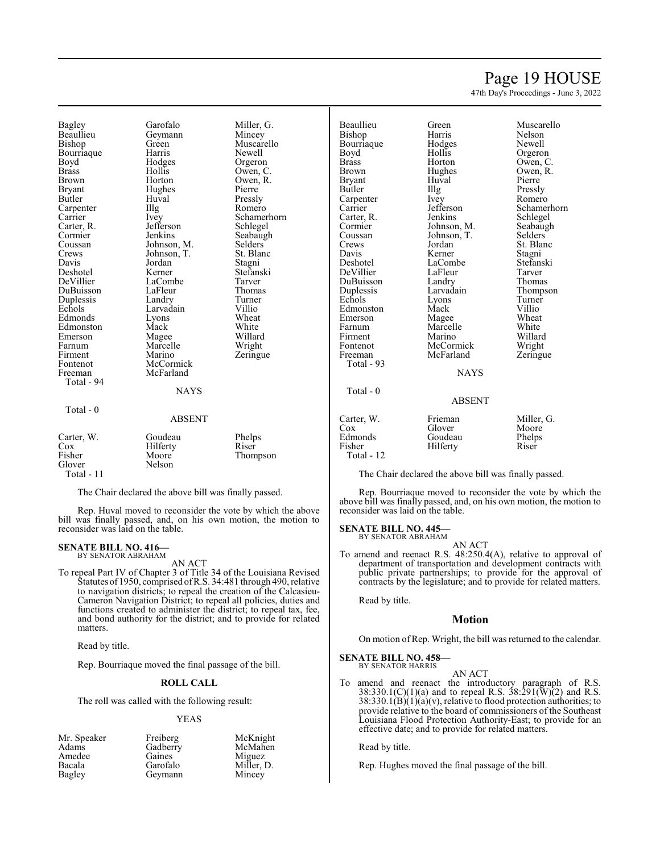## Page 19 HOUSE

47th Day's Proceedings - June 3, 2022

Owen, R.

Bagley Garofalo Miller, G.<br>Beaullieu Geymann Mincey Beaullieu Geymann<br>Bishop Green Bourriaque Harris<br>Boyd Hodges Boyd Hodges Orgeron<br>Brass Hollis Owen Brown Horton Owen, R.<br>Bryant Hughes Pierre Bryant Hughes<br>Butler Huval Carpenter Illg<br>Carrier Ivey Carter, R. Jefferson Schwarter, R. September 31, 1986 Cormier Jenkins Seabaugh<br>Coussan Johnson, M. Selders Coussan Johnson, M. Selders<br>Crews Johnson, T. St. Blanc Davis Jordan Stagni Deshotel Kerner Stefanski DuBuisson LaFleur Thoma<br>Duplessis Landry Turner Duplessis Landry Turne<br>
Echols Larvadain Villio Edmonds Lyons Wheat<br>Edmonston Mack White Edmonston Mack White<br>
Emerson Magee Willard Emerson Magee Willard<br>Farnum Marcelle Wright Farnum Marcelle<br>
Firment Marino Firment Marino Zeringue<br>Fontenot McCormick Zeringue Fontenot McCormick<br>Freeman McFarland Total - 94 Total - 0

Huval Pressly<br>Illg Romero Johnson, T.<br>Iordan LaCombe Tarver<br>LaFleur Thomas Larvadain Villio<br>
Lyons Wheat McFarland **NAYS** 

Green Muscarello<br>Harris Newell Owen, C. Ivey Schamerhorn<br>Jefferson Schlegel

### ABSENT

| Carter, W.<br>$\cos$<br>Fisher<br>Glover<br>Total - $11$ | Goudeau<br>Hilferty<br>Moore<br>Nelson | Phelps<br>Riser<br>Thompson |
|----------------------------------------------------------|----------------------------------------|-----------------------------|
|----------------------------------------------------------|----------------------------------------|-----------------------------|

The Chair declared the above bill was finally passed.

Rep. Huval moved to reconsider the vote by which the above bill was finally passed, and, on his own motion, the motion to reconsider was laid on the table.

#### **SENATE BILL NO. 416—** BY SENATOR ABRAHAM

AN ACT

To repeal Part IV of Chapter 3 of Title 34 of the Louisiana Revised Statutes of 1950, comprised ofR.S. 34:481 through 490, relative to navigation districts; to repeal the creation of the Calcasieu-Cameron Navigation District; to repeal all policies, duties and functions created to administer the district; to repeal tax, fee, and bond authority for the district; and to provide for related matters.

Read by title.

Rep. Bourriaque moved the final passage of the bill.

## **ROLL CALL**

The roll was called with the following result:

### YEAS

| Mr. Speaker | Freiberg | McKnight   |
|-------------|----------|------------|
| Adams       | Gadberry | McMahen    |
| Amedee      | Gaines   | Miguez     |
| Bacala      | Garofalo | Miller. D. |
| Bagley      | Geymann  | Mincey     |

Beaullieu Green Muscarello<br>Bishon Harris Nelson Bishop Harris Nelson Bourriaque Hodges Newell<br>Boyd Hollis Orgero Boyd Hollis Orgeron<br>Brass Horton Owen C Brass Horton Owen, C.<br>Brown Hughes Owen, R. Bryant Huval Pierre<br>Butler Hlg Pressl Illg Pressly<br>Ivey Romero Carpenter Ivey<br>Carrier Jefferson Carrier Jefferson Schamerhorn Carter, R. Jenkins Schlegel<br>Cormier Johnson, M. Seabaugh Cormier Johnson, M. Seabaugh<br>Coussan Johnson, T. Selders Coussan Johnson, T.<br>Crews Jordan Crews Jordan St. Blanc<br>
Davis Kerner Stagni Davis Kerner Stagni Deshotel LaCombe Stefanski DeVillier LaFleur Tarver<br>
DuBuisson Landry Thomas DuBuisson Landry<br>
Duplessis Larvadain Duplessis Larvadain Thompson<br>
Echols Lyons Turner Echols Lyons Turner Edmonston Mack Villio<br>Emerson Magee Wheat Emerson Magee Wheat<br>
Farnum Marcelle White Farnum Marcelle<br>Firment Marino Firment Marino Willard<br>Fontenot McCormick Wright Fontenot McCormick Wright<br>Freeman McFarland Zeringue McFarland Total - 93 Total - 0

# **NAYS** ABSENT

| Frieman  | Miller, G. |
|----------|------------|
| Glover   | Moore      |
| Goudeau  | Phelps     |
| Hilferty | Riser      |
|          |            |
|          |            |

The Chair declared the above bill was finally passed.

Rep. Bourriaque moved to reconsider the vote by which the above bill was finally passed, and, on his own motion, the motion to reconsider was laid on the table.

## **SENATE BILL NO. 445—**

BY SENATOR ABRAHAM AN ACT

To amend and reenact R.S. 48:250.4(A), relative to approval of department of transportation and development contracts with public private partnerships; to provide for the approval of contracts by the legislature; and to provide for related matters.

Read by title.

### **Motion**

On motion of Rep. Wright, the bill was returned to the calendar.

**SENATE BILL NO. 458—** BY SENATOR HARRIS

### AN ACT

To amend and reenact the introductory paragraph of R.S. 38:330.1(C)(1)(a) and to repeal R.S.  $38:291(\text{W})(2)$  and R.S.  $38:330.1(B)(1)(a)(v)$ , relative to flood protection authorities; to provide relative to the board of commissioners of the Southeast Louisiana Flood Protection Authority-East; to provide for an effective date; and to provide for related matters.

Read by title.

Rep. Hughes moved the final passage of the bill.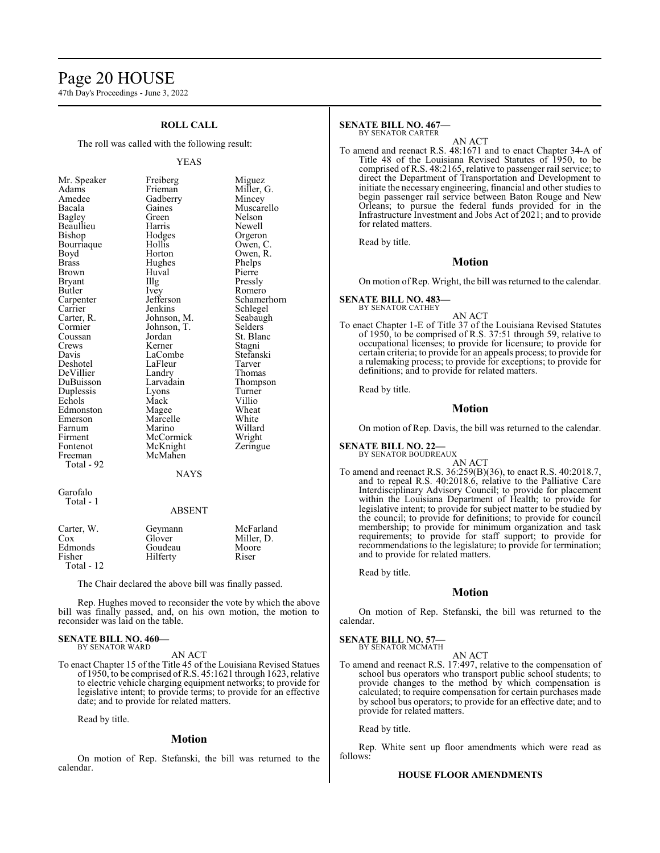## Page 20 HOUSE

47th Day's Proceedings - June 3, 2022

## **ROLL CALL**

The roll was called with the following result:

Amedee Gadberry<br>Bacala Gaines Beaullieu Harris<br>Bishop Hodges Bourriaque Hollis<br>Bovd Horton Brown Huval<br>Bryant Huyal Cormier Johnson, T.<br>Coussan Iordan DeVillier Landry<br>
DuBuisson Larvadain Fontenot McKnight<br>Freeman McMahen Total - 92

YEAS Mr. Speaker Freiberg Miguez<br>Adams Frieman Miller, Adams Frieman Miller, G.<br>Amedee Gadberry Mincey Gaines Muscarello<br>
Green Nelson Bagley Green Nelson<br>Beaullieu Harris Newell Hodges Orgeron<br>Hollis Owen, C. Owen, R.<br>Phelps Brass Hughes Phelps Bryant IIIg Pressly<br>Butler Ivev Romerc Butler Ivey Romero<br>
Carpenter Jefferson Schame Carpenter Jefferson Schamerhorn<br>
Carrier Jenkins Schlegel Carrier Jenkins Schlegel<br>Carter, R. Johnson, M. Seabaugh Carter, R. Johnson, M. Seabaug<br>Cormier Johnson, T. Selders Coussan Jordan St. Blanc<br>Crews Kerner Stagni Crews Kerner Stagni<br>
Davis LaCombe Stefanski LaCombe Stefans<br>LaFleur Tarver Deshotel LaFleur Tarver Larvadain Thompson<br>Lyons Turner Duplessis Lyons Turner Echols Mack Villio<br>Edmonston Mage Wheat Edmonston Magee Wheat<br>
Emerson Marcelle White Emerson Marcelle White<br>
Farnum Marino Willard Farnum Marino Willard<br>Firment McCormick Wright Firment McCormick Wright<br>Fontenot McKnight Zeringue McMahen

### NAYS

Garofalo Total - 1

### ABSENT

| Carter, W.<br>$\cos$  | Geymann<br>Glover | McFarland<br>Miller, D. |
|-----------------------|-------------------|-------------------------|
| Edmonds               | Goudeau           | Moore                   |
| Fisher<br>Total $-12$ | Hilferty          | Riser                   |

The Chair declared the above bill was finally passed.

Rep. Hughes moved to reconsider the vote by which the above bill was finally passed, and, on his own motion, the motion to reconsider was laid on the table.

### **SENATE BILL NO. 460—** BY SENATOR WARD

AN ACT

To enact Chapter 15 of the Title 45 of the Louisiana Revised Statues of 1950, to be comprised ofR.S. 45:1621 through 1623, relative to electric vehicle charging equipment networks; to provide for legislative intent; to provide terms; to provide for an effective date; and to provide for related matters.

Read by title.

## **Motion**

On motion of Rep. Stefanski, the bill was returned to the calendar.

## **SENATE BILL NO. 467—**

BY SENATOR CARTER

AN ACT To amend and reenact R.S. 48:1671 and to enact Chapter 34-A of Title 48 of the Louisiana Revised Statutes of 1950, to be comprised of R.S. 48:2165, relative to passenger rail service; to direct the Department of Transportation and Development to initiate the necessary engineering, financial and other studies to begin passenger rail service between Baton Rouge and New Orleans; to pursue the federal funds provided for in the Infrastructure Investment and Jobs Act of 2021; and to provide for related matters.

Read by title.

## **Motion**

On motion of Rep. Wright, the bill was returned to the calendar.

#### **SENATE BILL NO. 483—** BY SENATOR CATHEY

AN ACT

To enact Chapter 1-E of Title 37 of the Louisiana Revised Statutes of 1950, to be comprised of R.S. 37:51 through 59, relative to occupational licenses; to provide for licensure; to provide for certain criteria; to provide for an appeals process; to provide for a rulemaking process; to provide for exceptions; to provide for definitions; and to provide for related matters.

Read by title.

### **Motion**

On motion of Rep. Davis, the bill was returned to the calendar.

**SENATE BILL NO. 22—**

BY SENATOR BOUDREAUX

- AN ACT
- To amend and reenact R.S. 36:259(B)(36), to enact R.S. 40:2018.7, and to repeal R.S. 40:2018.6, relative to the Palliative Care Interdisciplinary Advisory Council; to provide for placement within the Louisiana Department of Health; to provide for legislative intent; to provide for subject matter to be studied by the council; to provide for definitions; to provide for council membership; to provide for minimum organization and task requirements; to provide for staff support; to provide for recommendations to the legislature; to provide for termination; and to provide for related matters.

Read by title.

## **Motion**

On motion of Rep. Stefanski, the bill was returned to the calendar.

### **SENATE BILL NO. 57—**

BY SENATOR MCMATH AN ACT

To amend and reenact R.S. 17:497, relative to the compensation of school bus operators who transport public school students; to provide changes to the method by which compensation is calculated; to require compensation for certain purchases made by school bus operators; to provide for an effective date; and to provide for related matters.

Read by title.

Rep. White sent up floor amendments which were read as follows:

## **HOUSE FLOOR AMENDMENTS**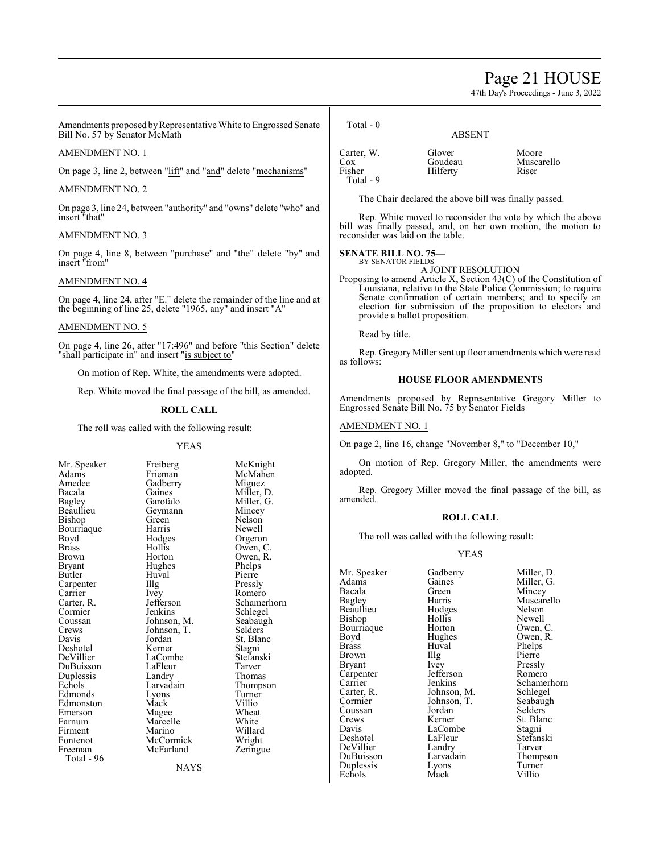## Page 21 HOUSE

47th Day's Proceedings - June 3, 2022

Amendments proposed by Representative White to Engrossed Senate Bill No. 57 by Senator McMath

## AMENDMENT NO. 1

On page 3, line 2, between "lift" and "and" delete "mechanisms"

### AMENDMENT NO. 2

On page 3, line 24, between "authority" and "owns" delete "who" and insert "that"

## AMENDMENT NO. 3

On page 4, line 8, between "purchase" and "the" delete "by" and insert "from"

## AMENDMENT NO. 4

On page 4, line 24, after "E." delete the remainder of the line and at the beginning of line 25, delete "1965, any" and insert "A"

### AMENDMENT NO. 5

On page 4, line 26, after "17:496" and before "this Section" delete "shall participate in" and insert "is subject to"

On motion of Rep. White, the amendments were adopted.

Rep. White moved the final passage of the bill, as amended.

## **ROLL CALL**

The roll was called with the following result:

### YEAS

Amedee Gadberry<br>Bacala Gaines Bourriaque Harris<br>Boyd Hodges Bryant Hughes<br>Butler Huval Carpenter Illg<br>Carrier Ivey Crews Johnson, T.<br>Davis Jordan Duplessis Landry<br>
Echols Larvadain Total - 96

Mr. Speaker Freiberg McKnight<br>Adams Frieman McMahen Adams Frieman McMahen<br>Amedee Gadberry Miguez Bacala Gaines Miller, D.<br>Bagley Garofalo Miller, G. Bagley Garofalo Miller, G.<br>Beaullieu Geymann Mincey Geymann Mincey<br>Green Nelson Bishop Green Nelson<br>Bourriaque Harris Newell Boyd Hodges Orgeron<br>Brass Hollis Owen, C Brass Hollis Owen, C. Brown Horton Owen, R.<br>Bryant Hughes Phelps Huval Pierre<br>Illg Pressly Carrier Ivey Romero<br>Carter, R. Jefferson Schamer Carter, R. Jefferson Schamerhorn<br>
Cormier Jenkins Schlegel Cormier Jenkins Schlegel<br>Coussan Johnson, M. Seabaugh Coussan Johnson, M. Seabaugh<br>Crews Johnson, T. Selders Jordan St. Blanc<br>Kerner Stagni Deshotel Kerner Stagni LaCombe Stefans<br>LaFleur Tarver DuBuisson LaFleur Tarver<br>
Duplessis Landry Thomas Larvadain Thompson<br>Lyons Turner Edmonds Lyons Turner<br>Edmonston Mack Villio Edmonston Mack Villio<br>Emerson Magee Wheat Emerson Magee Wheat<br>
Farnum Marcelle White Marcelle White<br>
Marino Willard Firment Marino Willard<br>Fontenot McCormick Wright Fontenot McCormick Wright<br>
Freeman McFarland Zeringue McFarland

**NAYS** 

Total - 0

Carter, W. Glover Moore<br>Cox Goudeau Musca Cox Goudeau Muscarello<br>
Fisher Hilferty Riser Hilferty Total - 9

ABSENT

The Chair declared the above bill was finally passed.

Rep. White moved to reconsider the vote by which the above bill was finally passed, and, on her own motion, the motion to reconsider was laid on the table.

**SENATE BILL NO. 75—** BY SENATOR FIELDS

## A JOINT RESOLUTION

Proposing to amend Article X, Section 43(C) of the Constitution of Louisiana, relative to the State Police Commission; to require Senate confirmation of certain members; and to specify an election for submission of the proposition to electors and provide a ballot proposition.

Read by title.

Rep. Gregory Miller sent up floor amendments which were read as follows:

### **HOUSE FLOOR AMENDMENTS**

Amendments proposed by Representative Gregory Miller to Engrossed Senate Bill No. 75 by Senator Fields

## AMENDMENT NO. 1

On page 2, line 16, change "November 8," to "December 10,"

On motion of Rep. Gregory Miller, the amendments were adopted.

Rep. Gregory Miller moved the final passage of the bill, as amended.

### **ROLL CALL**

The roll was called with the following result:

## YEAS

Bourriaque Horton<br>Boyd Hughes Brown Illg<br>Bryant Ivey Carpenter Jefferson<br>Carrier Jenkins Coussan Jordan<br>Crews Kerner Echols

Mr. Speaker Gadberry Miller, D.<br>Adams Gaines Miller, G. Adams Gaines Miller, G.<br>Bacala Green Mincey Bacala Green Mincey Harris Muscarello<br>Hodges Nelson Beaullieu Hodges Nelson Bishop Hollis Newell<br>Bourriaque Horton Owen, C. Boyd Hughes Owen, R.<br>Brass Huval Phelps Huval Phelps<br>Illg Pierre Ivey Pressly<br>Jefferson Romero Carter, R. Johnson, M. Schlegel<br>Cormier Johnson, T. Seabaugh Johnson, T. Seabaughter Seabaughter Seabaughter Seabaughter Seabaughter Seabaughter Seabaughter Seabaughter Seabaughter Seabaughter Seabaughter Seabaughter Seabaughter Seabaughter Seabaughter Seabaughter Seabaughter Seabau Crews Kerner St. Blanc<br>
Davis I.aCombe Stagni LaCombe<br>LaFleur Stefanski Deshotel LaFleur Stefans<br>DeVillier Landry Tarver DeVillier Landry Tarver DuBuisson Larvadain Thomp<br>Duplessis Lyons Turner Duplessis Lyons Turne<br>
Echols Mack Villio

Carrier Jenkins Schamerhorn<br>Carter, R. Johnson, M. Schlegel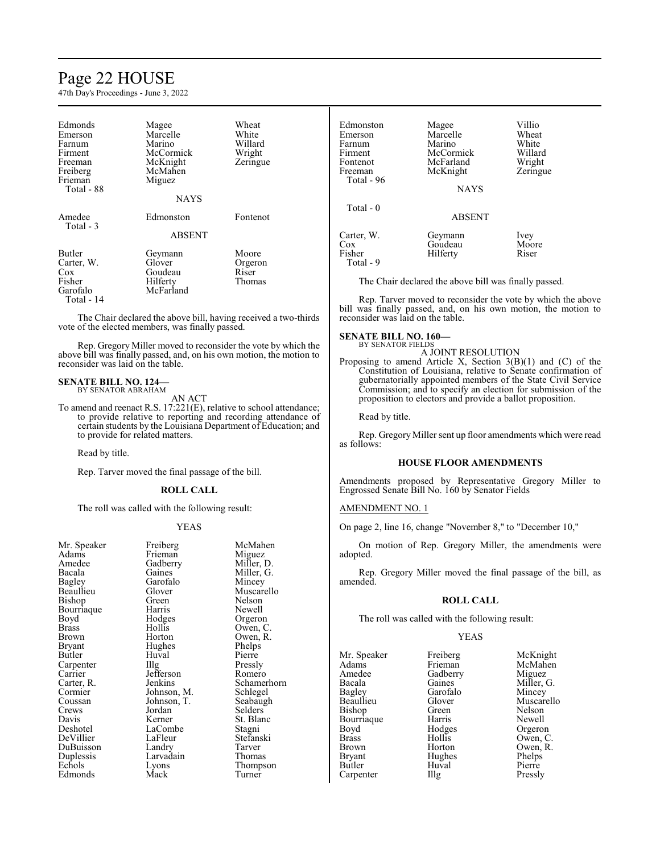## Page 22 HOUSE

47th Day's Proceedings - June 3, 2022

| Edmonds<br>Emerson<br>Farnum<br>Firment<br>Freeman<br>Freiberg<br>Frieman<br>Total - 88 | Magee<br>Marcelle<br>Marino<br>McCormick<br>McKnight<br>McMahen<br>Miguez<br>NAYS | Wheat<br>White<br>Willard<br>Wright<br>Zeringue |
|-----------------------------------------------------------------------------------------|-----------------------------------------------------------------------------------|-------------------------------------------------|
| Amedee<br>Total - 3                                                                     | Edmonston<br><b>ABSENT</b>                                                        | Fontenot                                        |
| <b>Butler</b><br>Carter, W.<br>$\cos$<br>Fisher<br>Garofalo<br>Total - 14               | Geymann<br>Glover<br>Goudeau<br>Hilferty<br>McFarland                             | Moore<br>Orgeron<br>Riser<br>Thomas             |

The Chair declared the above bill, having received a two-thirds vote of the elected members, was finally passed.

Rep. Gregory Miller moved to reconsider the vote by which the above bill was finally passed, and, on his own motion, the motion to reconsider was laid on the table.

## **SENATE BILL NO. 124—** BY SENATOR ABRAHAM

AN ACT

To amend and reenact R.S. 17:221(E), relative to school attendance; to provide relative to reporting and recording attendance of certain students by the Louisiana Department of Education; and to provide for related matters.

Read by title.

Rep. Tarver moved the final passage of the bill.

### **ROLL CALL**

The roll was called with the following result:

### YEAS

| Mr. Speaker | Freiberg    | McMahen     |
|-------------|-------------|-------------|
| Adams       | Frieman     | Miguez      |
| Amedee      | Gadberry    | Miller, D.  |
| Bacala      | Gaines      | Miller, G.  |
| Bagley      | Garofalo    | Mincey      |
| Beaullieu   | Glover      | Muscarello  |
| Bishop      | Green)      | Nelson      |
| Bourriaque  | Harris      | Newell      |
| Boyd        | Hodges      | Orgeron     |
| Brass       | Hollis      | Owen, C.    |
| Brown       | Horton      | Owen, R.    |
| Bryant      | Hughes      | Phelps      |
| Butler      | Huval       | Pierre      |
| Carpenter   | Illg        | Pressly     |
| Carrier     | Jefferson   | Romero      |
| Carter, R.  | Jenkins     | Schamerhorn |
| Cormier     | Johnson, M. | Schlegel    |
| Coussan     | Johnson, T. | Seabaugh    |
| Crews       | Jordan      | Selders     |
| Davis       | Kerner      | St. Blanc   |
| Deshotel    | LaCombe     | Stagni      |
| DeVillier   | LaFleur     | Stefanski   |
| DuBuisson   | Landry      | Tarver      |
| Duplessis   | Larvadain   | Thomas      |
| Echols      | Lyons       | Thompson    |
| Edmonds     | Mack        | Turner      |

| Edmonston<br>Emerson<br>Farnum<br>Firment<br>Fontenot<br>Freeman<br>Total - 96 | Magee<br>Marcelle<br>Marino<br>McCormick<br>McFarland<br>McKnight<br><b>NAYS</b> | Villio<br>Wheat<br>White<br>Willard<br>Wright<br>Zeringue |
|--------------------------------------------------------------------------------|----------------------------------------------------------------------------------|-----------------------------------------------------------|
| Total $-0$                                                                     | <b>ABSENT</b>                                                                    |                                                           |
| Carter, W.<br>Cox<br>Fisher<br>Total - 9                                       | Geymann<br>Goudeau<br>Hilferty                                                   | Ivey<br>Moore<br>Riser                                    |

The Chair declared the above bill was finally passed.

Rep. Tarver moved to reconsider the vote by which the above bill was finally passed, and, on his own motion, the motion to reconsider was laid on the table.

## **SENATE BILL NO. 160—** BY SENATOR FIELDS

A JOINT RESOLUTION

Proposing to amend Article X, Section 3(B)(1) and (C) of the Constitution of Louisiana, relative to Senate confirmation of gubernatorially appointed members of the State Civil Service Commission; and to specify an election for submission of the proposition to electors and provide a ballot proposition.

Read by title.

Rep. Gregory Miller sent up floor amendments which were read as follows:

### **HOUSE FLOOR AMENDMENTS**

Amendments proposed by Representative Gregory Miller to Engrossed Senate Bill No. 160 by Senator Fields

### AMENDMENT NO. 1

On page 2, line 16, change "November 8," to "December 10,"

On motion of Rep. Gregory Miller, the amendments were adopted.

Rep. Gregory Miller moved the final passage of the bill, as amended.

## **ROLL CALL**

The roll was called with the following result:

### YEAS

Mr. Speaker Freiberg McKnight<br>
Adams Frieman McMahen Adams Frieman McMahen<br>Amedee Gadberry Miguez Amedee Gadberry<br>Bacala Gaines Bacala Gaines Miller, G. Bagley Garofalo Mincey Bagley Garofalo<br>Beaullieu Glover Bishop Green Nelson<br>Bourriaque Harris Newell Bourriaque Harris Newell<br>Boyd Hodges Orgeron Boyd Hodges<br>Brass Hollis Brass Hollis Owen, C. Brown Horton Owen, R.<br>Bryant Hughes Phelps Butler Huval Pierre<br>
Carpenter IIIg Pressly Carpenter

Glover Muscarello<br>Green Nelson Hughes Phelps<br>Huval Pierre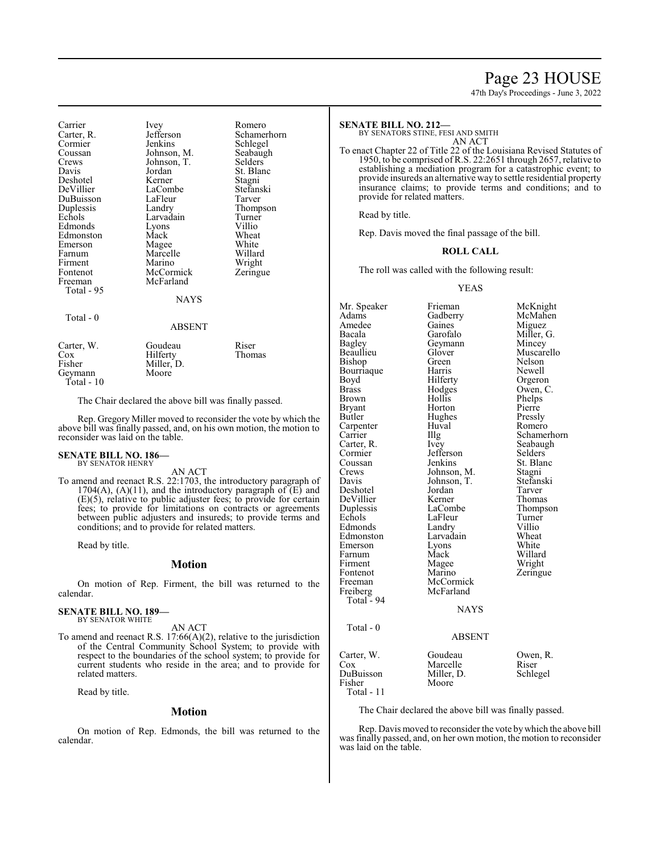## Page 23 HOUSE

Schamerhorn<br>Seabaugh

47th Day's Proceedings - June 3, 2022

| Carrier<br>Carter, R.<br>Cormier<br>Coussan<br>Crews<br>Davis<br>Deshotel<br>DeVillier<br>DuBuisson<br>Duplessis<br>Echols<br>Edmonds<br>Edmonston<br>Emerson<br>Farnum<br>Firment<br>Fontenot<br>Freeman<br>Total - 95 | Ivey<br>Jefferson<br>Jenkins<br>Johnson, M.<br>Johnson, T.<br>Jordan<br>Kerner<br>LaCombe<br>LaFleur<br>Landry<br>Larvadain<br>Lyons<br>Mack<br>Magee<br>Marcelle<br>Marino<br>McCormick<br>McFarland<br><b>NAYS</b> | Romero<br>Schamerhorn<br>Schlegel<br>Seabaugh<br>Selders<br>St. Blanc<br>Stagni<br>Stefanski<br>Tarver<br>Thompson<br>Turner<br>Villio<br>Wheat<br>White<br>Willard<br>Wright<br>Zeringue |
|-------------------------------------------------------------------------------------------------------------------------------------------------------------------------------------------------------------------------|----------------------------------------------------------------------------------------------------------------------------------------------------------------------------------------------------------------------|-------------------------------------------------------------------------------------------------------------------------------------------------------------------------------------------|
| Total - 0                                                                                                                                                                                                               | <b>ABSENT</b>                                                                                                                                                                                                        |                                                                                                                                                                                           |
| Carter, W.<br>Cox<br>Fisher                                                                                                                                                                                             | Goudeau<br>Hilferty<br>Miller, D.                                                                                                                                                                                    | Riser<br>Thomas                                                                                                                                                                           |

Geymann Moore Total - 10

The Chair declared the above bill was finally passed.

Rep. Gregory Miller moved to reconsider the vote by which the above bill was finally passed, and, on his own motion, the motion to reconsider was laid on the table.

## **SENATE BILL NO. 186—** BY SENATOR HENRY

AN ACT

To amend and reenact R.S. 22:1703, the introductory paragraph of 1704(A), (A)(11), and the introductory paragraph of  $(E)$  and (E)(5), relative to public adjuster fees; to provide for certain fees; to provide for limitations on contracts or agreements between public adjusters and insureds; to provide terms and conditions; and to provide for related matters.

Read by title.

### **Motion**

On motion of Rep. Firment, the bill was returned to the calendar.

#### **SENATE BILL NO. 189—** BY SENATOR WHITE

AN ACT

To amend and reenact R.S. 17:66(A)(2), relative to the jurisdiction of the Central Community School System; to provide with respect to the boundaries of the school system; to provide for current students who reside in the area; and to provide for related matters.

Read by title.

## **Motion**

On motion of Rep. Edmonds, the bill was returned to the calendar.

### **SENATE BILL NO. 212—**

BY SENATORS STINE, FESI AND SMITH

AN ACT

To enact Chapter 22 of Title 22 of the Louisiana Revised Statutes of 1950, to be comprised of R.S. 22:2651 through 2657, relative to establishing a mediation program for a catastrophic event; to provide insureds an alternative way to settle residential property insurance claims; to provide terms and conditions; and to provide for related matters.

Read by title.

Rep. Davis moved the final passage of the bill.

### **ROLL CALL**

The roll was called with the following result:

### YEAS

Mr. Speaker Frieman McKnight<br>Adams Gadberry McMahen Adams Gadberry McMah<br>Amedee Gaines Miguez Amedee Gaines<br>Bacala Garofalo Bacala Garofalo Miller, G. Bagley Geymann<br>Beaullieu Glover Glover Muscarello<br>Green Nelson Bishop Green Nelson<br>Bourriaque Harris Newell Bourriaque Harris<br>Boyd Hilferty Boyd Hilferty Orgeron<br>Brass Hodges Owen, C Hodges Owen, C.<br>Hollis Phelps Brown Hollis<br>Bryant Horton Bryant Horton Pierre<br>Butler Hughes Pressly Hughes Pressly<br>Huval Romero Carpenter Huv<br>Carrier Hllg Carter, R. Ivey Seabaugh Cormier Jefferson<br>Coussan Jenkins Coussan Jenkins St. Blanc<br>Crews Johnson, M. Stagni Crews Johnson, M. Stagni<br>
Davis Johnson, T. Stefanski Johnson, T. Stefans<br>Jordan Tarver Deshotel Jordan Tarver DeVillier Kerner<br>
Duplessis LaCombe Duplessis LaCombe Thompson<br>
Echols LaFleur Turner LaFleur Turner<br>
Landrv Villio Edmonds Landry Villio<br>Edmonston Larvadain Wheat Edmonston Larvadain Wheat<br>
Emerson Lyons White Emerson Lyons White<br>
Farnum Mack Willard Farnum Mack<br>Firment Magee Firment Magee Wright<br>
Fontenot Marino Zeringu Fontenot Marino Zeringue<br>Freeman McCormick Freeman McCormick<br>Freiberg McFarland McFarland Total  $-94$ **NAYS**  Total - 0 ABSENT Carter, W. Goudeau Dwen, R. Cox Marcelle Riser Marcelle Riser<br>
Miller, D. Schlegel DuBuisson<br>Fisher Moore

Total - 11

The Chair declared the above bill was finally passed.

Rep. Davis moved to reconsider the vote bywhich the above bill was finally passed, and, on her own motion, the motion to reconsider was laid on the table.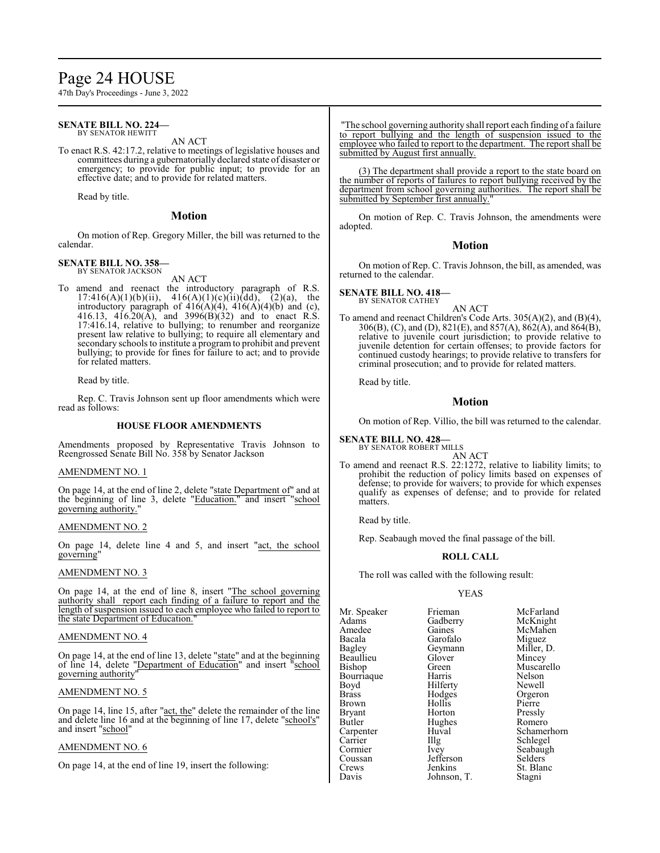# Page 24 HOUSE

47th Day's Proceedings - June 3, 2022

#### **SENATE BILL NO. 224—** BY SENATOR HEWITT

AN ACT

To enact R.S. 42:17.2, relative to meetings of legislative houses and committees during a gubernatorially declared state of disaster or emergency; to provide for public input; to provide for an effective date; and to provide for related matters.

Read by title.

## **Motion**

On motion of Rep. Gregory Miller, the bill was returned to the calendar.

#### **SENATE BILL NO. 358—** BY SENATOR JACKSON

AN ACT

To amend and reenact the introductory paragraph of R.S. 17:416(A)(1)(b)(ii),  $416(A)(1)(c)(ii)(dd)$ ,  $(2)(a)$ , the introductory paragraph of  $416(A)(4)$ ,  $416(A)(4)(b)$  and (c), 416.13, 416.20(A), and 3996(B)(32) and to enact R.S. 17:416.14, relative to bullying; to renumber and reorganize present law relative to bullying; to require all elementary and secondary schools to institute a program to prohibit and prevent bullying; to provide for fines for failure to act; and to provide for related matters.

Read by title.

Rep. C. Travis Johnson sent up floor amendments which were read as follows:

## **HOUSE FLOOR AMENDMENTS**

Amendments proposed by Representative Travis Johnson to Reengrossed Senate Bill No. 358 by Senator Jackson

## AMENDMENT NO. 1

On page 14, at the end of line 2, delete "state Department of" and at the beginning of line 3, delete "Education." and insert "school governing authority."

## AMENDMENT NO. 2

On page 14, delete line 4 and 5, and insert "act, the school governing"

## AMENDMENT NO. 3

On page 14, at the end of line 8, insert "The school governing authority shall report each finding of a failure to report and the length of suspension issued to each employee who failed to report to the state Department of Education.

## AMENDMENT NO. 4

On page 14, at the end of line 13, delete "state" and at the beginning of line 14, delete "Department of Education" and insert "school governing authority"

### AMENDMENT NO. 5

On page 14, line 15, after "act, the" delete the remainder of the line and delete line 16 and at the beginning of line 17, delete "school's" and insert "school"

## AMENDMENT NO. 6

On page 14, at the end of line 19, insert the following:

The school governing authority shall report each finding of a failure to report bullying and the length of suspension issued to the employee who failed to report to the department. The report shall be submitted by August first annually.

(3) The department shall provide a report to the state board on the number of reports of failures to report bullying received by the department from school governing authorities. The report shall be submitted by September first annually.

On motion of Rep. C. Travis Johnson, the amendments were adopted.

## **Motion**

On motion of Rep. C. Travis Johnson, the bill, as amended, was returned to the calendar.

## **SENATE BILL NO. 418—**

BY SENATOR CATHEY AN ACT

To amend and reenact Children's Code Arts. 305(A)(2), and (B)(4), 306(B), (C), and (D), 821(E), and 857(A), 862(A), and 864(B), relative to juvenile court jurisdiction; to provide relative to juvenile detention for certain offenses; to provide factors for continued custody hearings; to provide relative to transfers for criminal prosecution; and to provide for related matters.

Read by title.

## **Motion**

On motion of Rep. Villio, the bill was returned to the calendar.

## **SENATE BILL NO. 428—**

BY SENATOR ROBERT MILLS AN ACT

To amend and reenact R.S. 22:1272, relative to liability limits; to prohibit the reduction of policy limits based on expenses of defense; to provide for waivers; to provide for which expenses qualify as expenses of defense; and to provide for related matters.

Read by title.

Rep. Seabaugh moved the final passage of the bill.

## **ROLL CALL**

The roll was called with the following result:

### YEAS

| Mr. Speaker   | Frieman   | McFarland  |
|---------------|-----------|------------|
| Adams         | Gadberry  | McKnight   |
| Amedee        | Gaines    | McMahen    |
| Bacala        | Garofalo  | Miguez     |
| <b>Bagley</b> | Geymann   | Miller, D. |
| Beaullieu     | Glover    | Mincey     |
| Bishop        | Green     | Muscarello |
| Bourriaque    | Harris    | Nelson     |
| Boyd          | Hilferty  | Newell     |
| <b>Brass</b>  | Hodges    | Orgeron    |
| <b>Brown</b>  | Hollis    | Pierre     |
| <b>Bryant</b> | Horton    | Pressly    |
| Butler        | Hughes    | Romero     |
| Carpenter     | Huval     | Schamerhor |
| Carrier       | Illg      | Schlegel   |
| Cormier       | Ivey      | Seabaugh   |
| Coussan       | Jefferson | Selders    |
| Crews         | Jenkins   | St. Blanc  |
| Davis         | Iohnson T | Staoni     |

Huval Schamerhorn<br>
Illg Schlegel Illg Schlegel<br>Ivey Seabaugh Johnson, T. Stagni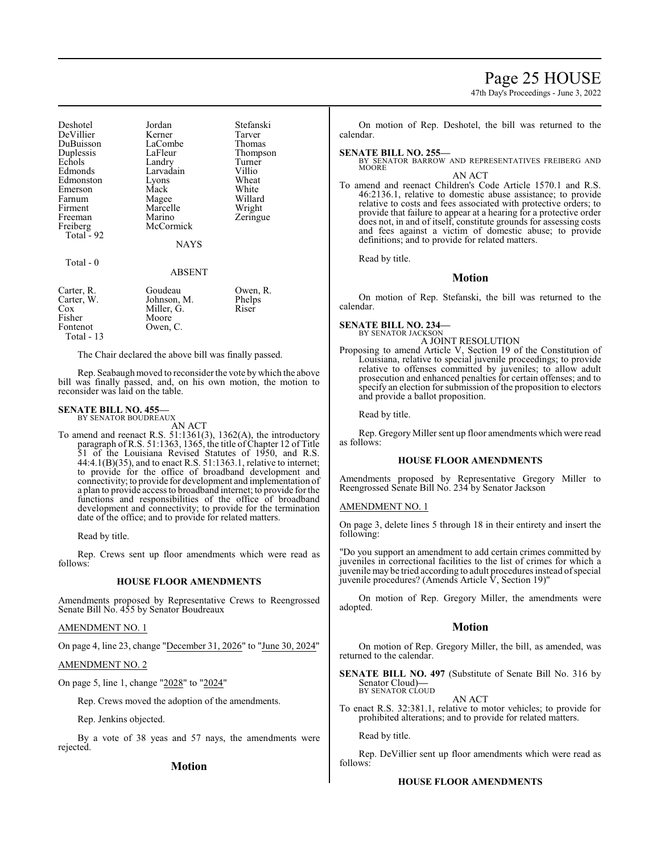## Page 25 HOUSE

47th Day's Proceedings - June 3, 2022

| Deshotel   | Jordan      | Stefanski |
|------------|-------------|-----------|
| DeVillier  | Kerner      | Tarver    |
| DuBuisson  | LaCombe     | Thomas    |
| Duplessis  | LaFleur     | Thompson  |
| Echols     | Landry      | Turner    |
| Edmonds    | Larvadain   | Villio    |
| Edmonston  | Lyons       | Wheat     |
| Emerson    | Mack        | White     |
| Farnum     | Magee       | Willard   |
| Firment    | Marcelle    | Wright    |
| Freeman    | Marino      | Zeringue  |
| Freiberg   | McCormick   |           |
| Total - 92 |             |           |
|            | <b>NAYS</b> |           |
| Total - 0  |             |           |

### ABSENT

| Carter, R. | Goudeau     | Owen, R. |
|------------|-------------|----------|
| Carter, W. | Johnson, M. | Phelps   |
| Cox        | Miller, G.  | Riser    |
| Fisher     | Moore       |          |
| Fontenot   | Owen, C.    |          |
| Total - 13 |             |          |

The Chair declared the above bill was finally passed.

Rep. Seabaugh moved to reconsider the vote by which the above bill was finally passed, and, on his own motion, the motion to reconsider was laid on the table.

### **SENATE BILL NO. 455—**

BY SENATOR BOUDREAUX

- AN ACT
- To amend and reenact R.S. 51:1361(3), 1362(A), the introductory paragraph of R.S. 51:1363, 1365, the title of Chapter 12 of Title 51 of the Louisiana Revised Statutes of 1950, and R.S. 44:4.1(B)(35), and to enact R.S. 51:1363.1, relative to internet; to provide for the office of broadband development and connectivity; to provide for development and implementation of a plan to provide access to broadband internet; to provide for the functions and responsibilities of the office of broadband development and connectivity; to provide for the termination date of the office; and to provide for related matters.

Read by title.

Rep. Crews sent up floor amendments which were read as follows:

### **HOUSE FLOOR AMENDMENTS**

Amendments proposed by Representative Crews to Reengrossed Senate Bill No. 455 by Senator Boudreaux

## AMENDMENT NO. 1

On page 4, line 23, change "December 31, 2026" to "June 30, 2024"

### AMENDMENT NO. 2

On page 5, line 1, change "2028" to "2024"

Rep. Crews moved the adoption of the amendments.

Rep. Jenkins objected.

By a vote of 38 yeas and 57 nays, the amendments were rejected.

**Motion**

On motion of Rep. Deshotel, the bill was returned to the calendar.

### **SENATE BILL NO. 255—**

BY SENATOR BARROW AND REPRESENTATIVES FREIBERG AND MOORE AN ACT

To amend and reenact Children's Code Article 1570.1 and R.S. 46:2136.1, relative to domestic abuse assistance; to provide relative to costs and fees associated with protective orders; to provide that failure to appear at a hearing for a protective order does not, in and of itself, constitute grounds for assessing costs and fees against a victim of domestic abuse; to provide definitions; and to provide for related matters.

Read by title.

### **Motion**

On motion of Rep. Stefanski, the bill was returned to the calendar.

**SENATE BILL NO. 234—**

#### BY SENATOR JACKSON A JOINT RESOLUTION

Proposing to amend Article V, Section 19 of the Constitution of Louisiana, relative to special juvenile proceedings; to provide relative to offenses committed by juveniles; to allow adult prosecution and enhanced penalties for certain offenses; and to specify an election for submission of the proposition to electors and provide a ballot proposition.

Read by title.

Rep. Gregory Miller sent up floor amendments which were read as follows:

### **HOUSE FLOOR AMENDMENTS**

Amendments proposed by Representative Gregory Miller to Reengrossed Senate Bill No. 234 by Senator Jackson

### AMENDMENT NO. 1

On page 3, delete lines 5 through 18 in their entirety and insert the following:

"Do you support an amendment to add certain crimes committed by juveniles in correctional facilities to the list of crimes for which a juvenile may be tried according to adult procedures instead ofspecial juvenile procedures? (Amends Article V, Section 19)"

On motion of Rep. Gregory Miller, the amendments were adopted.

### **Motion**

On motion of Rep. Gregory Miller, the bill, as amended, was returned to the calendar.

**SENATE BILL NO. 497** (Substitute of Senate Bill No. 316 by Senator Cloud)**—** BY SENATOR CLOUD

AN ACT

To enact R.S. 32:381.1, relative to motor vehicles; to provide for prohibited alterations; and to provide for related matters.

Read by title.

Rep. DeVillier sent up floor amendments which were read as follows:

### **HOUSE FLOOR AMENDMENTS**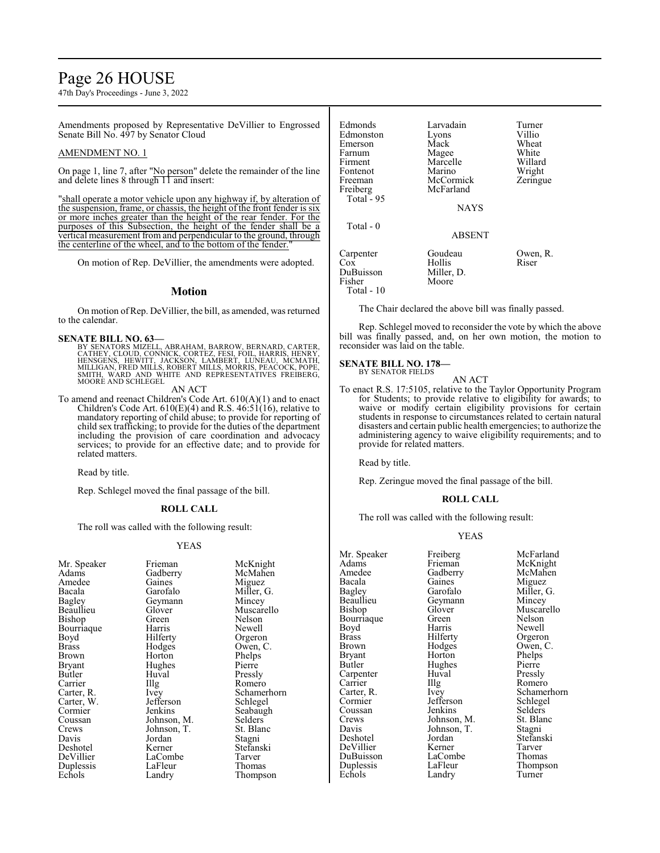# Page 26 HOUSE

47th Day's Proceedings - June 3, 2022

Amendments proposed by Representative DeVillier to Engrossed Senate Bill No. 497 by Senator Cloud

## AMENDMENT NO. 1

On page 1, line 7, after "No person" delete the remainder of the line and delete lines 8 through 11 and insert:

"shall operate a motor vehicle upon any highway if, by alteration of the suspension, frame, or chassis, the height of the front fender is six or more inches greater than the height of the rear fender. For the purposes of this Subsection, the height of the fender shall be a vertical measurement from and perpendicular to the ground, through the centerline of the wheel, and to the bottom of the fender."

On motion of Rep. DeVillier, the amendments were adopted.

### **Motion**

On motion ofRep. DeVillier, the bill, as amended, was returned to the calendar.

### **SENATE BILL NO. 63—**

BY SENATORS MIZELL, ABRAHAM, BARROW, BERNARD, CARTER,<br>CATHEY, CLOUD, CONNICK, CORTEZ, FESI, FOIL, HARRIS, HENRY,<br>HENSGENS, HEWITT, JACKSON, LAMBERT, LUNEAU, MCMATH,<br>MILLIGAN, FRED MILLS, ROBERT MILLS, MORRIS, PEACOCK, POPE SMITH, WARD AND WHITE AND REPRESENTATIVES FREIBERG, MOORE AND SCHLEGEL

AN ACT

To amend and reenact Children's Code Art. 610(A)(1) and to enact Children's Code Art.  $610(E)(4)$  and R.S.  $46:51(16)$ , relative to mandatory reporting of child abuse; to provide for reporting of child sex trafficking; to provide for the duties of the department including the provision of care coordination and advocacy services; to provide for an effective date; and to provide for related matters.

Read by title.

Rep. Schlegel moved the final passage of the bill.

### **ROLL CALL**

The roll was called with the following result:

### YEAS

| Mr. Speaker   | Frieman     | McKni    |
|---------------|-------------|----------|
| Adams         | Gadberry    | McMal    |
| Amedee        | Gaines      | Miguez   |
| Bacala        | Garofalo    | Miller,  |
| Bagley        | Geymann     | Mincey   |
| Beaullieu     | Glover      | Muscar   |
| Bishop        | Green       | Nelson   |
| Bourriaque    | Harris      | Newell   |
| Boyd          | Hilferty    | Orgero:  |
| <b>Brass</b>  | Hodges      | Owen,    |
| Brown         | Horton      | Phelps   |
| <b>Bryant</b> | Hughes      | Pierre   |
| Butler        | Huval       | Pressly  |
| Carrier       | Illg        | Romero   |
| Carter, R.    | Ivey        | Schame   |
| Carter, W.    | Jefferson   | Schlege  |
| Cormier       | Jenkins     | Seabau   |
| Coussan       | Johnson, M. | Selders  |
| Crews         | Johnson, T. | St. Blai |
| Davis         | Jordan      | Stagni   |
| Deshotel      | Kerner      | Stefans  |
| DeVillier     | LaCombe     | Tarver   |
| Duplessis     | LaFleur     | Thoma:   |
| Echols        | Landry      | Thomp    |

an McKnight<br>Party McMahen McMahen s Miguez<br>alo Miller, ( alo Miller, G.<br>ann Mincey Mincey er Muscarello Nelson Bourries Newell<br>Bourries Newell<br>Bourries Newell Orgeron es Owen, C.<br>n Phelps n Phelps<br>
Pierre Pressly Romero Schamerhorn<br>
Schlegel Schlegel ns Seabaugh<br>on. M. Selders on, T. St. Blanc<br>n Stagni Stagni r Stefanski<br>mbe Tarver ur Thomas<br>Thomps Thompson

| Edmonds<br>Edmonston<br>Emerson<br>Farnum<br>Firment<br>Fontenot<br>Freeman<br>Freiberg<br>Total $-95$ | Larvadain<br>Lyons<br>Mack<br>Magee<br>Marcelle<br>Marino<br>McCormick<br>McFarland<br><b>NAYS</b> | Turner<br>Villio<br>Wheat<br>White<br>Willard<br>Wright<br>Zeringue |
|--------------------------------------------------------------------------------------------------------|----------------------------------------------------------------------------------------------------|---------------------------------------------------------------------|
| Total - 0                                                                                              | <b>ABSENT</b>                                                                                      |                                                                     |
| Carpenter<br>Cox<br>DuBuisson<br>Fisher<br>Total - 10                                                  | Goudeau<br>Hollis<br>Miller, D.<br>Moore                                                           | Owen, R.<br>Riser                                                   |

The Chair declared the above bill was finally passed.

Rep. Schlegel moved to reconsider the vote by which the above bill was finally passed, and, on her own motion, the motion to reconsider was laid on the table.

## **SENATE BILL NO. 178—**

BY SENATOR FIELDS

AN ACT

To enact R.S. 17:5105, relative to the Taylor Opportunity Program for Students; to provide relative to eligibility for awards; to waive or modify certain eligibility provisions for certain students in response to circumstances related to certain natural disasters and certain public health emergencies; to authorize the administering agency to waive eligibility requirements; and to provide for related matters.

Read by title.

Rep. Zeringue moved the final passage of the bill.

### **ROLL CALL**

The roll was called with the following result:

### YEAS

| Mr. Speaker   | Freiberg    | McFarland     |
|---------------|-------------|---------------|
| Adams         | Frieman     | McKnight      |
| Amedee        | Gadberry    | McMahen       |
| Bacala        | Gaines      | Miguez        |
| Bagley        | Garofalo    | Miller, G.    |
| Beaullieu     | Geymann     | Mincey        |
| Bishop        | Glover      | Muscarello    |
| Bourriaque    | Green       | <b>Nelson</b> |
| Boyd          | Harris      | Newell        |
| <b>Brass</b>  | Hilferty    | Orgeron       |
| Brown         | Hodges      | Owen, C.      |
| Bryant        | Horton      | Phelps        |
| <b>Butler</b> | Hughes      | Pierre        |
| Carpenter     | Huval       | Pressly       |
| Carrier       | Illg        | Romero        |
| Carter, R.    | Ivey        | Schamerhorn   |
| Cormier       | Jefferson   | Schlegel      |
| Coussan       | Jenkins     | Selders       |
| Crews         | Johnson, M. | St. Blanc     |
| Davis         | Johnson, T. | Stagni        |
| Deshotel      | Jordan      | Stefanski     |
| DeVillier     | Kerner      | Tarver        |
| DuBuisson     | LaCombe     | Thomas        |
| Duplessis     | LaFleur     | Thompson      |
| Echols        | Landry      | Turner        |
|               |             |               |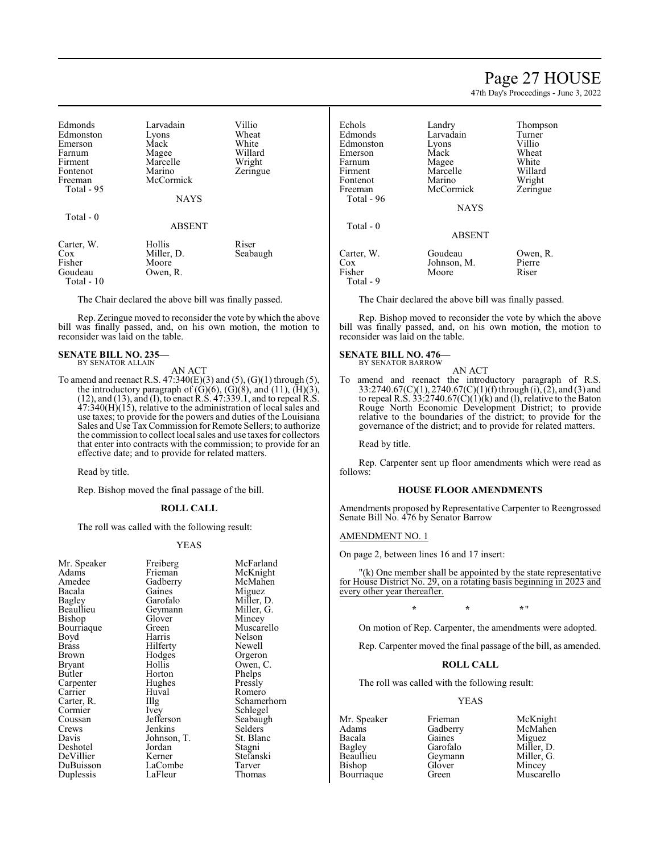## Page 27 HOUSE

47th Day's Proceedings - June 3, 2022

| Edmonds               | Larvadain     | Villio   |
|-----------------------|---------------|----------|
| Edmonston             | Lyons         | Wheat    |
| Emerson               | Mack          | White    |
| Farnum                | Magee         | Willard  |
| Firment               | Marcelle      | Wright   |
| Fontenot              | Marino        | Zeringue |
| Freeman<br>Total - 95 | McCormick     |          |
|                       | <b>NAYS</b>   |          |
| Total - 0             |               |          |
|                       | <b>ABSENT</b> |          |
| Carter, W.            | Hollis        | Riser    |
| Cox                   | Miller, D.    | Seabaugh |
| Fisher                | Moore         |          |
| Goudeau<br>Total - 10 | Owen, R.      |          |

The Chair declared the above bill was finally passed.

Rep. Zeringue moved to reconsider the vote by which the above bill was finally passed, and, on his own motion, the motion to reconsider was laid on the table.

#### **SENATE BILL NO. 235—** BY SENATOR ALLAIN

AN ACT

To amend and reenact R.S.  $47:340(E)(3)$  and  $(5)$ ,  $(G)(1)$  through  $(5)$ , the introductory paragraph of  $(G)(6)$ ,  $(G)(8)$ , and  $(11)$ ,  $(\overline{H})(3)$ , (12), and (13), and (I), to enact R.S. 47:339.1, and to repeal R.S. 47:340(H)(15), relative to the administration of local sales and use taxes; to provide for the powers and duties of the Louisiana Sales and Use TaxCommission for Remote Sellers; to authorize the commission to collect local sales and use taxes for collectors that enter into contracts with the commission; to provide for an effective date; and to provide for related matters.

Read by title.

Rep. Bishop moved the final passage of the bill.

### **ROLL CALL**

The roll was called with the following result:

### YEAS

| Mr. Speaker | Freiberg    | McFarland   |
|-------------|-------------|-------------|
| Adams       | Frieman     | McKnight    |
| Amedee      | Gadberry    | McMahen     |
| Bacala      | Gaines      | Miguez      |
| Bagley      | Garofalo    | Miller, D.  |
| Beaullieu   | Geymann     | Miller, G.  |
| Bishop      | Glover      | Mincey      |
| Bourriaque  | Green       | Muscarello  |
| Boyd        | Harris      | Nelson      |
| Brass       | Hilferty    | Newell      |
| Brown       | Hodges      | Orgeron     |
| Bryant      | Hollis      | Owen, C.    |
| Butler      | Horton      | Phelps      |
| Carpenter   | Hughes      | Pressly     |
| Carrier     | Huval       | Romero      |
| Carter, R.  | Illg        | Schamerhorn |
| Cormier     | <i>lvey</i> | Schlegel    |
| Coussan     | Jefferson   | Seabaugh    |
| Crews       | Jenkins     | Selders     |
| Davis       | Johnson, T. | St. Blanc   |
| Deshotel    | Jordan      | Stagni      |
| DeVillier   | Kerner      | Stefanski   |
| DuBuisson   | LaCombe     | Tarver      |
| Duplessis   | LaFleur     | Thomas      |

| Echols<br>Edmonds<br>Edmonston<br>Emerson<br>Farnum<br>Firment<br>Fontenot<br>Freeman<br>Total - 96 | Landry<br>Larvadain<br>Lyons<br>Mack<br>Magee<br>Marcelle<br>Marino<br>McCormick | Thompson<br>Turner<br>Villio<br>Wheat<br>White<br>Willard<br>Wright<br>Zeringue |
|-----------------------------------------------------------------------------------------------------|----------------------------------------------------------------------------------|---------------------------------------------------------------------------------|
| Total $-0$                                                                                          | <b>NAYS</b><br><b>ABSENT</b>                                                     |                                                                                 |
| Carter, W.<br>Cox<br>Fisher<br>Total - 9                                                            | Goudeau<br>Johnson, M.<br>Moore                                                  | Owen, R.<br>Pierre<br>Riser                                                     |

The Chair declared the above bill was finally passed.

Rep. Bishop moved to reconsider the vote by which the above bill was finally passed, and, on his own motion, the motion to reconsider was laid on the table.

## **SENATE BILL NO. 476—**

BY SENATOR BARROW

AN ACT To amend and reenact the introductory paragraph of R.S. 33:2740.67(C)(1), 2740.67(C)(1)(f) through (i), (2), and (3) and to repeal R.S. 33:2740.67 $(C)(1)(k)$  and (1), relative to the Baton Rouge North Economic Development District; to provide relative to the boundaries of the district; to provide for the governance of the district; and to provide for related matters.

Read by title.

Rep. Carpenter sent up floor amendments which were read as follows:

## **HOUSE FLOOR AMENDMENTS**

Amendments proposed by Representative Carpenter to Reengrossed Senate Bill No. 476 by Senator Barrow

### AMENDMENT NO. 1

On page 2, between lines 16 and 17 insert:

(k) One member shall be appointed by the state representative for House District No. 29, on a rotating basis beginning in 2023 and every other year thereafter.

## **\* \* \***"

On motion of Rep. Carpenter, the amendments were adopted.

Rep. Carpenter moved the final passage of the bill, as amended.

## **ROLL CALL**

The roll was called with the following result:

## YEAS

- Adams Gadberry<br>Bacala Gaines
- Bacala Gaines Miguez Bagley Garofalo Miller, D. Beaullieu Geymann<br>Bishop Glover Bishop Glover Mincey<br>Bourriaque Green Muscare

Mr. Speaker Frieman McKnight<br>
Adams Gadberry McMahen Muscarello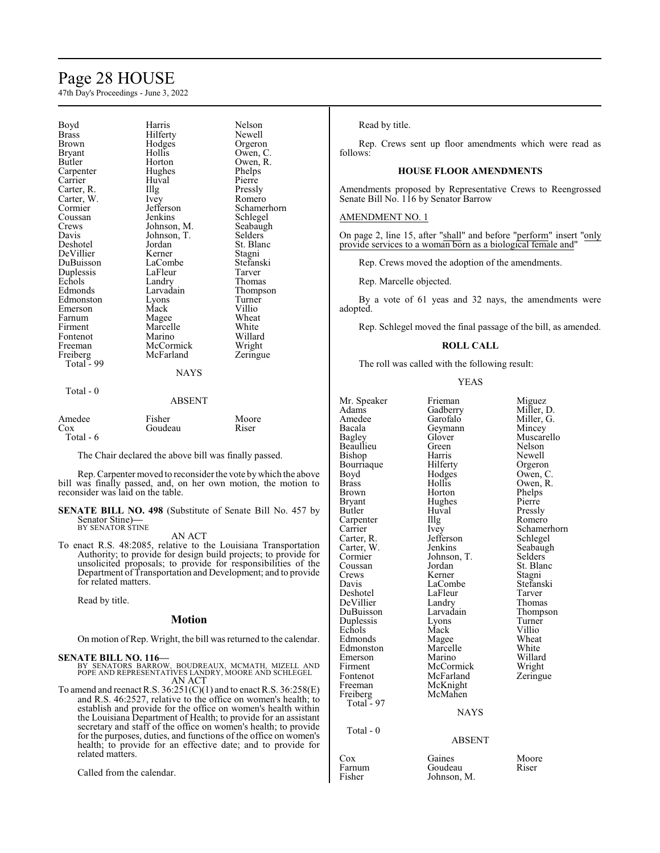# Page 28 HOUSE

47th Day's Proceedings - June 3, 2022

| Boyd<br><b>Brass</b><br>Brown<br>Bryant<br>Butler<br>Carpenter<br>Carrier<br>Carter, R.<br>Carter, W.<br>Cormier<br>Coussan<br>Crews<br>Davis<br>Deshotel<br>DeVillier<br>DuBuisson<br>Duplessis<br>Echols<br>Edmonds<br>Edmonston | Harris<br>Hilferty<br>Hodges<br>Hollis<br>Horton<br>Hughes<br>Huval<br>Illg<br>Ivey<br>Jefferson<br>Jenkins<br>Johnson, M.<br>Johnson, T.<br>Jordan<br>Kerner<br>LaCombe<br>LaFleur<br>Landry<br>Larvadain<br>Lyons | Nelson<br>Newell<br>Orgeron<br>Owen, C.<br>Owen, R.<br>Phelps<br>Pierre<br>Pressly<br>Romero<br>Schamerhorn<br>Schlegel<br>Seabaugh<br>Selders<br>St. Blanc<br>Stagni<br>Stefanski<br>Tarver<br>Thomas<br>Thompson<br>Turner |
|------------------------------------------------------------------------------------------------------------------------------------------------------------------------------------------------------------------------------------|---------------------------------------------------------------------------------------------------------------------------------------------------------------------------------------------------------------------|------------------------------------------------------------------------------------------------------------------------------------------------------------------------------------------------------------------------------|
|                                                                                                                                                                                                                                    |                                                                                                                                                                                                                     |                                                                                                                                                                                                                              |
| Emerson                                                                                                                                                                                                                            | Mack                                                                                                                                                                                                                | Villio                                                                                                                                                                                                                       |
| Farnum<br>Firment                                                                                                                                                                                                                  | Magee<br>Marcelle                                                                                                                                                                                                   | Wheat<br>White                                                                                                                                                                                                               |
| Fontenot                                                                                                                                                                                                                           | Marino                                                                                                                                                                                                              | Willard                                                                                                                                                                                                                      |
| Freeman<br>Freiberg                                                                                                                                                                                                                | McCormick<br>McFarland                                                                                                                                                                                              | Wright<br>Zeringue                                                                                                                                                                                                           |
| Total - 99                                                                                                                                                                                                                         | <b>NAYS</b>                                                                                                                                                                                                         |                                                                                                                                                                                                                              |
| Total - 0                                                                                                                                                                                                                          | ABSENT                                                                                                                                                                                                              |                                                                                                                                                                                                                              |

# Amedee Fisher Moore

| .         | 1 1911 VI | 11100IU |
|-----------|-----------|---------|
| Cox       | Goudeau   | Riser   |
| Total - 6 |           |         |

The Chair declared the above bill was finally passed.

Rep. Carpenter moved to reconsider the vote bywhich the above bill was finally passed, and, on her own motion, the motion to reconsider was laid on the table.

**SENATE BILL NO. 498** (Substitute of Senate Bill No. 457 by Senator Stine)**—** BY SENATOR STINE

### AN ACT

To enact R.S. 48:2085, relative to the Louisiana Transportation Authority; to provide for design build projects; to provide for unsolicited proposals; to provide for responsibilities of the Department of Transportation and Development; and to provide for related matters.

Read by title.

### **Motion**

On motion of Rep. Wright, the bill was returned to the calendar.

### **SENATE BILL NO. 116—**

BY SENATORS BARROW, BOUDREAUX, MCMATH, MIZELL AND POPE AND REPRESENTATIVES LANDRY, MOORE AND SCHLEGEL AN ACT

To amend and reenact R.S.  $36:251(C)(1)$  and to enact R.S.  $36:258(E)$ and R.S. 46:2527, relative to the office on women's health; to establish and provide for the office on women's health within the Louisiana Department of Health; to provide for an assistant secretary and staff of the office on women's health; to provide for the purposes, duties, and functions of the office on women's health; to provide for an effective date; and to provide for related matters.

Called from the calendar.

Read by title.

Rep. Crews sent up floor amendments which were read as follows:

## **HOUSE FLOOR AMENDMENTS**

Amendments proposed by Representative Crews to Reengrossed Senate Bill No. 116 by Senator Barrow

### AMENDMENT NO. 1

On page 2, line 15, after "shall" and before "perform" insert "only provide services to a woman born as a biological female and"

Rep. Crews moved the adoption of the amendments.

Rep. Marcelle objected.

By a vote of 61 yeas and 32 nays, the amendments were adopted.

Rep. Schlegel moved the final passage of the bill, as amended.

#### **ROLL CALL**

The roll was called with the following result:

YEAS

| Mr. Speaker<br>Adams<br>Amedee<br>Bacala<br><b>Bagley</b><br>Beaullieu<br>Bishop<br>Bourriaque<br>Boyd<br>Brass<br>Brown<br>Bryant<br>Butler<br>Carpenter<br>Carrier<br>Carter, R.<br>Carter, W.<br>Cormier<br>Coussan<br>Crews<br>Davis<br>Deshotel<br>DeVillier<br>DuBuisson<br>Duplessis<br>Echols<br>Edmonds<br>Edmonston<br>Emerson<br>Firment<br>Fontenot<br>Freeman<br>Freiberg<br>Total - 97 | Frieman<br>Gadberry<br>Garofalo<br>Geymann<br>Glover<br>Green<br>Harris<br>Hilferty<br>Hodges<br>Hollis<br>Horton<br>Hughes<br>Huval<br>Illg<br>Ivey<br>Jefferson<br>Jenkins<br>Johnson, T.<br>Jordan<br>Kerner<br>LaCombe<br>LaFleur<br>Landry<br>Larvadain<br>Lyons<br>Mack<br>Magee<br>Marcelle<br>Marino<br>McCormick<br>McFarland<br>McKnight<br>McMahen<br><b>NAYS</b> | Miguez<br>Miller, D.<br>Miller, G.<br>Mincey<br>Muscarello<br>Nelson<br>Newell<br>Orgeron<br>Owen, C.<br>Owen, R.<br>Phelps<br>Pierre<br>Pressly<br>Romero<br>Schamerhorn<br>Schlegel<br>Seabaugh<br>Selders<br>St. Blanc<br>Stagni<br>Stefanski<br>Tarver<br>Thomas<br>Thompson<br>Turner<br>Villio<br>Wheat<br>White<br>Willard<br>Wright<br>Zeringue |
|------------------------------------------------------------------------------------------------------------------------------------------------------------------------------------------------------------------------------------------------------------------------------------------------------------------------------------------------------------------------------------------------------|------------------------------------------------------------------------------------------------------------------------------------------------------------------------------------------------------------------------------------------------------------------------------------------------------------------------------------------------------------------------------|---------------------------------------------------------------------------------------------------------------------------------------------------------------------------------------------------------------------------------------------------------------------------------------------------------------------------------------------------------|
|                                                                                                                                                                                                                                                                                                                                                                                                      |                                                                                                                                                                                                                                                                                                                                                                              |                                                                                                                                                                                                                                                                                                                                                         |
| Total - 0                                                                                                                                                                                                                                                                                                                                                                                            | <b>ABSENT</b>                                                                                                                                                                                                                                                                                                                                                                |                                                                                                                                                                                                                                                                                                                                                         |
| Cox                                                                                                                                                                                                                                                                                                                                                                                                  | Gaines                                                                                                                                                                                                                                                                                                                                                                       | Moore                                                                                                                                                                                                                                                                                                                                                   |

Farnum Goudeau Riser<br>Fisher Johnson, M. Johnson, M.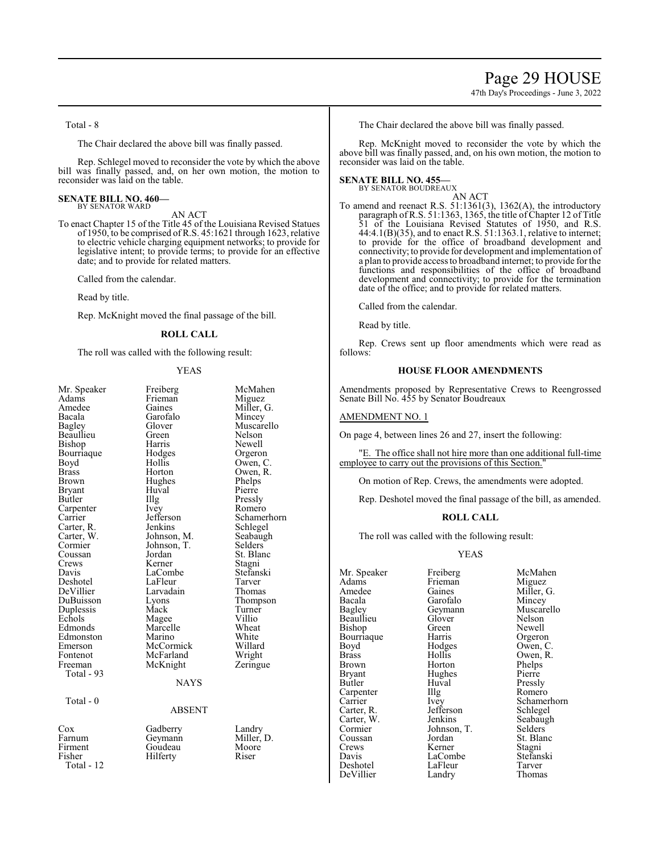47th Day's Proceedings - June 3, 2022

Total - 8

The Chair declared the above bill was finally passed.

Rep. Schlegel moved to reconsider the vote by which the above bill was finally passed, and, on her own motion, the motion to reconsider was laid on the table.

#### **SENATE BILL NO. 460—** BY SENATOR WARD

AN ACT

To enact Chapter 15 of the Title 45 of the Louisiana Revised Statues of 1950, to be comprised ofR.S. 45:1621 through 1623, relative to electric vehicle charging equipment networks; to provide for legislative intent; to provide terms; to provide for an effective date; and to provide for related matters.

Called from the calendar.

Read by title.

Rep. McKnight moved the final passage of the bill.

### **ROLL CALL**

The roll was called with the following result:

## YEAS

| Mr. Speaker<br>Adams<br>Amedee<br>Bacala<br>Bagley<br>Beaullieu<br>Bishop<br>Bourriaque<br>Boyd<br>Brass<br>Brown<br>Bryant<br>Butler<br>Carpenter<br>Carrier<br>Carter, R.<br>Carter, W.<br>Cormier<br>Coussan<br>Crews<br>Davis<br>Deshotel<br>DeVillier<br>DuBuisson<br>Duplessis<br>Echols<br>Edmonds<br>Edmonston<br>Emerson<br>Fontenot<br>Freeman<br>Total - 93<br>Total - 0 | Freiberg<br>Frieman<br>Gaines<br>Garofalo<br>Glover<br>Green<br>Harris<br>Hodges<br>Hollis<br>Horton<br>Hughes<br>Huval<br>Illg<br>Ivey<br>Jefferson<br>Jenkins<br>Johnson, M.<br>Johnson, T.<br>Jordan<br>Kerner<br>LaCombe<br>LaFleur<br>Larvadain<br>Lyons<br>Mack<br>Magee<br>Marcelle<br>Marino<br>McCormick<br>McFarland<br>McKnight<br><b>NAYS</b><br><b>ABSENT</b> | McMahen<br>Miguez<br>Miller, G.<br>Mincey<br>Muscarello<br>Nelson<br>Newell<br>Orgeron<br>Owen, C.<br>Owen, R.<br>Phelps<br>Pierre<br>Pressly<br>Romero<br>Schamerhorn<br>Schlegel<br>Seabaugh<br>Selders<br>St. Blanc<br>Stagni<br>Stefanski<br>Tarver<br>Thomas<br>Thompson<br>Turner<br>Villio<br>Wheat<br>White<br>Willard<br>Wright<br>Zeringue |
|-------------------------------------------------------------------------------------------------------------------------------------------------------------------------------------------------------------------------------------------------------------------------------------------------------------------------------------------------------------------------------------|----------------------------------------------------------------------------------------------------------------------------------------------------------------------------------------------------------------------------------------------------------------------------------------------------------------------------------------------------------------------------|------------------------------------------------------------------------------------------------------------------------------------------------------------------------------------------------------------------------------------------------------------------------------------------------------------------------------------------------------|
| Cox<br>Farnum<br>Firment<br>Fisher<br>Total - 12                                                                                                                                                                                                                                                                                                                                    | Gadberry<br>Geymann<br>Goudeau<br>Hilferty                                                                                                                                                                                                                                                                                                                                 | Landry<br>Miller, D.<br>Moore<br>Riser                                                                                                                                                                                                                                                                                                               |
|                                                                                                                                                                                                                                                                                                                                                                                     |                                                                                                                                                                                                                                                                                                                                                                            |                                                                                                                                                                                                                                                                                                                                                      |

The Chair declared the above bill was finally passed.

Rep. McKnight moved to reconsider the vote by which the above bill was finally passed, and, on his own motion, the motion to reconsider was laid on the table.

#### **SENATE BILL NO. 455—** BY SENATOR BOUDREAUX

AN ACT To amend and reenact R.S. 51:1361(3), 1362(A), the introductory paragraph of R.S. 51:1363, 1365, the title of Chapter 12 of Title 51 of the Louisiana Revised Statutes of 1950, and R.S. 44:4.1(B)(35), and to enact R.S. 51:1363.1, relative to internet; to provide for the office of broadband development and connectivity; to provide for development and implementation of a plan to provide access to broadband internet; to provide for the functions and responsibilities of the office of broadband development and connectivity; to provide for the termination date of the office; and to provide for related matters.

Called from the calendar.

Read by title.

Rep. Crews sent up floor amendments which were read as follows:

### **HOUSE FLOOR AMENDMENTS**

Amendments proposed by Representative Crews to Reengrossed Senate Bill No. 455 by Senator Boudreaux

### AMENDMENT NO. 1

On page 4, between lines 26 and 27, insert the following:

"E. The office shall not hire more than one additional full-time employee to carry out the provisions of this Section."

On motion of Rep. Crews, the amendments were adopted.

Rep. Deshotel moved the final passage of the bill, as amended.

### **ROLL CALL**

The roll was called with the following result:

### YEAS

Adams Frieman<br>Amedee Gaines Amedee Gaines Miller, G.<br>Bacala Garofalo Mincey Bacala Garofalo<br>Bagley Geymann Beaullieu Glover Nelson<br>Bishop Green Newell Bishop Green Newell<br>Bourriaque Harris Orgeron Bourriaque Harris<br>Boyd Hodges Boyd Hodges Owen, C.<br>Brass Hollis Owen. R. Brass Hollis Owen, R.<br>Brown Horton Phelps Brown Horton Phelps<br>Bryant Hughes Pierre Bryant Hughes<br>Butler Huval Carpenter<br>Carrier Carter, R. Jefferson<br>Carter, W. Jenkins Carter, W. Jenkins Seabaugh<br>
Cormier Johnson. T. Selders Cormier Johnson, T.<br>Coussan Iordan Coussan Jordan St. Blanc<br>Crews Kerner Stagni Crews Kerner Stagni<br>
Davis LaCombe Stefanski DeVillier

Huval Pressly<br>Illg Romero LaCombe Stefans<br>LaFleur Tarver Deshotel LaFleur Tarver

Mr. Speaker Freiberg McMahen<br>Adams Frieman Miguez Geymann Muscarello<br>Glover Nelson Carrier Ivey Schamerhorn<br>Carter, R. Jefferson Schlegel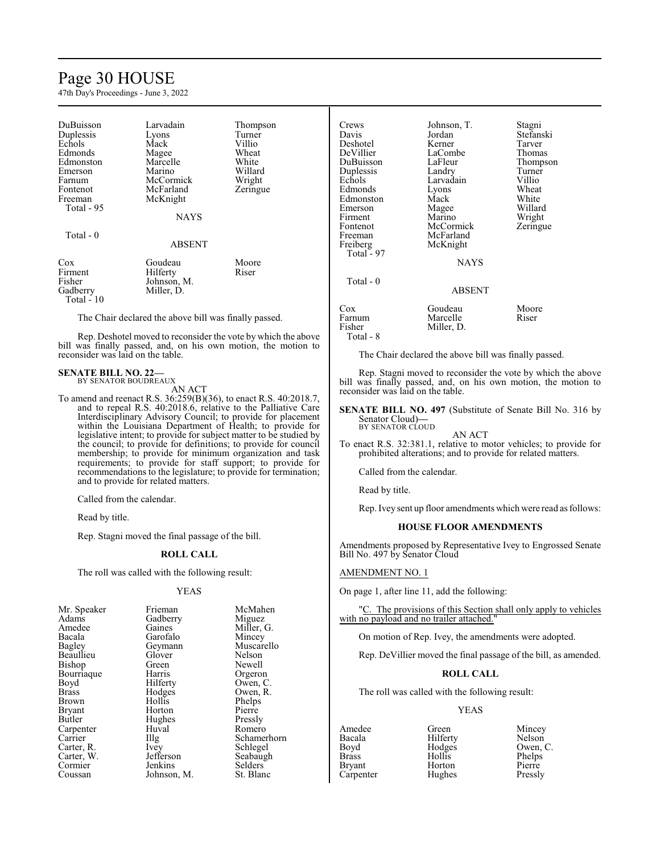# Page 30 HOUSE

47th Day's Proceedings - June 3, 2022

| DuBuisson  | Larvadain     | Thompson |
|------------|---------------|----------|
| Duplessis  | Lyons         | Turner   |
| Echols     | Mack          | Villio   |
| Edmonds    | Magee         | Wheat    |
| Edmonston  | Marcelle      | White    |
| Emerson    | Marino        | Willard  |
| Farnum     | McCormick     | Wright   |
| Fontenot   | McFarland     | Zeringue |
| Freeman    | McKnight      |          |
| Total - 95 |               |          |
|            | <b>NAYS</b>   |          |
| Total $-0$ |               |          |
|            | <b>ABSENT</b> |          |
| Cox        | Goudeau       | Moore    |
| Firment    | Hilferty      | Riser    |
| Fisher     | Johnson, M.   |          |
| Gadberry   | Miller, D.    |          |
| Total - 10 |               |          |

The Chair declared the above bill was finally passed.

Rep. Deshotel moved to reconsider the vote by which the above bill was finally passed, and, on his own motion, the motion to reconsider was laid on the table.

#### **SENATE BILL NO. 22—** BY SENATOR BOUDREAUX

AN ACT

To amend and reenact R.S. 36:259(B)(36), to enact R.S. 40:2018.7, and to repeal R.S. 40:2018.6, relative to the Palliative Care Interdisciplinary Advisory Council; to provide for placement within the Louisiana Department of Health; to provide for legislative intent; to provide for subject matter to be studied by the council; to provide for definitions; to provide for council membership; to provide for minimum organization and task requirements; to provide for staff support; to provide for recommendations to the legislature; to provide for termination; and to provide for related matters.

Called from the calendar.

Read by title.

Rep. Stagni moved the final passage of the bill.

### **ROLL CALL**

The roll was called with the following result:

### YEAS

| Mr. Speaker   | Frieman     | McMahen     |
|---------------|-------------|-------------|
|               |             |             |
| Adams         | Gadberry    | Miguez      |
| Amedee        | Gaines      | Miller, G.  |
| Bacala        | Garofalo    | Mincey      |
| <b>Bagley</b> | Geymann     | Muscarello  |
| Beaullieu     | Glover      | Nelson      |
| <b>Bishop</b> | Green       | Newell      |
| Bourriaque    | Harris      | Orgeron     |
| Boyd          | Hilferty    | Owen, C.    |
| <b>Brass</b>  | Hodges      | Owen, R.    |
| Brown         | Hollis      | Phelps      |
| <b>Bryant</b> | Horton      | Pierre      |
| Butler        | Hughes      | Pressly     |
| Carpenter     | Huval       | Romero      |
| Carrier       | Illg        | Schamerhorn |
| Carter, R.    | Ivey        | Schlegel    |
| Carter, W.    | Jefferson   | Seabaugh    |
| Cormier       | Jenkins     | Selders     |
| Coussan       | Johnson, M. | St. Blanc   |

| Crews      | Johnson, T.   | Stagni    |
|------------|---------------|-----------|
| Davis      | Jordan        | Stefanski |
| Deshotel   | Kerner        | Tarver    |
| DeVillier  | LaCombe       | Thomas    |
| DuBuisson  | LaFleur       | Thompson  |
| Duplessis  | Landry        | Turner    |
| Echols     | Larvadain     | Villio    |
| Edmonds    | Lyons         | Wheat     |
| Edmonston  | Mack          | White     |
| Emerson    | Magee         | Willard   |
| Firment    | Marino        | Wright    |
| Fontenot   | McCormick     | Zeringue  |
| Freeman    | McFarland     |           |
| Freiberg   | McKnight      |           |
| Total - 97 |               |           |
|            | <b>NAYS</b>   |           |
| Total - 0  |               |           |
|            | <b>ABSENT</b> |           |
| Cox        | Goudeau       | Moore     |
| Farnum     | Marcelle      | Riser     |
| Fisher     | Miller, D.    |           |
| Total - 8  |               |           |

The Chair declared the above bill was finally passed.

Rep. Stagni moved to reconsider the vote by which the above bill was finally passed, and, on his own motion, the motion to reconsider was laid on the table.

**SENATE BILL NO. 497** (Substitute of Senate Bill No. 316 by Senator Cloud)**—** BY SENATOR CLOUD

AN ACT To enact R.S. 32:381.1, relative to motor vehicles; to provide for prohibited alterations; and to provide for related matters.

Called from the calendar.

Read by title.

Rep. Ivey sent up floor amendments which were read as follows:

## **HOUSE FLOOR AMENDMENTS**

Amendments proposed by Representative Ivey to Engrossed Senate Bill No. 497 by Senator Cloud

## AMENDMENT NO. 1

On page 1, after line 11, add the following:

C. The provisions of this Section shall only apply to vehicles with no payload and no trailer attached."

On motion of Rep. Ivey, the amendments were adopted.

Rep. DeVillier moved the final passage of the bill, as amended.

### **ROLL CALL**

The roll was called with the following result:

## YEAS

Bacala Hilferty<br>Boyd Hodges Bryant Horton Pierre<br>
Carpenter Hughes Pressly Carpenter

Amedee Green Mincey<br>
Bacala Hilferty Nelson Boyd Hodges Owen, C.<br>Brass Hollis Phelps Hollis Phelps<br>Horton Pierre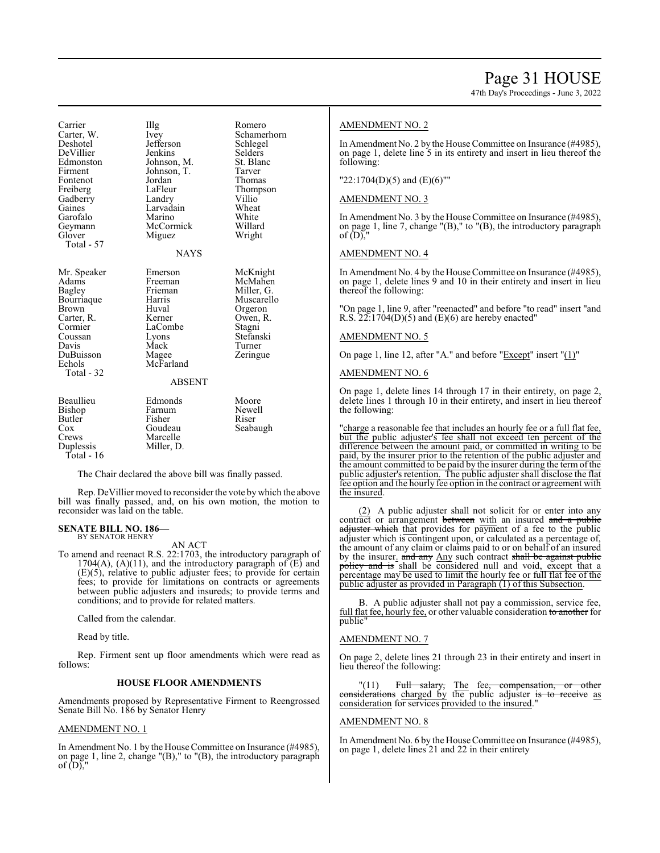47th Day's Proceedings - June 3, 2022

Carrier IIIg Romero<br>Carter W. Ivev Schamer Carter, W. Ivey Schamerhorn<br>Deshotel Jefferson Schlegel Jefferson Schlege<br>Jenkins Selders DeVillier Jenkins Selders<br>Edmonston Johnson, M. St. Blanc Edmonston Johnson, M. St. Blanck Firment Johnson, T. Tarver Johnson, T. Fontenot Jordan Thomas<br>
Freiberg LaFleur Thomps LaFleur Thompson<br>Landry Villio Gadberry Landry Villio<br>
Gaines Larvadain Wheat Larvadain Wheat<br>Marino White Garofalo Marino White Geymann McCormick Willard<br>Glover Miguez Wright Miguez Total - 57 **NAYS** Mr. Speaker Emerson McKnight<br>Adams Freeman McMahen Adams Freeman McMahen<br>Bagley Frieman Miller, G. Frieman Miller, G.<br>Harris Muscarello Bourriaque Harris<br>Brown Huval Huval Orgeron<br>Kerner Owen, R. Carter, R. Kerner Dwen, Cormier LaCombe Stagni Cormier LaCombe<br>Coussan Lyons Coussan Lyons Stefanski Mack Turner<br>
Magee Zeringue DuBuisson<br>Echols McFarland Total - 32 ABSENT Beaullieu Edmonds Moore<br>Bishop Farnum Newell Bishop Farnum Newe<br>Butler Fisher Riser Fisher<br>Goudeau Cox Goudeau Seabaugh Crews Marcelle<br>
Duplessis Miller, D Miller, D. Total - 16

The Chair declared the above bill was finally passed.

Rep. DeVillier moved to reconsider the vote by which the above bill was finally passed, and, on his own motion, the motion to reconsider was laid on the table.

#### **SENATE BILL NO. 186—** BY SENATOR HENRY

AN ACT To amend and reenact R.S. 22:1703, the introductory paragraph of 1704(A), (A)(11), and the introductory paragraph of  $(E)$  and (E)(5), relative to public adjuster fees; to provide for certain fees; to provide for limitations on contracts or agreements between public adjusters and insureds; to provide terms and conditions; and to provide for related matters.

Called from the calendar.

Read by title.

Rep. Firment sent up floor amendments which were read as follows:

## **HOUSE FLOOR AMENDMENTS**

Amendments proposed by Representative Firment to Reengrossed Senate Bill No. 186 by Senator Henry

## AMENDMENT NO. 1

In Amendment No. 1 by the House Committee on Insurance (#4985), on page 1, line 2, change "(B)," to "(B), the introductory paragraph of  $(D)$ ,"

## AMENDMENT NO. 2

In Amendment No. 2 by the House Committee on Insurance (#4985), on page 1, delete line 5 in its entirety and insert in lieu thereof the following:

## "22:1704(D)(5) and (E)(6)""

## AMENDMENT NO. 3

In Amendment No. 3 by the House Committee on Insurance (#4985), on page 1, line 7, change "(B)," to "(B), the introductory paragraph of  $(D)$ ,

## AMENDMENT NO. 4

In Amendment No. 4 by the House Committee on Insurance (#4985), on page 1, delete lines 9 and 10 in their entirety and insert in lieu thereof the following:

"On page 1, line 9, after "reenacted" and before "to read" insert "and R.S.  $22:1704(D)(5)$  and (E)(6) are hereby enacted"

## AMENDMENT NO. 5

On page 1, line 12, after "A." and before "Except" insert "(1)"

### AMENDMENT NO. 6

On page 1, delete lines 14 through 17 in their entirety, on page 2, delete lines 1 through 10 in their entirety, and insert in lieu thereof the following:

"charge a reasonable fee that includes an hourly fee or a full flat fee, but the public adjuster's fee shall not exceed ten percent of the difference between the amount paid, or committed in writing to be paid, by the insurer prior to the retention of the public adjuster and the amount committed to be paid by the insurer during the termofthe public adjuster's retention. The public adjuster shall disclose the flat fee option and the hourly fee option in the contract or agreement with the insured.

(2) A public adjuster shall not solicit for or enter into any contract or arrangement between with an insured and a public adjuster which that provides for payment of a fee to the public adjuster which is contingent upon, or calculated as a percentage of, the amount of any claim or claims paid to or on behalf of an insured by the insurer. and any Any such contract shall be against public policy and is shall be considered null and void, except that a percentage may be used to limit the hourly fee or full flat fee of the public adjuster as provided in Paragraph (1) of this Subsection.

B. A public adjuster shall not pay a commission, service fee, full flat fee, hourly fee, or other valuable consideration to another for public"

## AMENDMENT NO. 7

On page 2, delete lines 21 through 23 in their entirety and insert in lieu thereof the following:

"(11) Full salary, The fee<del>, compensation, or other</del> considerations charged by the public adjuster is to receive as consideration for services provided to the insured."

### AMENDMENT NO. 8

In Amendment No. 6 by the House Committee on Insurance (#4985), on page 1, delete lines 21 and 22 in their entirety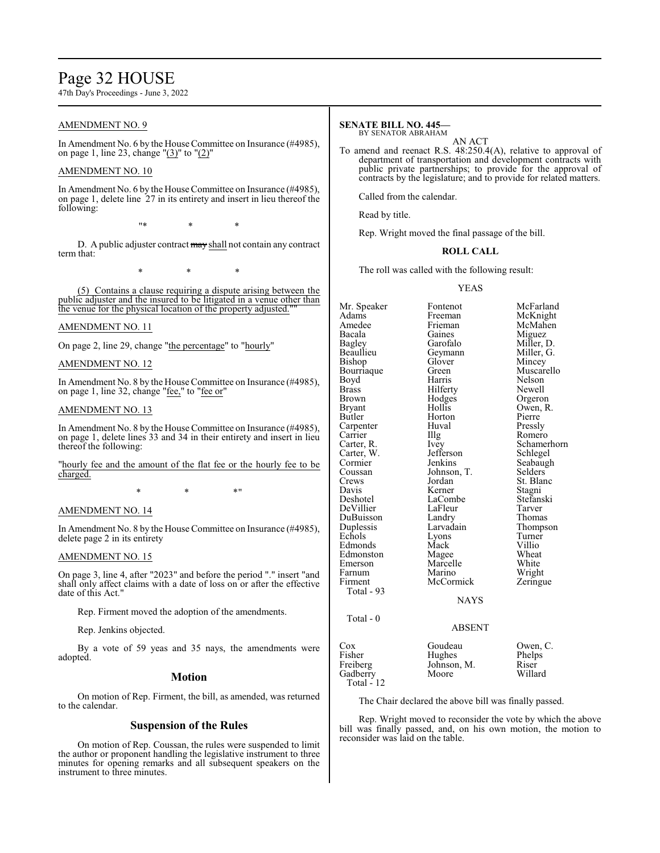## Page 32 HOUSE

47th Day's Proceedings - June 3, 2022

## AMENDMENT NO. 9

In Amendment No. 6 by the House Committee on Insurance (#4985), on page 1, line 23, change " $(3)$ " to " $(2)$ "

## AMENDMENT NO. 10

In Amendment No. 6 by the House Committee on Insurance (#4985), on page 1, delete line 27 in its entirety and insert in lieu thereof the following:

"\* \* \*

D. A public adjuster contract may shall not contain any contract term that:

\* \* \*

(5) Contains a clause requiring a dispute arising between the public adjuster and the insured to be litigated in a venue other than the venue for the physical location of the property adjusted.""

## AMENDMENT NO. 11

On page 2, line 29, change "the percentage" to "hourly"

### AMENDMENT NO. 12

In Amendment No. 8 by the House Committee on Insurance (#4985), on page 1, line 32, change "fee," to "fee or"

### AMENDMENT NO. 13

In Amendment No. 8 by the House Committee on Insurance (#4985), on page 1, delete lines 33 and 34 in their entirety and insert in lieu thereof the following:

"hourly fee and the amount of the flat fee or the hourly fee to be charged.

 $*$  \*  $*$  \*

### AMENDMENT NO. 14

In Amendment No. 8 by the House Committee on Insurance (#4985), delete page 2 in its entirety

### AMENDMENT NO. 15

On page 3, line 4, after "2023" and before the period "." insert "and shall only affect claims with a date of loss on or after the effective date of this Act."

Rep. Firment moved the adoption of the amendments.

Rep. Jenkins objected.

By a vote of 59 yeas and 35 nays, the amendments were adopted.

### **Motion**

On motion of Rep. Firment, the bill, as amended, was returned to the calendar.

### **Suspension of the Rules**

On motion of Rep. Coussan, the rules were suspended to limit the author or proponent handling the legislative instrument to three minutes for opening remarks and all subsequent speakers on the instrument to three minutes.

## **SENATE BILL NO. 445—**

BY SENATOR ABRAHAM

AN ACT To amend and reenact R.S. 48:250.4(A), relative to approval of department of transportation and development contracts with public private partnerships; to provide for the approval of contracts by the legislature; and to provide for related matters.

Called from the calendar.

Read by title.

Rep. Wright moved the final passage of the bill.

### **ROLL CALL**

The roll was called with the following result:

### YEAS

Mr. Speaker Fontenot McFarland<br>Adams Freeman McKnight Adams Freeman McKnight<br>Amedee Frieman McMahen Amedee Frieman McMahen<br>Bacala Gaines Miguez Bacala Gaines Miguez Bagley Garofalo Miller, D. Beaullieu Geymann<br>Bishop Glover Bishop Glover Mincey<br>Bourriaque Green Muscare Bourriaque Green Muscarello<br>
Boyd Harris Nelson Boyd Harris Nelson<br>Brass Hilferty Newell Brass Hilferty<br>Brown Hodges Brown Hodges Orgeron<br>Bryant Hollis Owen R Bryant Hollis Owen, R.<br>Butler Horton Pierre Carpenter Huv<br>Carrier Hllg Carrier Illg Romero<br>Carter, R. Ivey Schamer Carter, W. Jefferson<br>Cormier Jenkins Cormier Jenkins Seabaugh<br>
Coussan Johnson, T. Selders Coussan Johnson, T.<br>Crews Jordan Crews Jordan St. Blanc<br>
Davis Kerner Stagni Davis Kerner Stagni<br>
Deshotel LaCombe Stefanski DeVillier LaFleur Tarver DuBuisson Landry<br>
Duplessis Larvadain Duplessis Larvadain Thompson<br>
Echols Lyons Turner Edmonds Mack Villio<br>Edmonston Magee Wheat Edmonston Magee Wheat<br>
Emerson Marcelle White Emerson Marcell<br>Farnum Marino Farnum Marino Wright<br>
Firment McCormick Zeringue **McCormick**  Total - 93 Total - 0

Horton Pierre<br>
Huval Pressly Ivey Schamerhorn<br>Jefferson Schlegel LaCombe Stefans<br>LaFleur Tarver Lyons Turner<br>
Mack Villio

## ABSENT

NAYS

| Goudeau     | Owen, C. |
|-------------|----------|
| Hughes      | Phelps   |
| Johnson, M. | Riser    |
| Moore       | Willard  |
|             |          |
|             |          |

The Chair declared the above bill was finally passed.

Rep. Wright moved to reconsider the vote by which the above bill was finally passed, and, on his own motion, the motion to reconsider was laid on the table.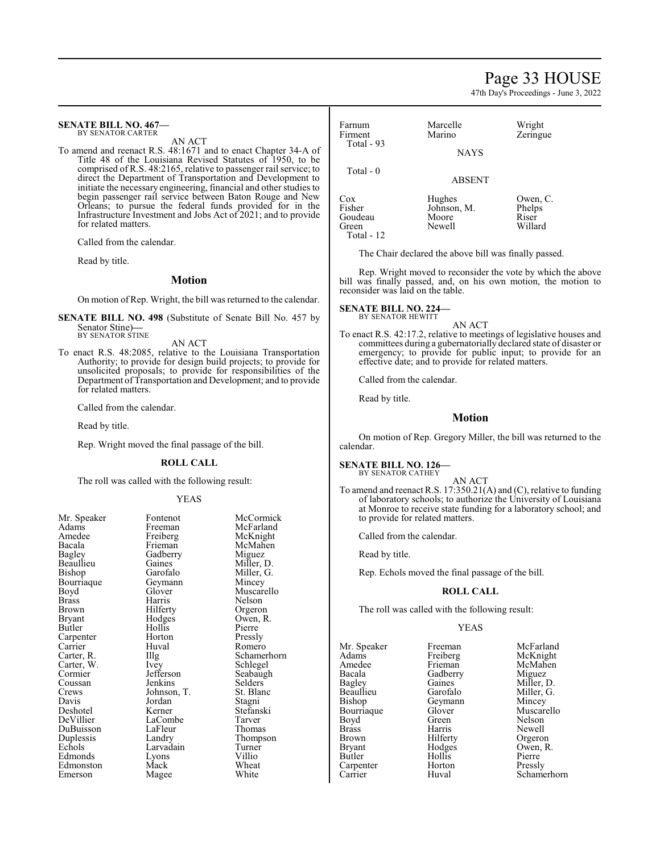## Page 33 HOUSE

47th Day's Proceedings - June 3, 2022

#### **SENATE BILL NO. 467—** BY SENATOR CARTER

AN ACT

To amend and reenact R.S. 48:1671 and to enact Chapter 34-A of Title 48 of the Louisiana Revised Statutes of 1950, to be comprised of R.S. 48:2165, relative to passenger rail service; to direct the Department of Transportation and Development to initiate the necessary engineering, financial and other studies to begin passenger rail service between Baton Rouge and New Orleans; to pursue the federal funds provided for in the Infrastructure Investment and Jobs Act of 2021; and to provide for related matters.

Called from the calendar.

Read by title.

## **Motion**

On motion of Rep. Wright, the bill was returned to the calendar.

**SENATE BILL NO. 498** (Substitute of Senate Bill No. 457 by Senator Stine)**—** BY SENATOR STINE

AN ACT

To enact R.S. 48:2085, relative to the Louisiana Transportation Authority; to provide for design build projects; to provide for unsolicited proposals; to provide for responsibilities of the Department of Transportation and Development; and to provide for related matters.

Called from the calendar.

Read by title.

Rep. Wright moved the final passage of the bill.

### **ROLL CALL**

The roll was called with the following result:

### YEAS

| Mr. Speaker | Fontenot    | McCormick  |
|-------------|-------------|------------|
| Adams       | Freeman     | McFarland  |
| Amedee      | Freiberg    | McKnight   |
| Bacala      | Frieman     | McMahen    |
| Bagley      | Gadberry    | Miguez     |
| Beaullieu   | Gaines      | Miller, D. |
| Bishop      | Garofalo    | Miller, G. |
| Bourriaque  | Geymann     | Mincey     |
| Boyd        | Glover      | Muscarello |
| Brass       | Harris      | Nelson     |
| Brown       | Hilferty    | Orgeron    |
| Bryant      | Hodges      | Owen, R.   |
| Butler      | Hollis      | Pierre     |
| Carpenter   | Horton      | Pressly    |
| Carrier     | Huval       | Romero     |
| Carter, R.  | Illg        | Schamerhor |
| Carter, W.  | Ivey        | Schlegel   |
| Cormier     | Jefferson   | Seabaugh   |
| Coussan     | Jenkins     | Selders    |
| Crews       | Johnson, T. | St. Blanc  |
| Davis       | Jordan      | Stagni     |
| Deshotel    | Kerner      | Stefanski  |
| DeVillier   | LaCombe     | Tarver     |
| DuBuisson   | LaFleur     | Thomas     |
| Duplessis   | Landry      | Thompson   |
| Echols      | Larvadain   | Turner     |
| Edmonds     | Lyons       | Villio     |
| Edmonston   | Mack        | Wheat      |
| Emerson     | Magee       | White      |

McMahen<br>Miguez Miller, G.<br>Mincey Nelson<br>Orgeron Owen, R.<br>Pierre Illg Schamerhorn<br>Ivey Schlegel Seabaugh<br>Selders Stefanski<br>Tarver Thompson<br>Turner

| Farnum<br>Firment<br>Total $-93$  | Marcelle<br>Marino<br><b>NAYS</b>        | Wright<br>Zeringue                     |
|-----------------------------------|------------------------------------------|----------------------------------------|
| Total $-0$                        | <b>ABSENT</b>                            |                                        |
| Cox<br>Fisher<br>Goudeau<br>Green | Hughes<br>Johnson, M.<br>Moore<br>Newell | Owen, C.<br>Phelps<br>Riser<br>Willard |

The Chair declared the above bill was finally passed.

Rep. Wright moved to reconsider the vote by which the above bill was finally passed, and, on his own motion, the motion to reconsider was laid on the table.

#### **SENATE BILL NO. 224—** BY SENATOR HEWITT

Total - 12

AN ACT

To enact R.S. 42:17.2, relative to meetings of legislative houses and committees during a gubernatorially declared state of disaster or emergency; to provide for public input; to provide for an effective date; and to provide for related matters.

Called from the calendar.

Read by title.

## **Motion**

On motion of Rep. Gregory Miller, the bill was returned to the calendar.

### **SENATE BILL NO. 126—**

BY SENATOR CATHEY

AN ACT To amend and reenact R.S. 17:350.21(A) and (C), relative to funding of laboratory schools; to authorize the University of Louisiana at Monroe to receive state funding for a laboratory school; and to provide for related matters.

Called from the calendar.

Read by title.

Rep. Echols moved the final passage of the bill.

## **ROLL CALL**

The roll was called with the following result:

### YEAS

Mr. Speaker Freeman McFarland<br>
Adams Freiberg McKnight Adams Freiberg<br>Amedee Frieman Bacala Gadberry<br>Bagley Gaines Bourriaque Glover Muscarello<br>Boyd Green Nelson Boyd Green Nelson Brass Harris Newell<br>Brown Hilferty Orgero Brown Hilferty Orgeron<br>Bryant Hodges Owen, R Bryant Hodges Owen, R.<br>Butler Hollis Pierre Carpenter Horton<br>Carrier Huval

Amedee Frieman McMahen<br>Bacala Gadberry Miguez Bagley Gaines Miller, D.<br>Beaullieu Garofalo Miller, G. Beaullieu Garofalo Miller, G.<br>Bishop Geymann Mincey Geymann Mincey<br>Glover Muscarello Hollis Pierre<br>
Horton Pressly Schamerhorn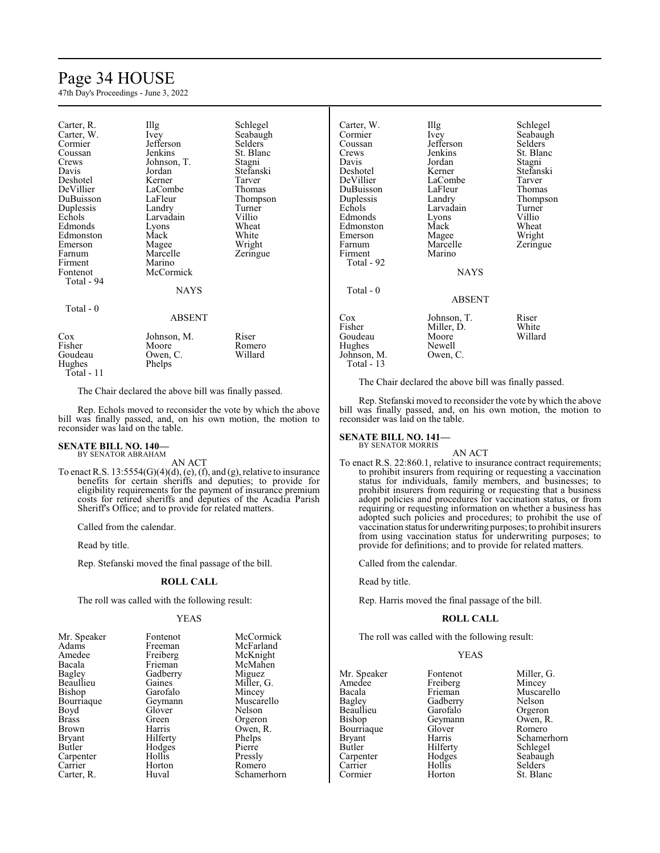# Page 34 HOUSE

47th Day's Proceedings - June 3, 2022

| Carter, R.<br>Carter, W.<br>Cormier<br>Coussan<br>Crews<br>Davis<br>Deshotel<br>DeVillier<br>DuBuisson<br>Duplessis | Illg<br><i>lvey</i><br>Jefferson<br>Jenkins<br>Johnson, T.<br>Jordan<br>Kerner<br>LaCombe<br>LaFleur<br>Landry | Schlegel<br>Seabaugh<br>Selders<br>St. Blanc<br>Stagni<br>Stefanski<br>Tarver<br>Thomas<br>Thompson<br>Turner |
|---------------------------------------------------------------------------------------------------------------------|----------------------------------------------------------------------------------------------------------------|---------------------------------------------------------------------------------------------------------------|
|                                                                                                                     |                                                                                                                |                                                                                                               |
| Echols                                                                                                              | Larvadain                                                                                                      | Villio                                                                                                        |
| Edmonds                                                                                                             | Lyons                                                                                                          | Wheat                                                                                                         |
| Edmonston<br>Emerson                                                                                                | Mack<br>Magee                                                                                                  | White<br>Wright                                                                                               |
| Farnum                                                                                                              | Marcelle                                                                                                       | Zeringue                                                                                                      |
| Firment<br>Fontenot                                                                                                 | Marino<br>McCormick                                                                                            |                                                                                                               |
| Total - 94                                                                                                          | NAYS                                                                                                           |                                                                                                               |
| Total - 0                                                                                                           |                                                                                                                |                                                                                                               |
|                                                                                                                     | ABSENT                                                                                                         |                                                                                                               |
| Cox<br>Fisher<br>Goudeau<br>Hughes                                                                                  | Johnson, M.<br>Moore<br>Owen, C.<br>Phelps                                                                     | Riser<br>Romero<br>Willard                                                                                    |

Total - 11

The Chair declared the above bill was finally passed.

Rep. Echols moved to reconsider the vote by which the above bill was finally passed, and, on his own motion, the motion to reconsider was laid on the table.

### **SENATE BILL NO. 140—** BY SENATOR ABRAHAM

AN ACT

To enact R.S.  $13:5554(G)(4)(d)$ , (e), (f), and (g), relative to insurance benefits for certain sheriffs and deputies; to provide for eligibility requirements for the payment of insurance premium costs for retired sheriffs and deputies of the Acadia Parish Sheriff's Office; and to provide for related matters.

Called from the calendar.

Read by title.

Rep. Stefanski moved the final passage of the bill.

## **ROLL CALL**

The roll was called with the following result:

### YEAS

| Mr. Speaker   | Fontenot | McCormick   |
|---------------|----------|-------------|
| Adams         | Freeman  | McFarland   |
| Amedee        | Freiberg | McKnight    |
| Bacala        | Frieman  | McMahen     |
| Bagley        | Gadberry | Miguez      |
| Beaullieu     | Gaines   | Miller, G.  |
| Bishop        | Garofalo | Mincey      |
| Bourriaque    | Geymann  | Muscarello  |
| Boyd          | Glover   | Nelson      |
| <b>Brass</b>  | Green    | Orgeron     |
| <b>Brown</b>  | Harris   | Owen, R.    |
| <b>Bryant</b> | Hilferty | Phelps      |
| Butler        | Hodges   | Pierre      |
| Carpenter     | Hollis   | Pressly     |
| Carrier       | Horton   | Romero      |
| Carter, R.    | Huval    | Schamerhorn |

| Carter, W.<br>Cormier<br>Coussan<br>Crews<br>Davis<br>Deshotel<br>DeVillier<br>DuBuisson<br>Duplessis<br>Echols<br>Edmonds<br>Edmonston<br>Emerson<br>Farnum<br>Firment<br>Total - 92 | Illg<br>Ivey<br>Jefferson<br>Jenkins<br>Jordan<br>Kerner<br>LaCombe<br>LaFleur<br>Landry<br>Larvadain<br>Lyons<br>Mack<br>Magee<br>Marcelle<br>Marino<br><b>NAYS</b> | Schlegel<br>Seabaugh<br>Selders<br>St. Blanc<br>Stagni<br>Stefanski<br>Tarver<br>Thomas<br>Thompson<br>Turner<br>Villio<br>Wheat<br>Wright<br>Zeringue |
|---------------------------------------------------------------------------------------------------------------------------------------------------------------------------------------|----------------------------------------------------------------------------------------------------------------------------------------------------------------------|--------------------------------------------------------------------------------------------------------------------------------------------------------|
| Total $-0$                                                                                                                                                                            | ABSENT                                                                                                                                                               |                                                                                                                                                        |
| $\cos$<br>Fisher<br>Goudeau<br>Hughes<br>Johnson, M.<br>Total - 13                                                                                                                    | Johnson, T.<br>Miller, D.<br>Moore<br>Newell<br>Owen, C.                                                                                                             | Riser<br>White<br>Willard                                                                                                                              |

The Chair declared the above bill was finally passed.

Rep. Stefanski moved to reconsider the vote by which the above bill was finally passed, and, on his own motion, the motion to reconsider was laid on the table.

#### **SENATE BILL NO. 141—** BY SENATOR MORRIS

AN ACT To enact R.S. 22:860.1, relative to insurance contract requirements; to prohibit insurers from requiring or requesting a vaccination status for individuals, family members, and businesses; to prohibit insurers from requiring or requesting that a business adopt policies and procedures for vaccination status, or from requiring or requesting information on whether a business has adopted such policies and procedures; to prohibit the use of vaccination status for underwriting purposes; to prohibit insurers from using vaccination status for underwriting purposes; to provide for definitions; and to provide for related matters.

Called from the calendar.

Read by title.

Rep. Harris moved the final passage of the bill.

### **ROLL CALL**

The roll was called with the following result:

### YEAS

Mr. Speaker Fontenot Miller, G.<br>Amedee Freiberg Mincey Amedee Freiberg<br>Bacala Frieman Bacala Frieman Muscarello<br>Bagley Gadberry Nelson Beaullieu Garofalo Orgeron<br>Bishop Geymann Owen, R. Bourriaque Glover<br>Bryant Harris Bryant Harris Schamerhorn<br>Butler Hilferty Schlegel Carpenter Hodge<br>Carrier Hollis Cormier

Gadberry Nelson<br>Garofalo Orgeron Geymann Owen, R.<br>Glover Romero Hilferty<br>
Hodges<br>
Seabaugh Hollis Selders<br>
Horton St. Blanc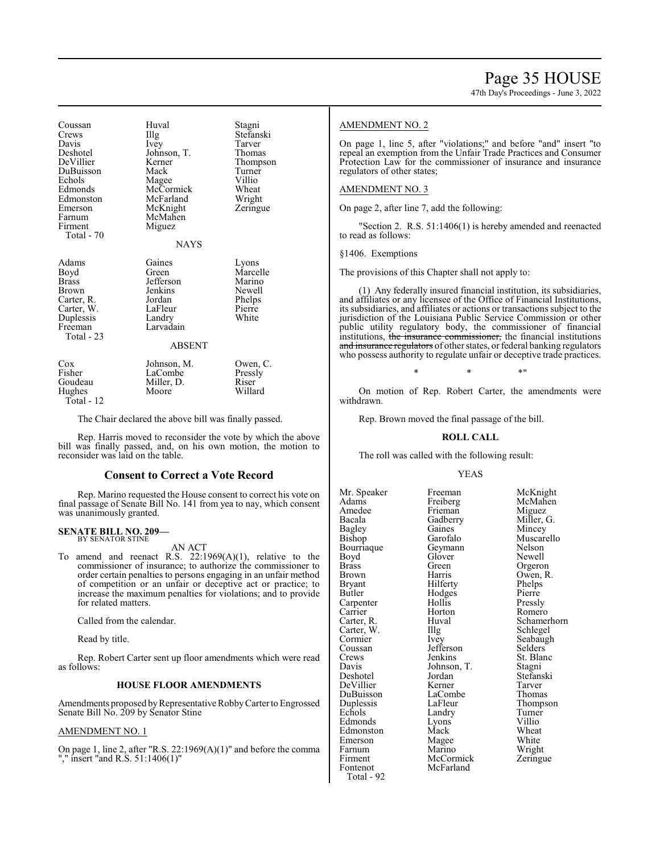47th Day's Proceedings - June 3, 2022

| Coussan<br>Crews<br>Davis<br>Deshotel<br>DeVillier<br>DuBuisson<br>Echols<br>Edmonds<br>Edmonston<br>Emerson<br>Farnum<br>Firment<br>Total - 70 | Huval<br>Illg<br>Ivey<br>Johnson, T.<br>Kerner<br>Mack<br>Magee<br>McCormick<br>McFarland<br>McKnight<br>McMahen<br>Miguez<br><b>NAYS</b> | Stagni<br>Stefanski<br>Tarver<br>Thomas<br>Thompson<br>Turner<br>Villio<br>Wheat<br>Wright<br>Zeringue |
|-------------------------------------------------------------------------------------------------------------------------------------------------|-------------------------------------------------------------------------------------------------------------------------------------------|--------------------------------------------------------------------------------------------------------|
| Adams<br>Boyd<br>Brass<br>Brown<br>Carter, R.<br>Carter, W.<br>Duplessis<br>Freeman<br>Total - 23                                               | Gaines<br>Green<br>Jefferson<br>Jenkins<br>Jordan<br>LaFleur<br>Landry<br>Larvadain<br><b>ABSENT</b>                                      | Lyons<br>Marcelle<br>Marino<br>Newell<br>Phelps<br>Pierre<br>White                                     |
| Cox<br>Fisher<br>Goudeau<br>Hughes<br>Total - 12                                                                                                | Johnson, M.<br>LaCombe<br>Miller, D.<br>Moore                                                                                             | Owen, C.<br>Pressly<br>Riser<br>Willard                                                                |

The Chair declared the above bill was finally passed.

Rep. Harris moved to reconsider the vote by which the above bill was finally passed, and, on his own motion, the motion to reconsider was laid on the table.

### **Consent to Correct a Vote Record**

Rep. Marino requested the House consent to correct his vote on final passage of Senate Bill No. 141 from yea to nay, which consent was unanimously granted.

### **SENATE BILL NO. 209—** BY SENATOR STINE

AN ACT

To amend and reenact R.S. 22:1969(A)(1), relative to the commissioner of insurance; to authorize the commissioner to order certain penalties to persons engaging in an unfair method of competition or an unfair or deceptive act or practice; to increase the maximum penalties for violations; and to provide for related matters.

Called from the calendar.

Read by title.

Rep. Robert Carter sent up floor amendments which were read as follows:

## **HOUSE FLOOR AMENDMENTS**

Amendments proposed by Representative Robby Carter to Engrossed Senate Bill No. 209 by Senator Stine

## AMENDMENT NO. 1

On page 1, line 2, after "R.S. 22:1969(A)(1)" and before the comma "," insert "and R.S. 51:1406(1)"

### AMENDMENT NO. 2

On page 1, line 5, after "violations;" and before "and" insert "to repeal an exemption from the Unfair Trade Practices and Consumer Protection Law for the commissioner of insurance and insurance regulators of other states;

### AMENDMENT NO. 3

On page 2, after line 7, add the following:

'Section 2. R.S. 51:1406(1) is hereby amended and reenacted to read as follows:

§1406. Exemptions

The provisions of this Chapter shall not apply to:

(1) Any federally insured financial institution, its subsidiaries, and affiliates or any licensee of the Office of Financial Institutions, its subsidiaries, and affiliates or actions or transactions subject to the jurisdiction of the Louisiana Public Service Commission or other public utility regulatory body, the commissioner of financial institutions, the insurance commissioner, the financial institutions and insurance regulators of other states, or federal banking regulators who possess authority to regulate unfair or deceptive trade practices.

 $*$  \*  $*$  \*

On motion of Rep. Robert Carter, the amendments were withdrawn.

Rep. Brown moved the final passage of the bill.

### **ROLL CALL**

The roll was called with the following result:

### YEAS

Mr. Speaker Freeman McKnight<br>Adams Freiberg McMahen Adams Freiberg McMah<br>Amedee Frieman Miguez Amedee Frieman<br>Bacala Gadberry Bacala Gadberry Miller, G.<br>Bagley Gaines Mincey Bagley Gaines<br>Bishop Garofalo Bourriaque Geymann Nelson<br>Boyd Glover Newell Boyd Glover<br>Brass Green Brass Green Orgeron<br>Brown Harris Owen R Brown Harris Owen, R.<br>Brvant Hilferty Phelps Bryant Hilferty Phelps Carpenter Hollis<br>Carrier Horton Carrier Horton Romero<br>Carter, R. Huval Schamer Carter, W. Illg<br>Cormier Ivey Cormier Ivey Seabaugh<br>
Coussan Jefferson Selders Coussan Jefferson<br>Crews Jenkins Crews Jenkins St. Blanc<br>
Davis Johnson T. Stagni Davis Johnson, T.<br>Deshotel Jordan DeVillier Kerner Tarver<br>
DuBuisson LaCombe Thomas DuBuisson LaComb<br>
Duplessis LaFleur Duplessis LaFleur Thompson<br>
Echols Landry Turner Edmonds Lyons Villio<br>Edmonston Mack Wheat Edmonston Mack Wheat<br>Emerson Magee White Emerson Magee White<br>
Farnum Marino Wright Farnum Marino Wright<br>Firment McCormick Zeringue Firment McCormick<br>Fontenot McFarland McFarland

Total - 92

Garofalo Muscarello<br>Geymann Nelson Hodges Pierre<br>
Hollis Pressly Huval Schamerhorn<br>
Illg Schlegel Jordan Stefanski<br>Kerner Tarver Landry Turner<br>
Lyons Villio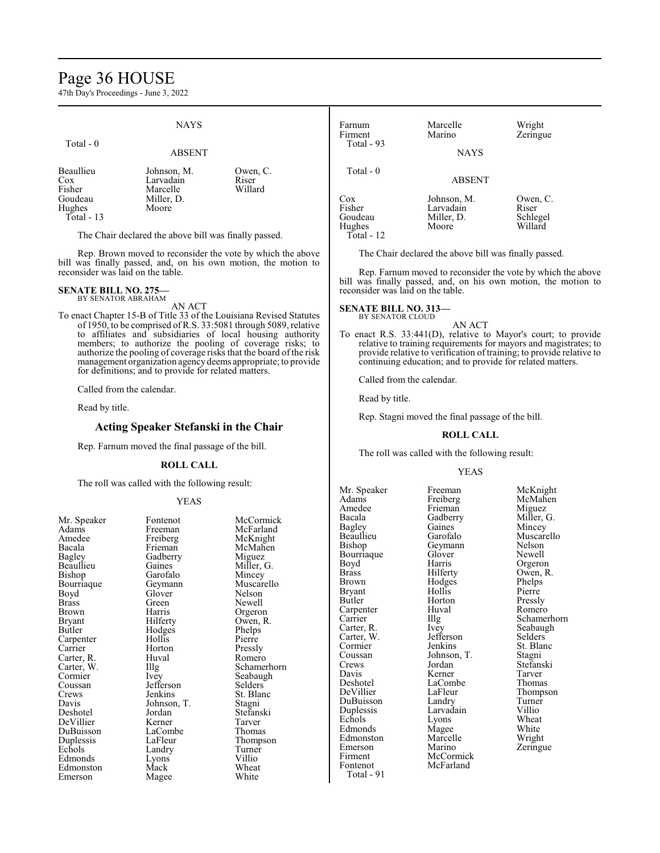## Page 36 HOUSE

47th Day's Proceedings - June 3, 2022

#### **NAYS**  Total - 0 ABSENT Beaullieu Johnson, M. Owen, C. Cox Larvadain Riser<br>
Fisher Marcelle Willard Marcelle<br>Miller, D. Goudeau Miller,<br>Hughes Moore Hughes Total - 13 The Chair declared the above bill was finally passed. Farnum Marcelle Wright<br>Firment Marino Zerinor Zeringue Total - 93 **NAYS**  Total - 0 ABSENT Cox Johnson, M. Owen, C.<br>Fisher Larvadain Riser Fisher Larvadain Riser<br>Goudeau Miller, D. Schlegel Miller, D. Schlege<br>Moore Willard Hughes Total - 12

Rep. Brown moved to reconsider the vote by which the above bill was finally passed, and, on his own motion, the motion to reconsider was laid on the table.

## **SENATE BILL NO. 275—** BY SENATOR ABRAHAM

AN ACT

To enact Chapter 15-B of Title 33 of the Louisiana Revised Statutes of 1950, to be comprised ofR.S. 33:5081 through 5089, relative to affiliates and subsidiaries of local housing authority members; to authorize the pooling of coverage risks; to authorize the pooling of coverage risks that the board of the risk management organization agencydeems appropriate; to provide for definitions; and to provide for related matters.

Called from the calendar.

Read by title.

## **Acting Speaker Stefanski in the Chair**

Rep. Farnum moved the final passage of the bill.

### **ROLL CALL**

The roll was called with the following result:

### YEAS

Freiberg McKnight<br>Frieman McMahen Gadberry<br>Gaines Gaines Miller, G.<br>Garofalo Mincey Garofalo Mincey<br>Geymann Muscar Glover<br>Green Green Newell<br>Harris Orgeror Harris Orgeron<br>Hilferty Owen, R Hodges Phelps<br>Hollis Pierre Hollis Pierre<br>
Horton Pressly Horton<br>Huval Huval Romero<br>Illg Schamer Jefferson<br>Jenkins Johnson, T.<br>Jordan Kerner Tarver<br>LaCombe Thomas LaCombe<br>LaFleur Landry Turne<br>
Lyons Villio Lyons<br>Mack Magee

Mr. Speaker Fontenot McCormick<br>Adams Freeman McFarland Freeman McFarland<br>Freiberg McKnight McMahen<br>Miguez Muscarello<br>Nelson Owen, R.<br>Phelps Illg Schamerhorn<br>Ivey Seabaugh Seabaugh<br>Selders St. Blanc<br>Stagni Stefanski<br>Tarver Thompson<br>Turner Wheat<br>White

The Chair declared the above bill was finally passed.

Rep. Farnum moved to reconsider the vote by which the above bill was finally passed, and, on his own motion, the motion to

continuing education; and to provide for related matters.

Called from the calendar.

The roll was called with the following result:

Mr. Speaker Freeman McKnight<br>
Adams Freiberg McMahen Adams Freiberg McMahen<br>Amedee Frieman Miguez Amedee Frieman<br>Bacala Gadberry Bagley Gaines<br>Beaullieu Garofalo Bourriaque Glover<br>Boyd Harris Boyd Harris Orgeron<br>Brass Hilferty Owen, R Brass Hilferty Owen, R. Bryant Hollis Pierre<br>Butler Horton Pressly Carpenter Huv<br>Carrier Hllg Carter, W. Jefferson Cormier Jenkins St. Blanc<br>Coussan Johnson, T. Stagni Coussan Johnson, T.<br>Crews Jordan Crews Jordan Stefanski Davis Kerner Tarver<br>
Deshotel LaCombe Thomas Deshotel LaCombe<br>
DeVillier LaFleur DuBuisson Landry Turner Duplessis Larvadain Villio Echols Lyons Wheat<br>Edmonds Mage White Edmonds Magee White<br>Edmonston Marcelle Wright Edmonston Marcelle<br>Emerson Marino Emerson Marino Zeringue<br>Firment McCormick Zeringue Firment McCormick<br>Fontenot McFarland Total - 91

Gadberry Miller, G.<br>Gaines Mincey Geymann Nelson<br>Glover Newell Hodges Phelps<br>Hollis Pierre Horton Pressly<br>Huval Romero Ivey Seabaugh<br>Jefferson Selders McFarland

Beaullieu Garofalo Muscarello Carrier Illg Schamerhorn<br>Carter, R. Ivey Seabaugh LaFleur Thompson<br>Landry Turner

**SENATE BILL NO. 313—** BY SENATOR CLOUD

# reconsider was laid on the table. AN ACT

To enact R.S. 33:441(D), relative to Mayor's court; to provide relative to training requirements for mayors and magistrates; to provide relative to verification oftraining; to provide relative to

Read by title.

Rep. Stagni moved the final passage of the bill.

### **ROLL CALL**

### YEAS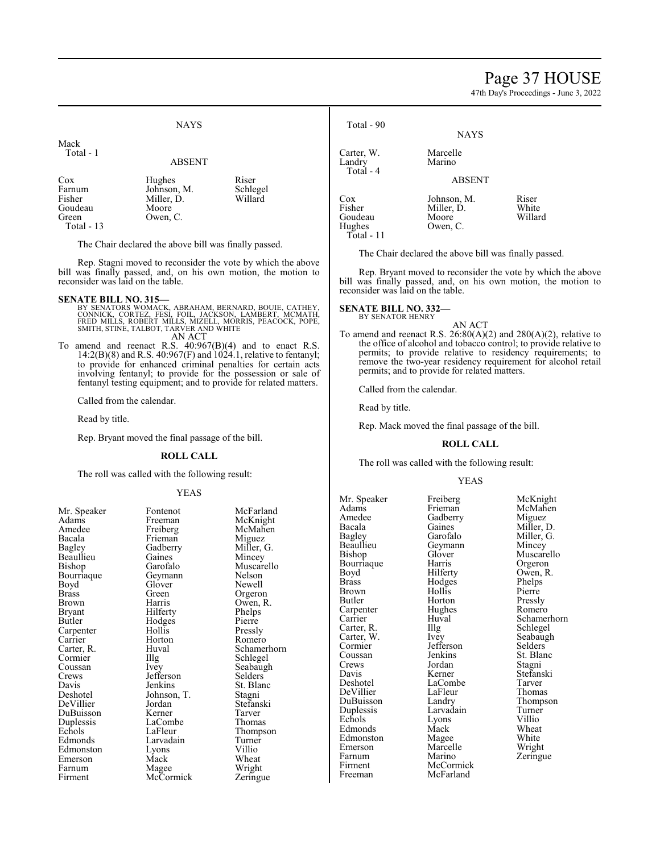## Page 37 HOUSE

47th Day's Proceedings - June 3, 2022



### ABSENT

Cox Hughes Riser<br>Farnum Johnson, M. Schlegel Farnum Johnson, M. Schlege<br>Fisher Miller, D. Willard Miller, D.<br>Moore Goudeau<br>Green Owen, C. Total - 13

The Chair declared the above bill was finally passed.

Rep. Stagni moved to reconsider the vote by which the above bill was finally passed, and, on his own motion, the motion to reconsider was laid on the table.

- **SENATE BILL NO. 315—**<br>BY SENATORS WOMACK, ABRAHAM, BERNARD, BOUIE, CATHEY, CONNICK, CORTEZ, FESI, FOIL, JACKSON, LAMBERT, MCMATH,<br>FRED MILLS, ROBERT MILLS, MIZELL, MORRIS, PEACOCK, POPE,<br>SMITH, STINE, TALBOT, TARVER AND W AN ACT
- To amend and reenact R.S. 40:967(B)(4) and to enact R.S.  $14:2(B)(8)$  and R.S.  $40:967(F)$  and  $1024.1$ , relative to fentanyl; to provide for enhanced criminal penalties for certain acts involving fentanyl; to provide for the possession or sale of fentanyl testing equipment; and to provide for related matters.

Called from the calendar.

Read by title.

Rep. Bryant moved the final passage of the bill.

### **ROLL CALL**

The roll was called with the following result:

### YEAS

| ու. աթյ<br>,,,,<br>ັ້ |
|-----------------------|
| Adams                 |
| Amedee                |
| Bacala                |
| <b>Bagley</b>         |
| Beaullieu             |
| Bishop                |
| Bourriaque            |
| Boyd                  |
| <b>Brass</b>          |
| Brown                 |
| Bryant                |
| Butler                |
| Carpenter             |
| Carrier               |
| Carter, R.            |
| Cormier               |
| Coussan               |
| Crews                 |
| Davis                 |
| Deshotel              |
| DeVillier             |
| DuBuisson             |
| Duplessis             |
| Echols                |
| Edmonds               |
| Edmonston             |
| Emerson               |
| Farnum                |
| Firment               |
|                       |

Freeman McKnight<br>Freiberg McMahen Freiberg McMahen<br>Frieman Miguez Frieman Miguez<br>Gadberry Miller, Gadberry Miller, G.<br>Gaines Mincey Gaines Mincey<br>Garofalo Muscar Geymann Nelson<br>Glover Newell Glover<br>Green Green Orgeron<br>Harris Owen, R Hilferty<br>
Hodges<br>
Pierre Hodges<br>Hollis Hollis Pressly<br>
Horton Romerc Horton Romero<br>Huval Schamer Illg Schlegel<br>Ivey Seabaugl Jefferson<br>Jenkins Johnson, T.<br>Jordan Jordan Stefanski<br>Kerner Tarver LaCombe<br>LaFleur Larvadain Turner<br>Lyons Villio Lyons<br>Mack Mack Wheat<br>
Magee Wright McCormick Zeringue

Mr. Speaker Fontenot McFarland<br>
Adams Freeman McKnight Muscarello<br>Nelson Owen, R.<br>Phelps Huval Schamerhorn<br>Illg Schlegel Seabaugh<br>Selders St. Blanc<br>Stagni Tarver<br>Thomas Thompson<br>Turner Wright

Landry Total - 4 Cox Johnson, M. Riser Fisher Miller, D. White<br>Goudeau Moore Willard Goudeau Moore<br>Hughes Owen, Total - 11

### ABSENT

The Chair declared the above bill was finally passed.

Owen, C.

Rep. Bryant moved to reconsider the vote by which the above bill was finally passed, and, on his own motion, the motion to reconsider was laid on the table.

## **SENATE BILL NO. 332—** BY SENATOR HENRY

AN ACT

To amend and reenact R.S.  $26:80(A)(2)$  and  $280(A)(2)$ , relative to the office of alcohol and tobacco control; to provide relative to permits; to provide relative to residency requirements; to remove the two-year residency requirement for alcohol retail permits; and to provide for related matters.

Called from the calendar.

Read by title.

Rep. Mack moved the final passage of the bill.

## **ROLL CALL**

The roll was called with the following result:

### YEAS

Amedee Gadberry<br>Bacala Gaines Beaullieu Geymann<br>Bishop Glover Carpenter Hughe<br>Carrier Huval Cormier Jefferson<br>Coussan Jenkins Crews Jordan<br>Davis Kerner Emerson Marcell<br>Farnum Marino

Mr. Speaker Freiberg McKnight<br>Adams Frieman McMahen Bacala Gaines Miller, D.<br>Bagley Garofalo Miller, G. Bagley Garofalo Miller, G. Bourriaque Harris Orgeron<br>Boyd Hilferty Owen, R. Boyd Hilferty Owen,<br>Brass Hodges Phelps Hodges Phelps<br>Hollis Pierre Brown Hollis Pierre<br>Butler Horton Pressly Horton Pressly<br>Hughes Romero Carter, R. Illg Schlegel<br>Carter, W. Ivev Seabaugh Carter, W. Ivey Seabaughter, W. Seabaughter, Seabaughter, Seabaughter, Seabaughter, Seabaughter, Seabaughter, Seabaughter, Seabaughter, Seabaughter, Seabaughter, Seabaughter, Seabaughter, Seabaughter, Seabaughter, Seabaugh Coussan Jenkins St. Blanc<br>Crews Jordan Stagni Davis Kerner Stefanski LaCombe<br>
LaFleur Thomas DuBuisson Landry Thomp<br>
Duplessis Larvadain Turner Duplessis Larvadain Turner Echols Lyons Villio<br>Edmonds Mack Wheat Edmonds Mack Wheat<br>Edmonston Magee White Edmonston Magee White<br>
Emerson Marcelle Wright Farnum Marino Zeringue<br>Firment McCormick Zeringue Firment McCormick<br>Freeman McFarland McFarland

Adams Frieman McMahen Glover Muscarello<br>Harris Orgeron Huval Schamerhorn<br>Illg Schlegel DeVillier LaFleur Thomas<br>DuBuisson Landry Thompson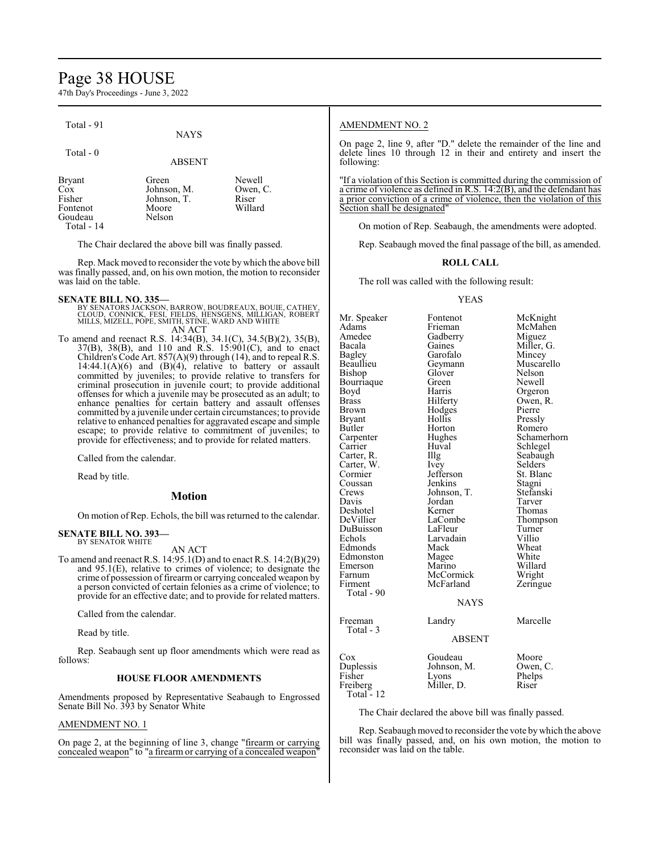## Page 38 HOUSE

47th Day's Proceedings - June 3, 2022

| Total - 91<br>Total $-0$                                            | <b>NAYS</b><br><b>ABSENT</b>                           |                                                                                                                                        | <b>AMENDMENT NO. 2</b><br>On page 2, line 9, after "D." delete the remainder of the line and<br>delete lines 10 through 12 in their and entirety and insert the<br>following:                                                                                                                                                      |
|---------------------------------------------------------------------|--------------------------------------------------------|----------------------------------------------------------------------------------------------------------------------------------------|------------------------------------------------------------------------------------------------------------------------------------------------------------------------------------------------------------------------------------------------------------------------------------------------------------------------------------|
| Bryant<br><b>Cox</b><br>Fisher<br>Fontenot<br>Goudeau<br>Total - 14 | Green<br>Johnson, M.<br>Johnson, T.<br>Moore<br>Nelson | Newell<br>Owen, C.<br>Riser<br>Willard                                                                                                 | "If a violation of this Section is committed during the commission of<br>a crime of violence as defined in $\overline{R}$ . S. 14:2(B), and the defendant has<br>a prior conviction of a crime of violence, then the violation of this<br>Section shall be designated"<br>On motion of Rep. Seabaugh, the amendments were adopted. |
|                                                                     | The Chair declared the above bill was finally passed.  |                                                                                                                                        | Rep. Seabaugh moved the final passage of the bill, as amended.                                                                                                                                                                                                                                                                     |
|                                                                     |                                                        | Rep. Mack moved to reconsider the vote by which the above bill<br>was finally passed, and, on his own motion, the motion to reconsider | <b>ROLL CALL</b>                                                                                                                                                                                                                                                                                                                   |

The roll was called with the following result:

### YEAS

Mr. Speaker Fontenot McKnight<br>
Adams Frieman McMahen Adams Frieman McMahen Amedee Gadberry<br>Bacala Gaines Bacala Gaines Miller, G. Bagley Garofalo<br>Beaullieu Geymann Geymann Muscarello<br>Glover Nelson Bishop Glover Nelson<br>Bourriaque Green Newell Bourriaque Green<br>Boyd Harris Boyd Harris Orgeron<br>Brass Hilferty Owen, R Brass Hilferty Owen, R.<br>Brown Hodges Pierre Brown Hodges<br>Bryant Hollis Bryant Hollis Pressly Butler Horton Romero<br>
Romero Hughes Schame Carpenter Hughes Schamerhorn<br>Carrier Huval Schlegel Huval Schlegel<br>Illg Seabaugh Carter, R. Carter, W. Ivey Selders<br>
Cormier Jefferson St. Blanc Jefferson St. Bla<br>Jenkins Stagni Coussan Jenkins Stagni<br>Crews Johnson, T. Stefanski Johnson, T.<br>Jordan Tarver Davis Jordan Tarver Deshotel Kerner<br>DeVillier LaCombe LaCombe<br>
LaFleur Turner<br>
Turner DuBuisson LaFleur Turner Larvadain Villio<br>
Mack Wheat Edmonds Mack Wheat<br>Edmonston Magee White Edmonston Magee White<br>
Emerson Marino Willard Emerson Marino Willard<br>Farnum McCormick Wright Farnum McCormick Wright<br>
Firment McFarland Zeringue McFarland Total - 90 **NAYS** Freeman Landry Marcelle Total - 3 ABSENT

| Cox<br>Duplessis<br>Fisher<br>Freiberg | Goudeau<br>Johnson, M.<br>Lyons<br>Miller, D. | Moore<br>Owen, C.<br>Phelps<br>Riser |
|----------------------------------------|-----------------------------------------------|--------------------------------------|
| Total - 12                             |                                               |                                      |

The Chair declared the above bill was finally passed.

Rep. Seabaugh moved to reconsider the vote bywhich the above bill was finally passed, and, on his own motion, the motion to reconsider was laid on the table.

## was laid on the table.

**SENATE BILL NO. 335—**<br>BY SENATORS JACKSON, BARROW, BOUDREAUX, BOUIE, CATHEY,<br>CLOUD, CONNICK, FESI, FIELDS, HENSGENS, MILLIGAN, ROBERT<br>MILLS, MIZELL, POPE, SMITH, STINE, WARD AND WHITE

AN ACT To amend and reenact R.S. 14:34(B), 34.1(C), 34.5(B)(2), 35(B), 37(B), 38(B), and 110 and R.S. 15:901(C), and to enact Children's Code Art. 857(A)(9) through (14), and to repeal R.S.  $14:44.1(A)(6)$  and  $(B)(4)$ , relative to battery or assault committed by juveniles; to provide relative to transfers for criminal prosecution in juvenile court; to provide additional offenses for which a juvenile may be prosecuted as an adult; to enhance penalties for certain battery and assault offenses committed by a juvenile under certain circumstances; to provide relative to enhanced penalties for aggravated escape and simple escape; to provide relative to commitment of juveniles; to provide for effectiveness; and to provide for related matters.

Called from the calendar.

Read by title.

## **Motion**

On motion of Rep. Echols, the bill was returned to the calendar.

#### **SENATE BILL NO. 393—** BY SENATOR WHITE

AN ACT

To amend and reenact R.S. 14:95.1(D) and to enact R.S. 14:2(B)(29) and 95.1(E), relative to crimes of violence; to designate the crime of possession of firearm or carrying concealed weapon by a person convicted of certain felonies as a crime of violence; to provide for an effective date; and to provide for related matters.

Called from the calendar.

Read by title.

Rep. Seabaugh sent up floor amendments which were read as follows:

### **HOUSE FLOOR AMENDMENTS**

Amendments proposed by Representative Seabaugh to Engrossed Senate Bill No. 393 by Senator White

### AMENDMENT NO. 1

On page 2, at the beginning of line 3, change "firearm or carrying concealed weapon" to "a firearm or carrying of a concealed weapon"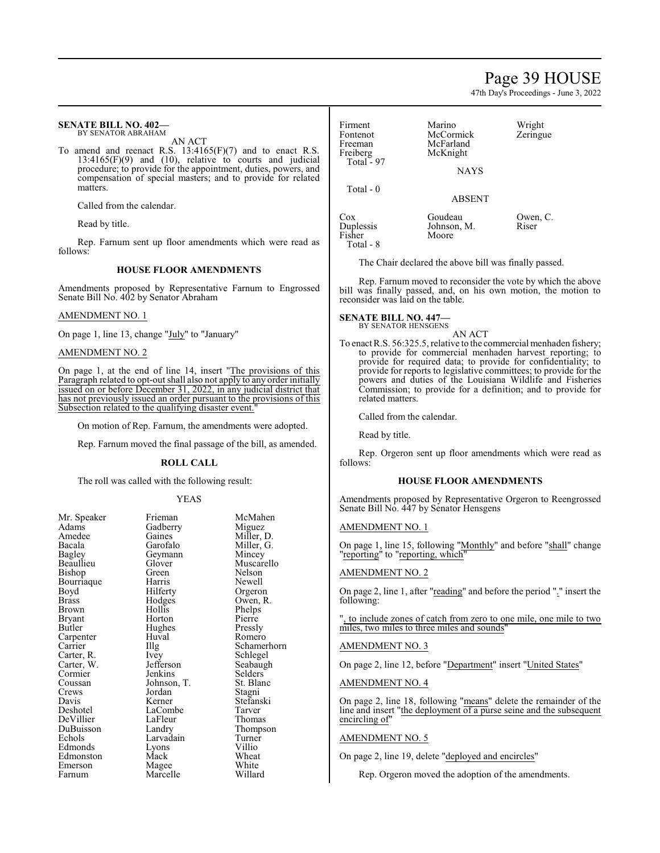## Page 39 HOUSE

47th Day's Proceedings - June 3, 2022

#### **SENATE BILL NO. 402—** BY SENATOR ABRAHAM

AN ACT

To amend and reenact R.S. 13:4165(F)(7) and to enact R.S.  $13:4165(F)(9)$  and  $(10)$ , relative to courts and judicial procedure; to provide for the appointment, duties, powers, and compensation of special masters; and to provide for related matters.

Called from the calendar.

Read by title.

Rep. Farnum sent up floor amendments which were read as follows:

## **HOUSE FLOOR AMENDMENTS**

Amendments proposed by Representative Farnum to Engrossed Senate Bill No. 402 by Senator Abraham

## AMENDMENT NO. 1

On page 1, line 13, change "July" to "January"

### AMENDMENT NO. 2

On page 1, at the end of line 14, insert "The provisions of this Paragraph related to opt-out shall also not apply to any order initially issued on or before December 31, 2022, in any judicial district that has not previously issued an order pursuant to the provisions of this Subsection related to the qualifying disaster event."

On motion of Rep. Farnum, the amendments were adopted.

Rep. Farnum moved the final passage of the bill, as amended.

### **ROLL CALL**

The roll was called with the following result:

### YEAS

| 11. PP        |
|---------------|
| Adams         |
| Amedee        |
| Bacala        |
| <b>Bagley</b> |
| Beaullieu     |
| Bishop        |
| Bourriaque    |
| Boyd          |
| Brass         |
| Brown         |
| Bryant        |
| Butler        |
| Carpenter     |
| Carrier       |
| Carter, R.    |
| Carter, W.    |
| Cormier       |
| Coussan       |
| Crews         |
| Davis         |
| Deshotel      |
| DeVillier     |
| DuBuisson     |
| Echols        |
| Edmonds       |
| Edmonston     |
| Emerson       |
| Farnum        |

Gadberry<br>Gaines Gaines Miller, D.<br>Garofalo Miller, G. Geymann<br>Glover Glover Muscarello<br>Green Nelson Green Nelson<br>Harris Newell Harris Newell<br>Hilferty Orgero Hilferty Orgeron<br>Hodges Owen, R Hodges Owen, R.<br>Hollis Phelps Horton Pierre<br>Hughes Pressly Hughes<br>Huval Huval Romero<br>Illg Schamer Ivey Schlegel<br>
Jefferson Seabaugl Jenkins Selders<br>Johnson, T. St. Blanc Johnson, T.<br>Jordan Jordan Stagni<br>Kerner Stefans LaCombe Tarver<br>LaFleur Thomas LaFleur<br>Landry Larvadain Turner<br>Lyons Villio Magee White<br>
Marcelle Willard Marcelle

Lyons<br>Mack

Mr. Speaker Frieman McMahen<br>Adams Gadberry Miguez Miller, G.<br>Mincey Phelps<br>Pierre Illg Schamerhorn<br>Ivev Schlegel Seabaugh<br>Selders Stefanski<br>Tarver Thompson<br>Turner Wheat<br>White

| Firment<br>Fontenot<br>Freeman<br>Freiberg<br>Total - 97 | Marino<br>McCormick<br>McFarland<br>McKnight<br><b>NAYS</b> | Wright<br>Zeringue |
|----------------------------------------------------------|-------------------------------------------------------------|--------------------|
| Total - 0                                                | <b>ABSENT</b>                                               |                    |
| Cox<br>Duplessis                                         | Goudeau<br>Johnson, M.                                      | Owen, C.<br>Riser  |

The Chair declared the above bill was finally passed.

Rep. Farnum moved to reconsider the vote by which the above bill was finally passed, and, on his own motion, the motion to reconsider was laid on the table.

## **SENATE BILL NO. 447—**

Fisher Moore

Total - 8

BY SENATOR HENSGENS AN ACT

To enact R.S. 56:325.5, relative to the commercial menhaden fishery; to provide for commercial menhaden harvest reporting; to provide for required data; to provide for confidentiality; to provide for reports to legislative committees; to provide for the powers and duties of the Louisiana Wildlife and Fisheries Commission; to provide for a definition; and to provide for related matters.

Called from the calendar.

Read by title.

Rep. Orgeron sent up floor amendments which were read as follows:

## **HOUSE FLOOR AMENDMENTS**

Amendments proposed by Representative Orgeron to Reengrossed Senate Bill No. 447 by Senator Hensgens

### AMENDMENT NO. 1

On page 1, line 15, following "Monthly" and before "shall" change "reporting" to "reporting, which"

### AMENDMENT NO. 2

On page 2, line 1, after "reading" and before the period "." insert the following:

", to include zones of catch from zero to one mile, one mile to two miles, two miles to three miles and sounds"

## AMENDMENT NO. 3

On page 2, line 12, before "Department" insert "United States"

### AMENDMENT NO. 4

On page 2, line 18, following "means" delete the remainder of the line and insert "the deployment of a purse seine and the subsequent encircling of"

### AMENDMENT NO. 5

On page 2, line 19, delete "deployed and encircles"

Rep. Orgeron moved the adoption of the amendments.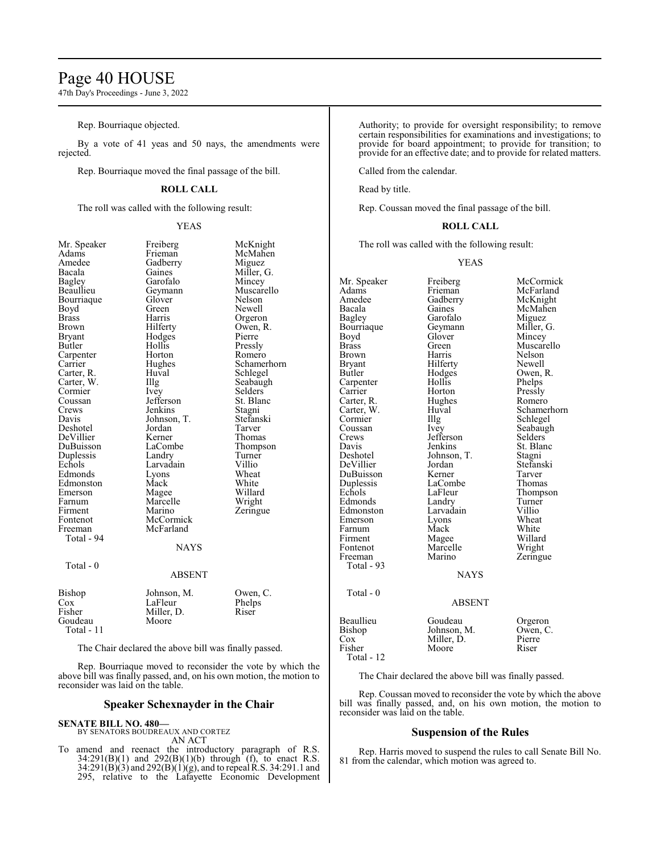## Page 40 HOUSE

47th Day's Proceedings - June 3, 2022

Rep. Bourriaque objected.

By a vote of 41 yeas and 50 nays, the amendments were rejected.

Rep. Bourriaque moved the final passage of the bill.

## **ROLL CALL**

The roll was called with the following result:

### YEAS

Miller, G.<br>Mincey

Selders<br>St. Blanc

| Mr. Speaker                                    |
|------------------------------------------------|
| Adams                                          |
| Amedee<br>Bacala                               |
|                                                |
| <b>Bagley</b>                                  |
| Beaullieu                                      |
|                                                |
| Bourriaque<br>Boyd                             |
| Brass                                          |
| <b>Brown</b>                                   |
| <b>Bryant</b>                                  |
| Butler                                         |
| Carpenter<br>Carrier                           |
|                                                |
| Carter, R.                                     |
|                                                |
| Carter, N.<br>Carter, W.<br>Cormier<br>Coussan |
|                                                |
|                                                |
| Davis                                          |
| Deshotel                                       |
| DeVillier<br>DuBuisson                         |
|                                                |
| $\overline{D}$ uplessis                        |
| Echols                                         |
| Edmonds                                        |
| Edmonston<br>Emerson                           |
|                                                |
| Farnum                                         |
| Firment                                        |
| Fontenot                                       |
| Freeman                                        |
| Total - 94                                     |
|                                                |
|                                                |
| Total - 0                                      |
|                                                |
|                                                |
| Bishop                                         |
| Cox                                            |
| Fisher                                         |
| Goudeau                                        |

Freiberg McKnight<br>Frieman McMahen McMahen Gadberry Miguez<br>Gaines Miller, Garofalo<br>Geymann Muscarello<br>Nelson Glover<br>Green Green Newell<br>Harris Orgeror Harris Orgeron<br>Hilferty Owen, R Owen, R.<br>Pierre Hodges<br>Hollis Hollis Pressly<br>Horton Romerc Horton Romero<br>
Hughes Schamer Hughes Schamerhorn<br>Huval Schlegel Huval Schlegel<br>Illg Seabaugh Illg Seabaugh<br>
Ivey Selders Jefferson St. Blanch<br>Jenkins Stagni Jenkins Stagni<br>Johnson, T. Stefanski Johnson, T. Stefans<br>Jordan Tarver Jordan<br>Kerner Kerner Thomas<br>
LaCombe Thomps Thompson<br>Turner Landry Turner<br>
Larvadain Villio Larvadain Villio<br>Lyons Wheat Lyons Wheat<br>
Mack White Mack White<br>
Mage Willard Magee Willard<br>
Marcelle Wright Marcelle<br>Marino Zeringue McCormick McFarland NAYS ABSENT

### Johnson, M. Owen, C.<br>LaFleur Phelps LaFleur Phelp<br>Miller, D. Riser Miller, D. Moore Total - 11

The Chair declared the above bill was finally passed.

Rep. Bourriaque moved to reconsider the vote by which the above bill was finally passed, and, on his own motion, the motion to reconsider was laid on the table.

## **Speaker Schexnayder in the Chair**

**SENATE BILL NO. 480—**

BY SENATORS BOUDREAUX AND CORTEZ AN ACT

To amend and reenact the introductory paragraph of R.S. 34:291(B)(1) and 292(B)(1)(b) through (f), to enact R.S.  $34:291(B)(3)$  and  $292(B)(1)(g)$ , and to repeal R.S. 34:291.1 and 295, relative to the Lafayette Economic Development Authority; to provide for oversight responsibility; to remove certain responsibilities for examinations and investigations; to provide for board appointment; to provide for transition; to provide for an effective date; and to provide for related matters.

Called from the calendar.

Read by title.

Rep. Coussan moved the final passage of the bill.

### **ROLL CALL**

The roll was called with the following result:

#### YEAS

| Mr. Speaker  | Freiberg      | McCormick   |
|--------------|---------------|-------------|
| Adams        | Frieman       | McFarland   |
| Amedee       | Gadberry      | McKnight    |
| Bacala       | Gaines        | McMahen     |
| Bagley       | Garofalo      | Miguez      |
| Bourriaque   | Geymann       | Miller, G.  |
| Boyd         | Glover        | Mincey      |
| <b>Brass</b> | Green         | Muscarello  |
| Brown        | Harris        | Nelson      |
| Bryant       | Hilferty      | Newell      |
| Butler       | Hodges        | Owen, R.    |
| Carpenter    | Hollis        | Phelps      |
| Carrier      | Horton        | Pressly     |
| Carter, R.   | Hughes        | Romero      |
| Carter, W.   | Huval         | Schamerhorn |
| Cormier      | Illg          | Schlegel    |
| Coussan      | <i>lvey</i>   | Seabaugh    |
| Crews        | Jefferson     | Selders     |
| Davis        | Jenkins       | St. Blanc   |
| Deshotel     | Johnson, T.   | Stagni      |
| DeVillier    | Jordan        | Stefanski   |
| DuBuisson    | Kerner        | Tarver      |
| Duplessis    | LaCombe       | Thomas      |
| Echols       | LaFleur       | Thompson    |
| Edmonds      | Landry        | Turner      |
| Edmonston    | Larvadain     | Villio      |
| Emerson      | Lyons         | Wheat       |
| Farnum       | Mack          | White       |
| Firment      | Magee         | Willard     |
| Fontenot     | Marcelle      | Wright      |
| Freeman      | Marino        | Zeringue    |
| Total - 93   |               |             |
|              | <b>NAYS</b>   |             |
| Total - 0    |               |             |
|              | <b>ABSENT</b> |             |
| Beaullieu    | Goudeau       | Orgeron     |
| Bishop       | Johnson, M.   | Owen, C.    |
| Cox          | Miller, D.    | Pierre      |
| Fisher       | Moore         | Riser       |
| Total - 12   |               |             |

The Chair declared the above bill was finally passed.

Rep. Coussan moved to reconsider the vote by which the above bill was finally passed, and, on his own motion, the motion to reconsider was laid on the table.

### **Suspension of the Rules**

Rep. Harris moved to suspend the rules to call Senate Bill No. 81 from the calendar, which motion was agreed to.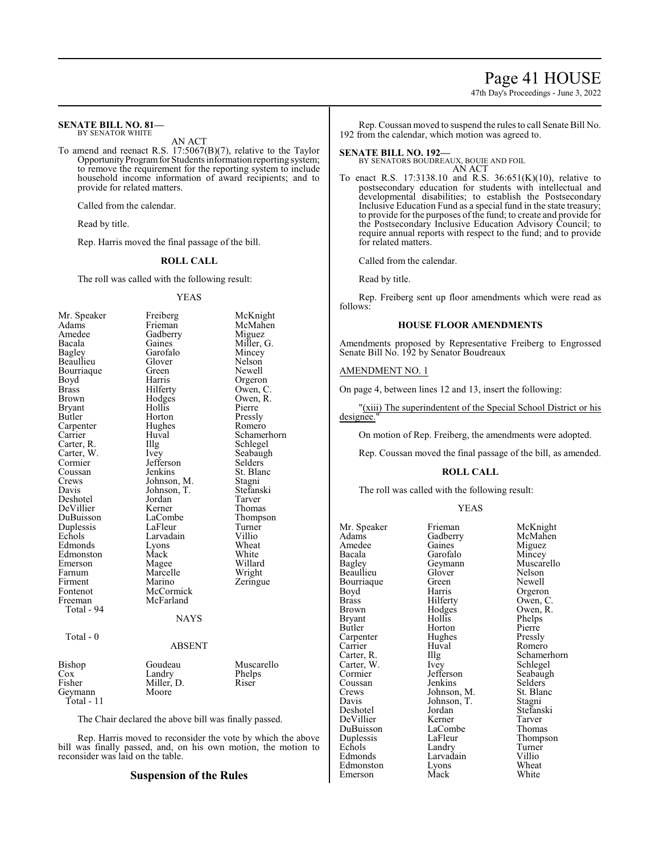## Page 41 HOUSE

47th Day's Proceedings - June 3, 2022

#### **SENATE BILL NO. 81—** BY SENATOR WHITE

AN ACT

To amend and reenact R.S. 17:5067(B)(7), relative to the Taylor Opportunity Program for Students information reporting system; to remove the requirement for the reporting system to include household income information of award recipients; and to provide for related matters.

Called from the calendar.

Read by title.

Rep. Harris moved the final passage of the bill.

### **ROLL CALL**

The roll was called with the following result:

#### YEAS

| Mr. Speaker                    | Freiberg                                                                                   | McKnight    |
|--------------------------------|--------------------------------------------------------------------------------------------|-------------|
| Adams                          | Frieman                                                                                    | McMahen     |
| Amedee                         | Gadberry                                                                                   | Miguez      |
| Bacala                         | Gaines                                                                                     | Miller, G.  |
| <b>Bagley</b>                  | Garofalo                                                                                   | Mincey      |
| Beaullieu                      | Glover                                                                                     | Nelson      |
| Bourriaque                     | Green                                                                                      | Newell      |
| Boyd                           | Harris                                                                                     | Orgeron     |
| <b>Brass</b>                   | Hilferty                                                                                   | Owen, C.    |
| Brown                          | Hodges                                                                                     | Owen, R.    |
| <b>Bryant</b>                  | Hollis                                                                                     | Pierre      |
| Butler                         | Horton                                                                                     | Pressly     |
| Carpenter                      | Hughes                                                                                     | Romero      |
| Carrier                        | Huval                                                                                      | Schamerhorn |
| Carter, R.                     | Illg                                                                                       | Schlegel    |
| Carter, W.                     | Ivey                                                                                       | Seabaugh    |
| Cormier                        | Jefferson                                                                                  | Selders     |
| Coussan                        | Jenkins                                                                                    | St. Blanc   |
| Crews                          | Johnson, M.                                                                                | Stagni      |
| Davis                          | Johnson, T.                                                                                | Stefanski   |
| Deshotel                       | Jordan                                                                                     | Tarver      |
| DeVillier                      | Kerner                                                                                     | Thomas      |
| DuBuisson                      | LaCombe                                                                                    | Thompson    |
| Duplessis                      | LaFleur                                                                                    | Turner      |
| Echols                         | Larvadain                                                                                  | Villio      |
| Edmonds                        | Lyons                                                                                      | Wheat       |
| Edmonston                      | Mack                                                                                       | White       |
| Emerson                        | Magee                                                                                      | Willard     |
| Farnum                         | Marcelle                                                                                   | Wright      |
| Firment                        | Marino                                                                                     | Zeringue    |
| Fontenot                       | McCormick                                                                                  |             |
| Freeman                        | McFarland                                                                                  |             |
| Total - 94                     |                                                                                            |             |
|                                | <b>NAYS</b>                                                                                |             |
|                                |                                                                                            |             |
| Total - 0                      |                                                                                            |             |
|                                | <b>ABSENT</b>                                                                              |             |
| Bishop                         | Goudeau                                                                                    | Muscarello  |
| $\cos$                         | Landry                                                                                     | Phelps      |
| Fisher                         | Miller, D.                                                                                 | Riser       |
| Geymann                        | Moore                                                                                      |             |
| Total - 11                     |                                                                                            |             |
|                                |                                                                                            |             |
| $\sim$ 1 1 1<br>T <sub>1</sub> | $\mathbf{1}$ and $\mathbf{1}$ and $\mathbf{1}$ and $\mathbf{1}$ and $\mathbf{1}$<br>$\sim$ | 11          |

The Chair declared the above bill was finally passed.

Rep. Harris moved to reconsider the vote by which the above bill was finally passed, and, on his own motion, the motion to reconsider was laid on the table.

## **Suspension of the Rules**

Rep. Coussan moved to suspend the rules to call Senate Bill No. 192 from the calendar, which motion was agreed to.

## **SENATE BILL NO. 192—**

BY SENATORS BOUDREAUX, BOUIE AND FOIL AN ACT

To enact R.S. 17:3138.10 and R.S. 36:651(K)(10), relative to postsecondary education for students with intellectual and developmental disabilities; to establish the Postsecondary Inclusive Education Fund as a special fund in the state treasury; to provide for the purposes of the fund; to create and provide for the Postsecondary Inclusive Education Advisory Council; to require annual reports with respect to the fund; and to provide for related matters.

Called from the calendar.

Read by title.

Rep. Freiberg sent up floor amendments which were read as follows:

## **HOUSE FLOOR AMENDMENTS**

Amendments proposed by Representative Freiberg to Engrossed Senate Bill No. 192 by Senator Boudreaux

## AMENDMENT NO. 1

On page 4, between lines 12 and 13, insert the following:

"(xiii) The superindentent of the Special School District or his designee."

On motion of Rep. Freiberg, the amendments were adopted.

Rep. Coussan moved the final passage of the bill, as amended.

### **ROLL CALL**

The roll was called with the following result:

### YEAS

Mr. Speaker Frieman McKnight<br>
Adams Gadberry McMahen Adams Gadberry<br>Amedee Gaines Amedee Gaines Miguez<br>Bacala Garofalo Mincey Bacala Garofalo Mincey<br>
Bagley Geymann Muscarello Beaullieu Glover Nelson<br>Bourriaque Green Newell Bourriaque Green<br>Boyd Harris Boyd Harris Orgeron<br>Brass Hilferty Owen, C Brass Hilferty Owen, C.<br>Brown Hodges Owen, R. Brown Hodges Owen, R.<br>Bryant Hollis Phelps Bryant Hollis Phelps<br>Butler Horton Pierre Carpenter Hughe<br>Carrier Huval Carrier Huval Romero<br>Carter, R. Illg Schamer Carter, W. Ivey<br>Cormier Jefferson Coussan Jenkins Selders<br>Crews Johnson, M. St. Blanc Crews Johnson, M. St. Blanch<br>Davis Johnson, T. Stagni Davis Johnson, T.<br>Deshotel Jordan DeVillier Kerner Tarver<br>DuBuisson LaCombe Thomas DuBuisson LaCombe<br>
Duplessis LaFleur Duplessis LaFleur Thompson<br>
Echols Landry Turner Echols Landry Turner<br>
Edmonds Larvadain Villio Edmonston Lyons Wheat<br>
Emerson Mack White Emerson

Geymann Muscarello<br>Glover Nelson Horton Pierre<br>
Hughes Pressly Illg Schamerhorn<br>Ivey Schlegel Jefferson Seabaugh<br>Jenkins Selders Jordan Stefanski<br>Kerner Tarver Larvadain Villio<br>Lyons Wheat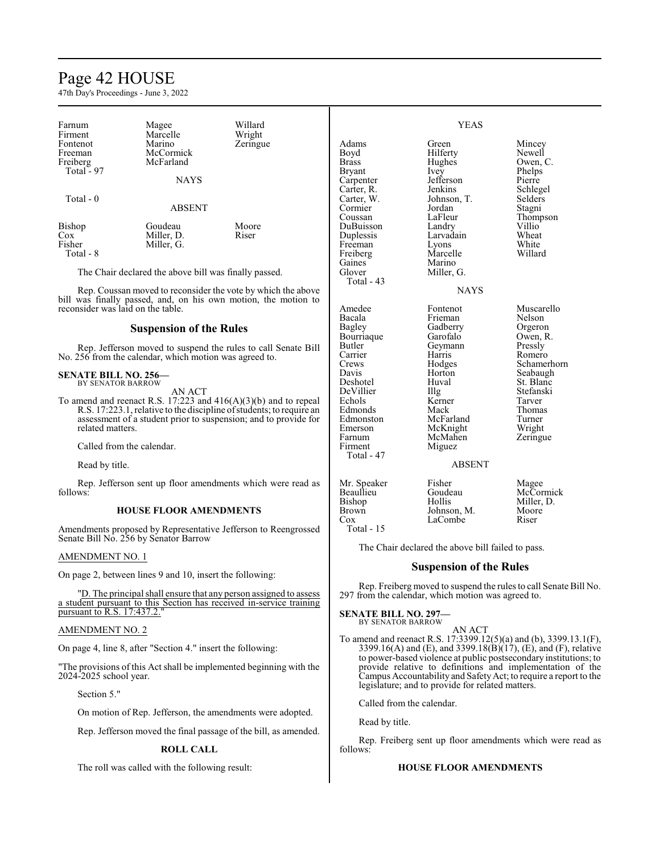## Page 42 HOUSE

47th Day's Proceedings - June 3, 2022

| Farnum<br>Firment | Magee<br>Marcelle                                     | Willard<br>Wright |               | <b>YEAS</b> |          |
|-------------------|-------------------------------------------------------|-------------------|---------------|-------------|----------|
| Fontenot          | Marino                                                | Zeringue          | Adams         | Green       | Mincey   |
| Freeman           | McCormick                                             |                   | Boyd          | Hilferty    | Newell   |
| Freiberg          | McFarland                                             |                   | <b>Brass</b>  | Hughes      | Owen, C. |
| Total - 97        |                                                       |                   | <b>Brvant</b> | Ivey        | Phelps   |
|                   | <b>NAYS</b>                                           |                   | Carpenter     | Jefferson   | Pierre   |
|                   |                                                       |                   | Carter, R.    | Jenkins     | Schlegel |
| Total $-0$        |                                                       |                   | Carter, W.    | Johnson, T. | Selders  |
|                   | <b>ABSENT</b>                                         |                   | Cormier       | Jordan      | Stagni   |
|                   |                                                       |                   | Coussan       | LaFleur     | Thompson |
| <b>Bishop</b>     | Goudeau                                               | Moore             | DuBuisson     | Landry      | Villio   |
| Cox               | Miller, D.                                            | Riser             | Duplessis     | Larvadain   | Wheat    |
| Fisher            | Miller, G.                                            |                   | Freeman       | Lyons       | White    |
| Total - 8         |                                                       |                   | Freiberg      | Marcelle    | Willard  |
|                   |                                                       |                   | Gaines        | Marino      |          |
|                   | The Chair declared the above bill was finally passed. |                   | Glover        | Miller, G.  |          |

Rep. Coussan moved to reconsider the vote by which the above bill was finally passed, and, on his own motion, the motion to reconsider was laid on the table.

## **Suspension of the Rules**

Rep. Jefferson moved to suspend the rules to call Senate Bill No. 256 from the calendar, which motion was agreed to.

#### **SENATE BILL NO. 256—** BY SENATOR BARROW

AN ACT

To amend and reenact R.S. 17:223 and 416(A)(3)(b) and to repeal R.S. 17:223.1, relative to the discipline ofstudents; to require an assessment of a student prior to suspension; and to provide for related matters.

Called from the calendar.

Read by title.

Rep. Jefferson sent up floor amendments which were read as follows:

### **HOUSE FLOOR AMENDMENTS**

Amendments proposed by Representative Jefferson to Reengrossed Senate Bill No. 256 by Senator Barrow

### AMENDMENT NO. 1

On page 2, between lines 9 and 10, insert the following:

"D. The principal shall ensure that any person assigned to assess a student pursuant to this Section has received in-service training pursuant to R.S. 17:437.2."

### AMENDMENT NO. 2

On page 4, line 8, after "Section 4." insert the following:

"The provisions of this Act shall be implemented beginning with the 2024-2025 school year.

Section 5."

On motion of Rep. Jefferson, the amendments were adopted.

Rep. Jefferson moved the final passage of the bill, as amended.

### **ROLL CALL**

The roll was called with the following result:

## NAYS

Amedee Fontenot Muscarello<br>
Bacala Frieman Nelson Bacala Frieman Nelson<br>Bagley Gadberry Orgeron Bourriaque Garofalo Owen, I<br>Butler Geymann Pressly Butler Geymann<br>Carrier Harris Carrier Harris Romero<br>Crews Hodges Schame Crews Hodges Schamerhorn<br>
Davis Horton Seabaugh Davis Horton Seabaugh<br>Deshotel Huval St Blanc DeVillier Illg Stefans<br>Echols Kerner Tarver Edmonds Mack Thoma<br>Edmonston McFarland Turner Edmonston McFarland Turner<br>Emerson McKnight Wright Emerson McKnight Wright<br>
Farnum McMahen Zeringue Farnum McMahen<br>Firment Miguez Total - 47 Mr. Speaker Fisher<br>Beaullieu Goudeau Beaullieu Goude<br>Bishop Hollis Bishop<br>Brown Brown Johnson, M.<br>Cox LaCombe

Total - 15

Total - 43

Gadberry Orgeron<br>Garofalo Owen, R. Huval St. Blanc<br>Illg Stefanski Kerner Tarver<br>
Mack Thomas Miguez

### ABSENT

| Magee      |
|------------|
| McCormick  |
| Miller, D. |
| Moore      |
| Riser      |

The Chair declared the above bill failed to pass.

LaCombe

## **Suspension of the Rules**

Rep. Freiberg moved to suspend the rules to call Senate Bill No. 297 from the calendar, which motion was agreed to.

## **SENATE BILL NO. 297**

BY SENATOR BARROW

To amend and reenact R.S. 17:3399.12(5)(a) and (b), 3399.13.1(F), 3399.16(A) and (E), and 3399.18( $\hat{B}$ )( $\hat{17}$ ), (E), and (F), relative to power-based violence at public postsecondary institutions; to provide relative to definitions and implementation of the Campus Accountability and SafetyAct; to require a report to the legislature; and to provide for related matters.

AN ACT

Called from the calendar.

Read by title.

Rep. Freiberg sent up floor amendments which were read as follows:

### **HOUSE FLOOR AMENDMENTS**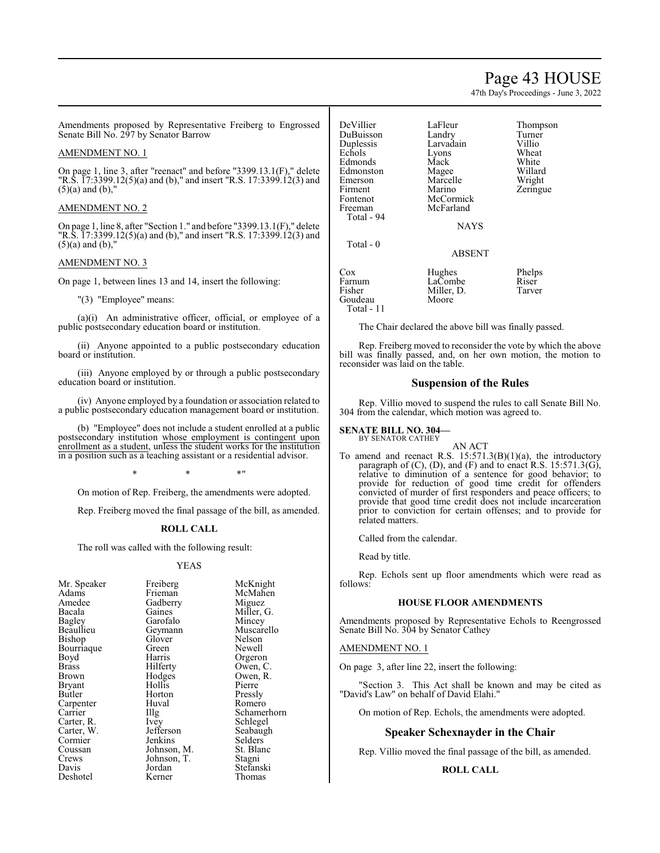## Page 43 HOUSE

47th Day's Proceedings - June 3, 2022

Amendments proposed by Representative Freiberg to Engrossed Senate Bill No. 297 by Senator Barrow

### AMENDMENT NO. 1

On page 1, line 3, after "reenact" and before "3399.13.1(F)," delete "R.S. 17:3399.12(5)(a) and (b)," and insert "R.S. 17:3399.12(3) and  $(5)(a)$  and  $(b)$ ,"

### AMENDMENT NO. 2

On page 1, line 8, after "Section 1." and before "3399.13.1(F)," delete "R.S.  $\overline{17:3399.12(5)}$  (a) and (b)," and insert "R.S. 17:3399.12(3) and  $(5)(a)$  and  $(b)$ ,"

### AMENDMENT NO. 3

On page 1, between lines 13 and 14, insert the following:

"(3) "Employee" means:

(a)(i) An administrative officer, official, or employee of a public postsecondary education board or institution.

(ii) Anyone appointed to a public postsecondary education board or institution.

(iii) Anyone employed by or through a public postsecondary education board or institution.

(iv) Anyone employed by a foundation or association related to a public postsecondary education management board or institution.

(b) "Employee" does not include a student enrolled at a public postsecondary institution whose employment is contingent upon enrollment as a student, unless the student works for the institution in a position such as a teaching assistant or a residential advisor.

\* \* \*"

On motion of Rep. Freiberg, the amendments were adopted.

Rep. Freiberg moved the final passage of the bill, as amended.

### **ROLL CALL**

The roll was called with the following result:

### YEAS

| Mr. Speaker   | Freiberg    | McKnight   |
|---------------|-------------|------------|
| Adams         | Frieman     | McMahen    |
| Amedee        | Gadberry    | Miguez     |
| Bacala        | Gaines      | Miller, G. |
| <b>Bagley</b> | Garofalo    | Mincey     |
| Beaullieu     | Geymann     | Muscarello |
| Bishop        | Glover      | Nelson     |
| Bourriaque    | Green       | Newell     |
| Boyd          | Harris      | Orgeron    |
| Brass         | Hilferty    | Owen, C.   |
| Brown         | Hodges      | Owen, R.   |
| Bryant        | Hollis      | Pierre     |
| Butler        | Horton      | Pressly    |
| Carpenter     | Huval       | Romero     |
| Carrier       | Illg        | Schamerho  |
| Carter, R.    | Ivey        | Schlegel   |
| Carter, W.    | Jefferson   | Seabaugh   |
| Cormier       | Jenkins     | Selders    |
| Coussan       | Johnson, M. | St. Blanc  |
| Crews         | Johnson, T. | Stagni     |
| Davis         | Jordan      | Stefanski  |
| Deshotel      | Kerner      | Thomas     |

McMahen<br>Miguez Miller, G.<br>Mincev Muscarello<br>Nelson Green Newell<br>Harris Orgerou Harris Orgeron<br>Hilferty Owen, C Hilferty Owen, C.<br>Hodges Owen, R. Owen, R.<br>Pierre Hollis Pierre<br>
Horton Pressly Huval Romero<br>Illg Schamer Illg Schamerhorn<br>Ivey Schlegel Ivey Schlegel<br>Jefferson Seabaugh Jefferson Seabaugh<br>Jenkins Selders Selders<br>St. Blanc Johnson, M. St. Blanch<br>Johnson, T. Stagni Johnson, T.<br>Jordan Jordan Stefanski<br>Kerner Thomas Thomas

DeVillier LaFleur Thompson<br>DuBuisson Landry Turner DuBuisson Landry Turner<br>
Duplessis Larvadain Villio Larvadain Villio<br>Lyons Wheat Echols Lyons Wheat<br>Edmonds Mack White Edmonds Mack White<br>Edmonston Magee Willard Edmonston Magee Willard<br>
Emerson Marcelle Wright Emerson Marcelle<br>Firment Marino Firment Marino Zeringue<br>Fontenot McCormick Zeringue Fontenot McCormick<br>Freeman McFarland McFarland Total - 94 NAYS Total - 0 ABSENT Cox Hughes Phelps<br>Farnum LaCombe Riser Farnum LaCombe Riser<br>Fisher Miller D. Tarver Miller, D.<br>Moore Goudeau Total - 11

The Chair declared the above bill was finally passed.

Rep. Freiberg moved to reconsider the vote by which the above bill was finally passed, and, on her own motion, the motion to reconsider was laid on the table.

## **Suspension of the Rules**

Rep. Villio moved to suspend the rules to call Senate Bill No. 304 from the calendar, which motion was agreed to.

#### **SENATE BILL NO. 304—** BY SENATOR CATHEY

AN ACT

To amend and reenact R.S. 15:571.3(B)(1)(a), the introductory paragraph of (C), (D), and (F) and to enact R.S. 15:571.3(G), relative to diminution of a sentence for good behavior; to provide for reduction of good time credit for offenders convicted of murder of first responders and peace officers; to provide that good time credit does not include incarceration prior to conviction for certain offenses; and to provide for related matters.

Called from the calendar.

Read by title.

Rep. Echols sent up floor amendments which were read as follows:

## **HOUSE FLOOR AMENDMENTS**

Amendments proposed by Representative Echols to Reengrossed Senate Bill No. 304 by Senator Cathey

### AMENDMENT NO. 1

On page 3, after line 22, insert the following:

"Section 3. This Act shall be known and may be cited as "David's Law" on behalf of David Elahi."

On motion of Rep. Echols, the amendments were adopted.

### **Speaker Schexnayder in the Chair**

Rep. Villio moved the final passage of the bill, as amended.

### **ROLL CALL**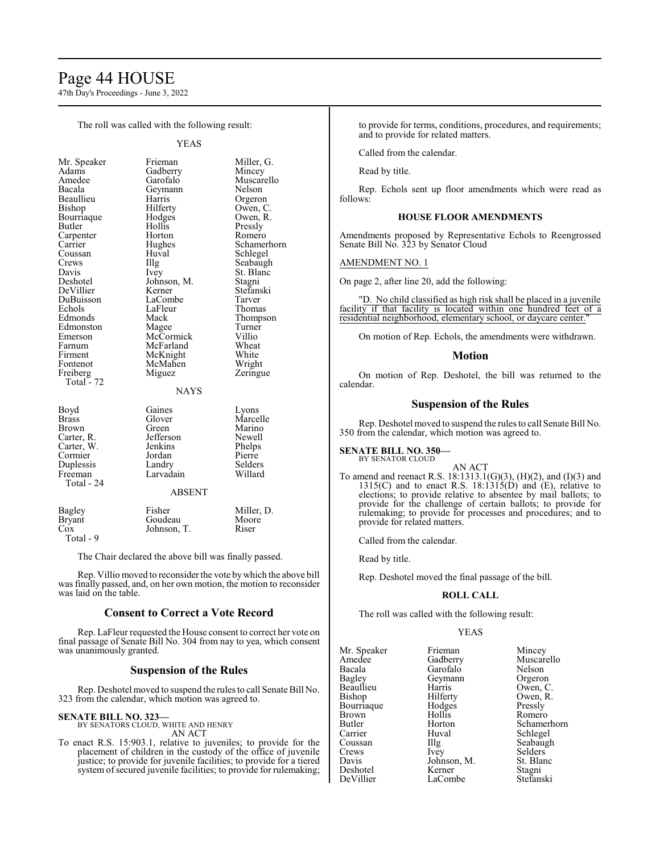## Page 44 HOUSE

47th Day's Proceedings - June 3, 2022

The roll was called with the following result:

YEAS

| Mr. Speaker                         | Fr             |
|-------------------------------------|----------------|
| Adams                               | G              |
| Amedee                              | G              |
| Bacala                              | G              |
| Beaullieu                           | H              |
| Bishop                              | H              |
| Bourriaque                          | Η              |
| Butler                              | Η              |
| Carpenter                           | $H_1$          |
| Carrier                             | H <sub>i</sub> |
| Coussan                             | H              |
| Crews                               | $\prod$        |
| Davis                               | Iv             |
| Deshotel                            | Jo             |
| DeVillier                           | K              |
|                                     | Lι             |
| DuBuisson<br>Echols                 | Lι             |
| Edmonds                             | M              |
| Edmonston                           | М              |
| Emerson                             | М              |
| Farnum                              | М              |
| Firment                             | М              |
| Fontenot                            | М              |
| Freiberg                            | М              |
| Total - $72$                        |                |
|                                     |                |
|                                     |                |
| Boyd                                | G              |
| <b>Brass</b>                        | G.             |
| Brown                               | G              |
| Carter, R.<br>Carter, W.<br>Cormier | Je             |
|                                     | Je             |
|                                     | Jo             |
| Duplessis                           | Lι             |
|                                     |                |

Total - 24

experiment method is much miller, G.<br>
Mincey Mincey Mincey arofalo Muscarello<br>eymann Nelson eymann Nelson<br>arris Orgeror arris Orgeron<br>ilferty Owen, C ilferty Owen, C.<br>
odges Owen, R. odges Owen, R.<br>ollis Pressly ollis Pressly<br>orton Romerc orton Romero<br>
ughes Schame ughes Schamerhorn<br>
uval Schle*g*el Schlegel Crews Illg Seabaugh St. Blanc<br>Stagni bhnson, M.<br>erner Stefanski<br>Tarver aCombe<br>aFleur aFleur Thomas<br>Iack Thomps France Thompson<br>
External Machines<br>
France Turner Edmonston Magee Turner lcCormick Villio<br>IcFarland Wheat lcFarland Wheat<br>IcKnight White Firment White<br>Firment White<br>The Wright IcMahen Frequence iguez Zeringue **NAYS** Boyd Gaines Lyons lover Marcelle<br>
reen Marino Marino<br>Newell efferson<br>enkins Phelps<br>
Phelps<br>
Pierre Cormier Jordan Pierre Duplessis Landry Selders Freeman Larvadain Willard

### ABSENT

| Bagley    | Fisher      | Miller, D. |
|-----------|-------------|------------|
| Bryant    | Goudeau     | Moore      |
| Cox       | Johnson, T. | Riser      |
| Total - 9 |             |            |

The Chair declared the above bill was finally passed.

Rep. Villio moved to reconsider the vote by which the above bill was finally passed, and, on her own motion, the motion to reconsider was laid on the table.

### **Consent to Correct a Vote Record**

Rep. LaFleur requested the House consent to correct her vote on final passage of Senate Bill No. 304 from nay to yea, which consent was unanimously granted.

## **Suspension of the Rules**

Rep. Deshotel moved to suspend the rules to call Senate Bill No. 323 from the calendar, which motion was agreed to.

**SENATE BILL NO. 323—**

BY SENATORS CLOUD, WHITE AND HENRY AN ACT

To enact R.S. 15:903.1, relative to juveniles; to provide for the placement of children in the custody of the office of juvenile justice; to provide for juvenile facilities; to provide for a tiered system of secured juvenile facilities; to provide for rulemaking; to provide for terms, conditions, procedures, and requirements; and to provide for related matters.

Called from the calendar.

Read by title.

Rep. Echols sent up floor amendments which were read as follows:

## **HOUSE FLOOR AMENDMENTS**

Amendments proposed by Representative Echols to Reengrossed Senate Bill No. 323 by Senator Cloud

### AMENDMENT NO. 1

On page 2, after line 20, add the following:

"D. No child classified as high risk shall be placed in a juvenile facility if that facility is located within one hundred feet of a residential neighborhood, elementary school, or daycare center."

On motion of Rep. Echols, the amendments were withdrawn.

## **Motion**

On motion of Rep. Deshotel, the bill was returned to the calendar.

## **Suspension of the Rules**

Rep. Deshotel moved to suspend the rules to call Senate Bill No. 350 from the calendar, which motion was agreed to.

#### **SENATE BILL NO. 350—** BY SENATOR CLOUD

AN ACT

To amend and reenact R.S. 18:1313.1(G)(3), (H)(2), and (I)(3) and 1315(C) and to enact R.S. 18:1315(D) and  $(E)$ , relative to elections; to provide relative to absentee by mail ballots; to provide for the challenge of certain ballots; to provide for rulemaking; to provide for processes and procedures; and to provide for related matters.

Called from the calendar.

Read by title.

Rep. Deshotel moved the final passage of the bill.

## **ROLL CALL**

The roll was called with the following result:

## YEAS

| Mr. Speaker  | Frieman     | Mincey      |
|--------------|-------------|-------------|
| Amedee       | Gadberry    | Muscarello  |
| Bacala       | Garofalo    | Nelson      |
| Bagley       | Geymann     | Orgeron     |
| Beaullieu    | Harris      | Owen, C.    |
| Bishop       | Hilferty    | Owen, R.    |
| Bourriaque   | Hodges      | Pressly     |
| <b>Brown</b> | Hollis      | Romero      |
| Butler       | Horton      | Schamerhorn |
| Carrier      | Huval       | Schlegel    |
| Coussan      | Illg        | Seabaugh    |
| Crews        | <i>lvey</i> | Selders     |
| Davis        | Johnson, M. | St. Blanc   |
| Deshotel     | Kerner      | Stagni      |
| DeVillier    | LaCombe     | Stefanski   |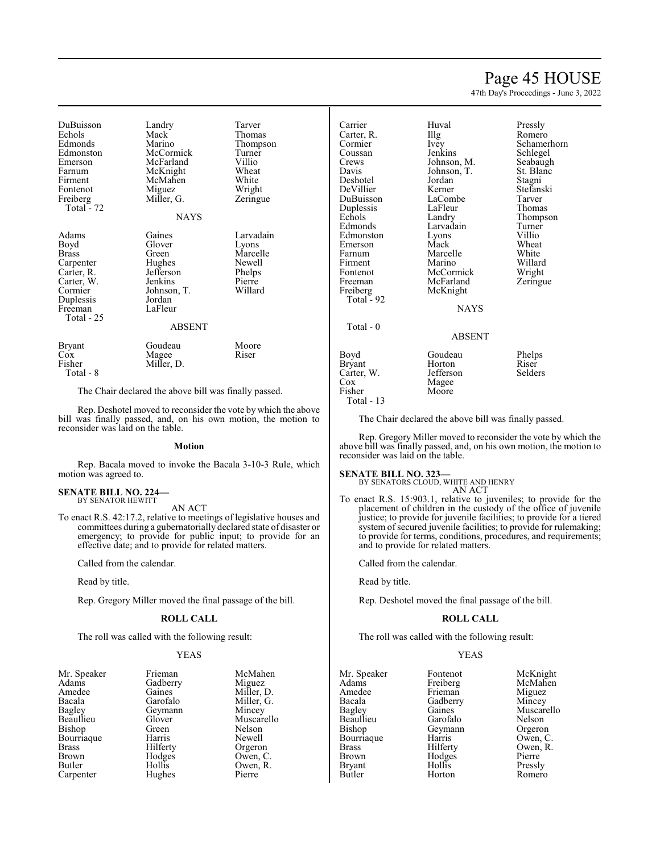## Page 45 HOUSE

47th Day's Proceedings - June 3, 2022

| DuBuisson<br>Echols<br>Edmonds<br>Edmonston<br>Emerson<br>Farnum<br>Firment<br>Fontenot                          | Landry<br>Mack<br>Marino<br>McCormick<br>McFarland<br>McKnight<br>McMahen<br>Miguez                              | Tarver<br>Thomas<br>Thompson<br>Turner<br>Villio<br>Wheat<br>White<br>Wright |
|------------------------------------------------------------------------------------------------------------------|------------------------------------------------------------------------------------------------------------------|------------------------------------------------------------------------------|
| Freiberg<br>Total - 72                                                                                           | Miller, G.                                                                                                       | Zeringue                                                                     |
|                                                                                                                  | <b>NAYS</b>                                                                                                      |                                                                              |
| Adams<br>Boyd<br>Brass<br>Carpenter<br>Carter, R.<br>Carter, W.<br>Cormier<br>Duplessis<br>Freeman<br>Total - 25 | Gaines<br>Glover<br>Green<br>Hughes<br>Jefferson<br>Jenkins<br>Johnson, T.<br>Jordan<br>LaFleur<br><b>ABSENT</b> | Larvadain<br>Lyons<br>Marcelle<br>Newell<br>Phelps<br>Pierre<br>Willard      |
| Bryant<br>$\cos$<br>Fisher<br>$Total - 8$                                                                        | Goudeau<br>Magee<br>Miller, D.                                                                                   | Moore<br>Riser                                                               |

The Chair declared the above bill was finally passed.

Rep. Deshotel moved to reconsider the vote by which the above bill was finally passed, and, on his own motion, the motion to reconsider was laid on the table.

### **Motion**

Rep. Bacala moved to invoke the Bacala 3-10-3 Rule, which motion was agreed to.

### **SENATE BILL NO. 224—** BY SENATOR HEWITT

AN ACT

To enact R.S. 42:17.2, relative to meetings of legislative houses and committees during a gubernatorially declared state of disaster or emergency; to provide for public input; to provide for an effective date; and to provide for related matters.

Called from the calendar.

Read by title.

Rep. Gregory Miller moved the final passage of the bill.

### **ROLL CALL**

The roll was called with the following result:

Hughes

## YEAS

| Mr. Speaker  | Frieman  | McMal   |
|--------------|----------|---------|
| Adams        | Gadberry | Miguez  |
| Amedee       | Gaines   | Miller, |
| Bacala       | Garofalo | Miller, |
| Bagley       | Geymann  | Mincey  |
| Beaullieu    | Glover   | Muscar  |
| Bishop       | Green    | Nelson  |
| Bourriaque   | Harris   | Newell  |
| <b>Brass</b> | Hilferty | Orgero  |
| <b>Brown</b> | Hodges   | Owen,   |
| Butler       | Hollis   | Owen,   |
| Carnenter    | Hughes   | Pierre  |

Speaker Frieman McMahen<br>
Mr. Gadberry Miguez Gaines Miller, D.<br>Garofalo Miller, G. Miller, G.<br>Mincey Glover Muscarello<br>Green Nelson Harris Newell<br>Hilferty Orgero Hilferty Orgeron<br>Hodges Owen, C Hodges Owen, C.<br>Hollis Owen, R. Owen, R.<br>Pierre

| Carrier<br>Carter, R.<br>Cormier<br>Coussan<br>Crews<br>Davis<br>Deshotel<br>DeVillier<br>DuBuisson<br>Duplessis<br>Echols<br>Edmonds<br>Edmonston<br>Emerson<br>Farnum<br>Firment<br>Fontenot<br>Freeman<br>Freiberg<br>Total - 92 | Huval<br>Illg<br>Ivey<br>Jenkins<br>Johnson, M.<br>Johnson, T.<br>Jordan<br>Kerner<br>LaCombe<br>LaFleur<br>Landry<br>Larvadain<br>Lyons<br>Mack<br>Marcelle<br>Marino<br>McCormick<br>McFarland<br>McKnight<br><b>NAYS</b> | Pressly<br>Romero<br>Schamerhorn<br>Schlegel<br>Seabaugh<br>St. Blanc<br>Stagni<br>Stefanski<br>Tarver<br>Thomas<br>Thompson<br>Turner<br>Villio<br>Wheat<br>White<br>Willard<br>Wright<br>Zeringue |
|-------------------------------------------------------------------------------------------------------------------------------------------------------------------------------------------------------------------------------------|-----------------------------------------------------------------------------------------------------------------------------------------------------------------------------------------------------------------------------|-----------------------------------------------------------------------------------------------------------------------------------------------------------------------------------------------------|
| Total - 0                                                                                                                                                                                                                           | <b>ABSENT</b>                                                                                                                                                                                                               |                                                                                                                                                                                                     |
| Boyd<br>Bryant<br>Carter, W.<br>Cox<br>Fisher<br>Total - 13                                                                                                                                                                         | Goudeau<br>Horton<br>Jefferson<br>Magee<br>Moore                                                                                                                                                                            | Phelps<br>Riser<br>Selders                                                                                                                                                                          |

The Chair declared the above bill was finally passed.

Rep. Gregory Miller moved to reconsider the vote by which the above bill was finally passed, and, on his own motion, the motion to reconsider was laid on the table.

**SENATE BILL NO. 323—** BY SENATORS CLOUD, WHITE AND HENRY AN ACT

To enact R.S. 15:903.1, relative to juveniles; to provide for the placement of children in the custody of the office of juvenile justice; to provide for juvenile facilities; to provide for a tiered system of secured juvenile facilities; to provide for rulemaking; to provide for terms, conditions, procedures, and requirements; and to provide for related matters.

Called from the calendar.

Read by title.

Rep. Deshotel moved the final passage of the bill.

### **ROLL CALL**

The roll was called with the following result:

### YEAS

| Mr. Speaker   | Fontenot | McKnight   |
|---------------|----------|------------|
| Adams         | Freiberg | McMahen    |
| Amedee        | Frieman  | Miguez     |
| Bacala        | Gadberry | Mincey     |
| Bagley        | Gaines   | Muscarello |
| Beaullieu     | Garofalo | Nelson     |
| Bishop        | Geymann  | Orgeron    |
| Bourriague    | Harris   | Owen, C.   |
| <b>Brass</b>  | Hilferty | Owen, R.   |
| <b>Brown</b>  | Hodges   | Pierre     |
| <b>Bryant</b> | Hollis   | Pressly    |
| Butler        | Horton   | Romero     |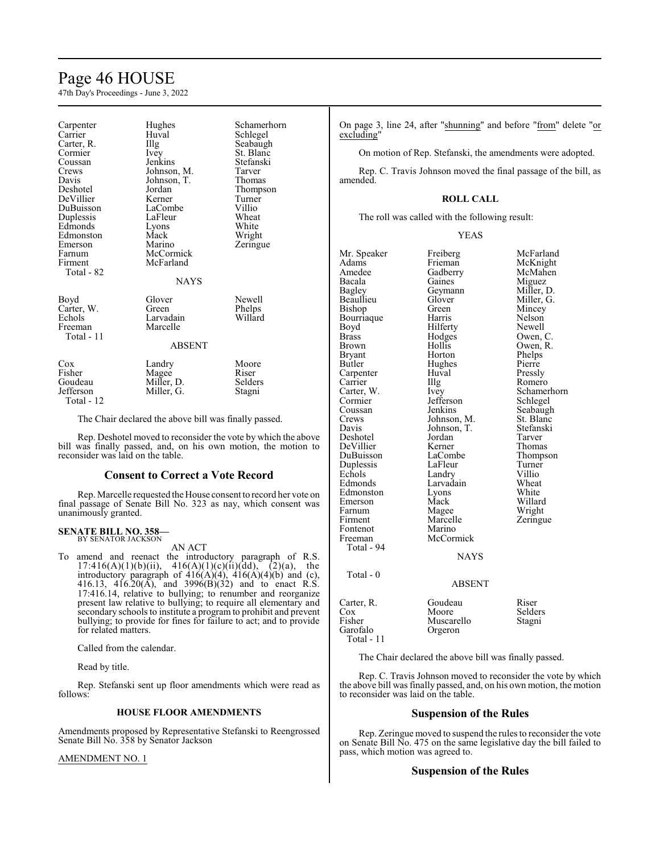# Page 46 HOUSE

47th Day's Proceedings - June 3, 2022

| Carpenter<br>Carrier<br>Carter, R.<br>Cormier<br>Coussan<br>Crews<br>Davis<br>Deshotel<br>DeVillier<br>DuBuisson<br>Duplessis<br>Edmonds<br>Edmonston<br>Emerson<br>Farnum | Hughes<br>Huval<br>Illg<br>Ivey<br>Jenkins<br>Johnson, M.<br>Johnson, T.<br>Jordan<br>Kerner<br>LaCombe<br>LaFleur<br>Lyons<br>Mack<br>Marino<br>McCormick | Schamerhorn<br>Schlegel<br>Seabaugh<br>St. Blanc<br>Stefanski<br>Tarver<br>Thomas<br>Thompson<br>Turner<br>Villio<br>Wheat<br>White<br>Wright<br>Zeringue |
|----------------------------------------------------------------------------------------------------------------------------------------------------------------------------|------------------------------------------------------------------------------------------------------------------------------------------------------------|-----------------------------------------------------------------------------------------------------------------------------------------------------------|
| Firment<br>Total - 82                                                                                                                                                      | McFarland<br><b>NAYS</b>                                                                                                                                   |                                                                                                                                                           |
| Boyd<br>Carter, W.<br>Echols<br>Freeman<br>Total - 11                                                                                                                      | Glover<br>Green<br>Larvadain<br>Marcelle                                                                                                                   | Newell<br>Phelps<br>Willard                                                                                                                               |
|                                                                                                                                                                            | <b>ABSENT</b>                                                                                                                                              |                                                                                                                                                           |
| $\cos$<br>Fisher<br>Goudeau<br>Jefferson<br>Total - 12                                                                                                                     | Landry<br>Magee<br>Miller, D.<br>Miller, G.                                                                                                                | Moore<br>Riser<br>Selders<br>Stagni                                                                                                                       |

The Chair declared the above bill was finally passed.

Rep. Deshotel moved to reconsider the vote by which the above bill was finally passed, and, on his own motion, the motion to reconsider was laid on the table.

### **Consent to Correct a Vote Record**

Rep. Marcelle requested the House consent to record her vote on final passage of Senate Bill No. 323 as nay, which consent was unanimously granted.

### **SENATE BILL NO. 358—** BY SENATOR JACKSON

AN ACT

To amend and reenact the introductory paragraph of R.S. 17:416(A)(1)(b)(ii),  $416(A)(1)(c)(ii)(dd),$  (2)(a), the introductory paragraph of  $416(A)(4)$ ,  $416(A)(4)(b)$  and (c), 416.13, 416.20 $(A)$ , and 3996 $(B)(32)$  and to enact R.S. 17:416.14, relative to bullying; to renumber and reorganize present law relative to bullying; to require all elementary and secondary schools to institute a program to prohibit and prevent bullying; to provide for fines for failure to act; and to provide for related matters.

Called from the calendar.

Read by title.

Rep. Stefanski sent up floor amendments which were read as follows:

### **HOUSE FLOOR AMENDMENTS**

Amendments proposed by Representative Stefanski to Reengrossed Senate Bill No. 358 by Senator Jackson

AMENDMENT NO. 1

On page 3, line 24, after "shunning" and before "from" delete "or excluding'

On motion of Rep. Stefanski, the amendments were adopted.

Rep. C. Travis Johnson moved the final passage of the bill, as amended.

### **ROLL CALL**

The roll was called with the following result:

| Mr. Speaker<br>Adams<br>Amedee<br>Bacala<br>Bagley<br>Beaullieu<br>Bishop<br>Bourriaque<br>Boyd<br>Brass<br>Brown<br>Bryant<br>Butler<br>Carpenter<br>Carrier<br>Carter, W.<br>Cormier<br>Coussan<br>Crews<br>Davis<br>Deshotel<br>DeVillier<br>DuBuisson<br>Duplessis<br>Echols<br>Edmonds<br>Edmonston<br>Emerson<br>Farnum<br>Firment<br>Fontenot<br>Freeman<br>Total - 94<br>Total - 0 | Freiberg<br>Frieman<br>Gadberry<br>Gaines<br>Geymann<br>Glover<br>Green<br>Harris<br>Hilferty<br>Hodges<br>Hollis<br>Horton<br>Hughes<br>Huval<br>Illg<br>Ivey<br>Jefferson<br>Jenkins<br>Johnson, M.<br>Johnson, T.<br>Jordan<br>Kerner<br>LaCombe<br>LaFleur<br>Landry<br>Larvadain<br>Lyons<br>Mack<br>Magee<br>Marcelle<br>Marino<br>McCormick<br><b>NAYS</b><br>ABSENT | McFarland<br>McKnight<br>McMahen<br>Miguez<br>Miller, D.<br>Miller, G.<br>Mincey<br>Nelson<br>Newell<br>Owen, C.<br>Owen, R.<br>Phelps<br>Pierre<br>Pressly<br>Romero<br>Schamerhorn<br>Schlegel<br>Seabaugh<br>St. Blanc<br>Stefanski<br>Tarver<br>Thomas<br>Thompson<br>Turner<br>Villio<br>Wheat<br>White<br>Willard<br>Wright<br>Zeringue |
|--------------------------------------------------------------------------------------------------------------------------------------------------------------------------------------------------------------------------------------------------------------------------------------------------------------------------------------------------------------------------------------------|-----------------------------------------------------------------------------------------------------------------------------------------------------------------------------------------------------------------------------------------------------------------------------------------------------------------------------------------------------------------------------|-----------------------------------------------------------------------------------------------------------------------------------------------------------------------------------------------------------------------------------------------------------------------------------------------------------------------------------------------|
|                                                                                                                                                                                                                                                                                                                                                                                            |                                                                                                                                                                                                                                                                                                                                                                             |                                                                                                                                                                                                                                                                                                                                               |
|                                                                                                                                                                                                                                                                                                                                                                                            |                                                                                                                                                                                                                                                                                                                                                                             |                                                                                                                                                                                                                                                                                                                                               |
| Carter, R.<br>Cox<br>Fisher<br>Garofalo<br>Total - 11                                                                                                                                                                                                                                                                                                                                      | Goudeau<br>Moore<br>Muscarello<br>Orgeron                                                                                                                                                                                                                                                                                                                                   | Riser<br>Selders<br>Stagni                                                                                                                                                                                                                                                                                                                    |

The Chair declared the above bill was finally passed.

Rep. C. Travis Johnson moved to reconsider the vote by which the above bill was finally passed, and, on his own motion, the motion to reconsider was laid on the table.

## **Suspension of the Rules**

Rep. Zeringue moved to suspend the rules to reconsider the vote on Senate Bill No. 475 on the same legislative day the bill failed to pass, which motion was agreed to.

## **Suspension of the Rules**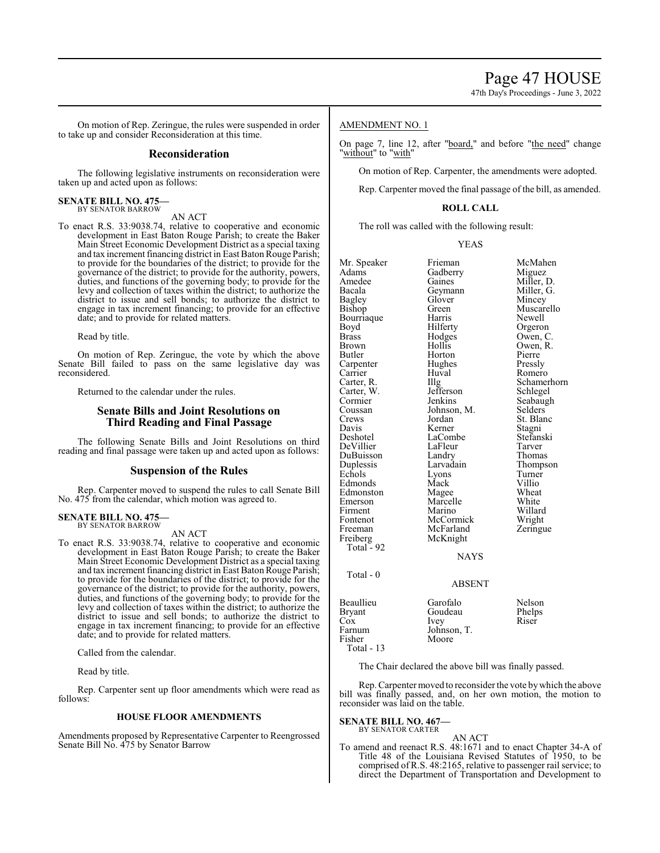47th Day's Proceedings - June 3, 2022

On motion of Rep. Zeringue, the rules were suspended in order to take up and consider Reconsideration at this time.

## **Reconsideration**

The following legislative instruments on reconsideration were taken up and acted upon as follows:

#### **SENATE BILL NO. 475—** BY SENATOR BARROW

AN ACT

To enact R.S. 33:9038.74, relative to cooperative and economic development in East Baton Rouge Parish; to create the Baker Main Street Economic Development District as a special taxing and tax increment financing district in East Baton Rouge Parish; to provide for the boundaries of the district; to provide for the governance of the district; to provide for the authority, powers, duties, and functions of the governing body; to provide for the levy and collection of taxes within the district; to authorize the district to issue and sell bonds; to authorize the district to engage in tax increment financing; to provide for an effective date; and to provide for related matters.

Read by title.

On motion of Rep. Zeringue, the vote by which the above Senate Bill failed to pass on the same legislative day was reconsidered.

Returned to the calendar under the rules.

## **Senate Bills and Joint Resolutions on Third Reading and Final Passage**

The following Senate Bills and Joint Resolutions on third reading and final passage were taken up and acted upon as follows:

### **Suspension of the Rules**

Rep. Carpenter moved to suspend the rules to call Senate Bill No. 475 from the calendar, which motion was agreed to.

#### **SENATE BILL NO. 475—** BY SENATOR BARROW

AN ACT

To enact R.S. 33:9038.74, relative to cooperative and economic development in East Baton Rouge Parish; to create the Baker Main Street Economic Development District as a special taxing and tax increment financing district in East Baton Rouge Parish; to provide for the boundaries of the district; to provide for the governance of the district; to provide for the authority, powers, duties, and functions of the governing body; to provide for the levy and collection of taxes within the district; to authorize the district to issue and sell bonds; to authorize the district to engage in tax increment financing; to provide for an effective date; and to provide for related matters.

Called from the calendar.

Read by title.

Rep. Carpenter sent up floor amendments which were read as follows:

## **HOUSE FLOOR AMENDMENTS**

Amendments proposed by Representative Carpenter to Reengrossed Senate Bill No. 475 by Senator Barrow

## AMENDMENT NO. 1

On page 7, line 12, after "board," and before "the need" change "without" to "with"

On motion of Rep. Carpenter, the amendments were adopted.

Rep. Carpenter moved the final passage of the bill, as amended.

### **ROLL CALL**

The roll was called with the following result:

YEAS

| Mr. Speaker   | Frieman       | McMahen     |
|---------------|---------------|-------------|
| Adams         | Gadberry      | Miguez      |
| Amedee        | Gaines        | Miller, D.  |
| Bacala        | Geymann       | Miller, G.  |
| Bagley        | Glover        | Mincey      |
| Bishop        | Green         | Muscarello  |
| Bourriaque    | Harris        | Newell      |
| Boyd          | Hilferty      | Orgeron     |
| Brass         | Hodges        | Owen, C.    |
| Brown         | Hollis        | Owen, R.    |
| Butler        | Horton        | Pierre      |
|               |               |             |
| Carpenter     | Hughes        | Pressly     |
| Carrier       | Huval         | Romero      |
| Carter, R.    | $\prod$ llg   | Schamerhorn |
| Carter, W.    | Jefferson     | Schlegel    |
| Cormier       | Jenkins       | Seabaugh    |
| Coussan       | Johnson, M.   | Selders     |
| Crews         | Jordan        | St. Blanc   |
| Davis         | Kerner        | Stagni      |
| Deshotel      | LaCombe       | Stefanski   |
| DeVillier     | LaFleur       | Tarver      |
| DuBuisson     | Landry        | Thomas      |
| Duplessis     | Larvadain     | Thompson    |
| Echols        | Lyons         | Turner      |
| Edmonds       | Mack          | Villio      |
|               |               | Wheat       |
| Edmonston     | Magee         |             |
| Emerson       | Marcelle      | White       |
| Firment       | Marino        | Willard     |
| Fontenot      | McCormick     | Wright      |
| Freeman       | McFarland     | Zeringue    |
| Freiberg      | McKnight      |             |
| Total - 92    |               |             |
|               | <b>NAYS</b>   |             |
|               |               |             |
| Total - $0$   |               |             |
|               | <b>ABSENT</b> |             |
| Beaullieu     | Garofalo      | Nelson      |
| <b>Bryant</b> | Goudeau       | Phelps      |
| $\cos$        | Ivey          | Riser       |
| Farnum        |               |             |
|               | Johnson, T.   |             |
| Fisher        | Moore         |             |
| Total $-13$   |               |             |

The Chair declared the above bill was finally passed.

Rep. Carpenter moved to reconsider the vote bywhich the above bill was finally passed, and, on her own motion, the motion to reconsider was laid on the table.

## **SENATE BILL NO. 467—**

BY SENATOR CARTER

AN ACT To amend and reenact R.S. 48:1671 and to enact Chapter 34-A of Title 48 of the Louisiana Revised Statutes of 1950, to be comprised of R.S. 48:2165, relative to passenger rail service; to direct the Department of Transportation and Development to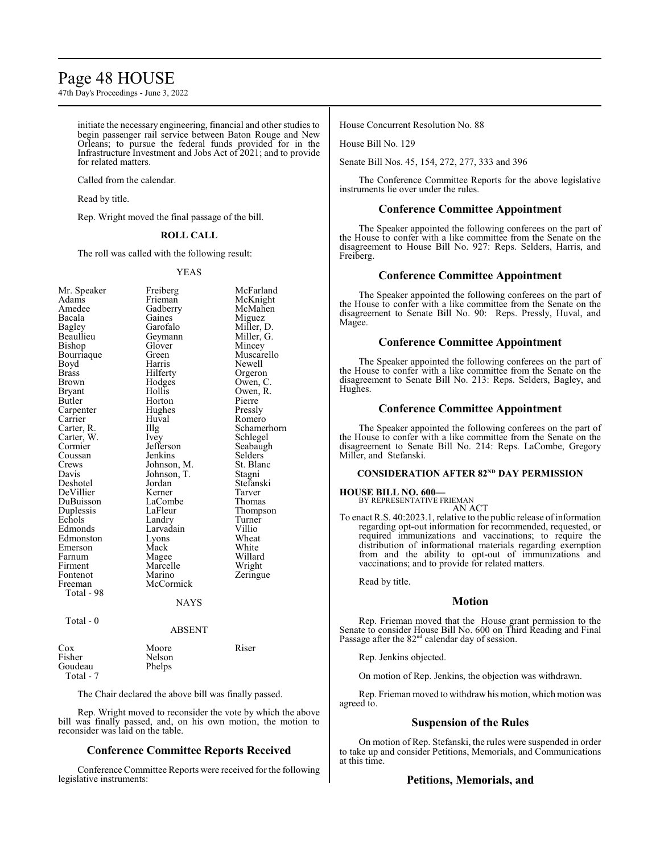## Page 48 HOUSE

47th Day's Proceedings - June 3, 2022

initiate the necessary engineering, financial and other studies to begin passenger rail service between Baton Rouge and New Orleans; to pursue the federal funds provided for in the Infrastructure Investment and Jobs Act of 2021; and to provide for related matters.

Called from the calendar.

Read by title.

Rep. Wright moved the final passage of the bill.

## **ROLL CALL**

The roll was called with the following result:

### YEAS

| Mr. Speaker  | Freiberg    | McFarland   |
|--------------|-------------|-------------|
| Adams        | Frieman     | McKnight    |
| Amedee       | Gadberry    | McMahen     |
| Bacala       | Gaines      | Miguez      |
| Bagley       | Garofalo    | Miller, D.  |
| Beaullieu    | Geymann     | Miller, G.  |
| Bishop       | Glover      | Mincey      |
| Bourriaque   | Green       | Muscarello  |
| Boyd         | Harris      | Newell      |
| Brass        | Hilferty    | Orgeron     |
| <b>Brown</b> | Hodges      | Owen, C.    |
| Bryant       | Hollis      | Owen, R.    |
| Butler       | Horton      | Pierre      |
| Carpenter    | Hughes      | Pressly     |
| Carrier      | Huval       | Romero      |
| Carter, R.   | Illg        | Schamerhorn |
| Carter, W.   | Ivey        | Schlegel    |
| Cormier      | Jefferson   | Seabaugh    |
| Coussan      | Jenkins     | Selders     |
| Crews        | Johnson, M. | St. Blanc   |
| Davis        | Johnson, T. | Stagni      |
| Deshotel     | Jordan      | Stefanski   |
| DeVillier    | Kerner      | Tarver      |
| DuBuisson    | LaCombe     | Thomas      |
| Duplessis    | LaFleur     | Thompson    |
| Echols       | Landry      | Turner      |
| Edmonds      | Larvadain   | Villio      |
| Edmonston    | Lyons       | Wheat       |
| Emerson      | Mack        | White       |
| Farnum       | Magee       | Willard     |
| Firment      | Marcelle    | Wright      |
| Fontenot     | Marino      | Zeringue    |
| Freeman      | McCormick   |             |
| Total - 98   |             |             |
|              | <b>NAYS</b> |             |
| Total - 0    |             |             |
|              | ABSENT      |             |
|              |             |             |

| Cox       | Moore  | Riser |
|-----------|--------|-------|
| Fisher    | Nelson |       |
| Goudeau   | Phelps |       |
| Total - 7 |        |       |

The Chair declared the above bill was finally passed.

Rep. Wright moved to reconsider the vote by which the above bill was finally passed, and, on his own motion, the motion to reconsider was laid on the table.

## **Conference Committee Reports Received**

Conference Committee Reports were received for the following legislative instruments:

House Concurrent Resolution No. 88

House Bill No. 129

Senate Bill Nos. 45, 154, 272, 277, 333 and 396

The Conference Committee Reports for the above legislative instruments lie over under the rules.

### **Conference Committee Appointment**

The Speaker appointed the following conferees on the part of the House to confer with a like committee from the Senate on the disagreement to House Bill No. 927: Reps. Selders, Harris, and Freiberg.

## **Conference Committee Appointment**

The Speaker appointed the following conferees on the part of the House to confer with a like committee from the Senate on the disagreement to Senate Bill No. 90: Reps. Pressly, Huval, and Magee.

## **Conference Committee Appointment**

The Speaker appointed the following conferees on the part of the House to confer with a like committee from the Senate on the disagreement to Senate Bill No. 213: Reps. Selders, Bagley, and Hughes.

## **Conference Committee Appointment**

The Speaker appointed the following conferees on the part of the House to confer with a like committee from the Senate on the disagreement to Senate Bill No. 214: Reps. LaCombe, Gregory Miller, and Stefanski.

### **CONSIDERATION AFTER 82<sup>ND</sup> DAY PERMISSION**

## **HOUSE BILL NO. 600—**

BY REPRESENTATIVE FRIEMAN AN ACT

To enact R.S. 40:2023.1, relative to the public release of information regarding opt-out information for recommended, requested, or required immunizations and vaccinations; to require the distribution of informational materials regarding exemption from and the ability to opt-out of immunizations and vaccinations; and to provide for related matters.

Read by title.

## **Motion**

Rep. Frieman moved that the House grant permission to the Senate to consider House Bill No. 600 on Third Reading and Final Passage after the 82<sup>nd</sup> calendar day of session.

Rep. Jenkins objected.

On motion of Rep. Jenkins, the objection was withdrawn.

Rep. Frieman moved to withdrawhis motion, which motion was agreed to.

## **Suspension of the Rules**

On motion of Rep. Stefanski, the rules were suspended in order to take up and consider Petitions, Memorials, and Communications at this time.

## **Petitions, Memorials, and**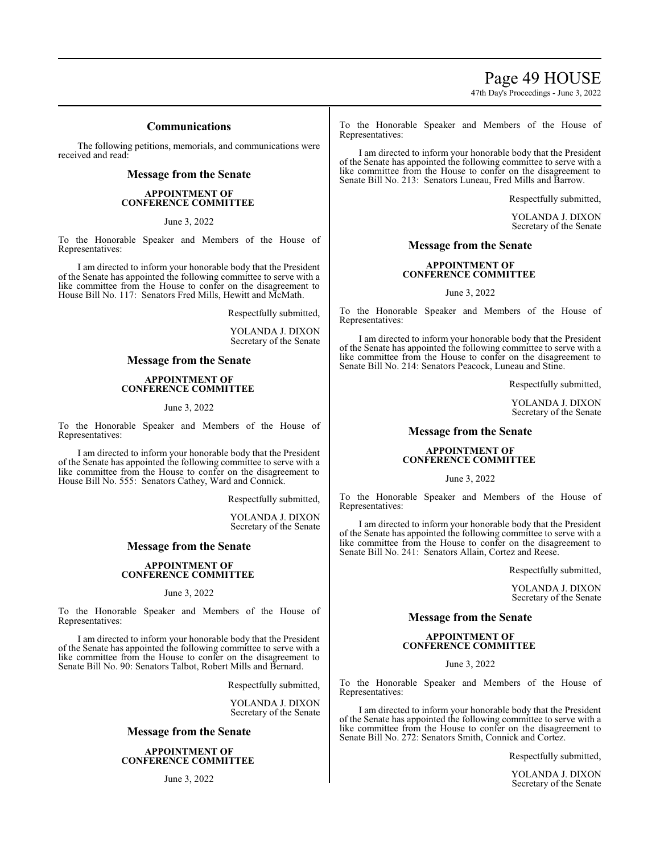Page 49 HOUSE

47th Day's Proceedings - June 3, 2022

## **Communications**

The following petitions, memorials, and communications were received and read:

## **Message from the Senate**

## **APPOINTMENT OF CONFERENCE COMMITTEE**

June 3, 2022

To the Honorable Speaker and Members of the House of Representatives:

I am directed to inform your honorable body that the President of the Senate has appointed the following committee to serve with a like committee from the House to confer on the disagreement to House Bill No. 117: Senators Fred Mills, Hewitt and McMath.

Respectfully submitted,

YOLANDA J. DIXON Secretary of the Senate

## **Message from the Senate**

### **APPOINTMENT OF CONFERENCE COMMITTEE**

June 3, 2022

To the Honorable Speaker and Members of the House of Representatives:

I am directed to inform your honorable body that the President of the Senate has appointed the following committee to serve with a like committee from the House to confer on the disagreement to House Bill No. 555: Senators Cathey, Ward and Connick.

Respectfully submitted,

YOLANDA J. DIXON Secretary of the Senate

## **Message from the Senate**

### **APPOINTMENT OF CONFERENCE COMMITTEE**

### June 3, 2022

To the Honorable Speaker and Members of the House of Representatives:

I am directed to inform your honorable body that the President of the Senate has appointed the following committee to serve with a like committee from the House to confer on the disagreement to Senate Bill No. 90: Senators Talbot, Robert Mills and Bernard.

Respectfully submitted,

YOLANDA J. DIXON Secretary of the Senate

## **Message from the Senate**

**APPOINTMENT OF CONFERENCE COMMITTEE** 

June 3, 2022

To the Honorable Speaker and Members of the House of Representatives:

I am directed to inform your honorable body that the President of the Senate has appointed the following committee to serve with a like committee from the House to confer on the disagreement to Senate Bill No. 213: Senators Luneau, Fred Mills and Barrow.

Respectfully submitted,

YOLANDA J. DIXON Secretary of the Senate

## **Message from the Senate**

## **APPOINTMENT OF CONFERENCE COMMITTEE**

June 3, 2022

To the Honorable Speaker and Members of the House of Representatives:

I am directed to inform your honorable body that the President of the Senate has appointed the following committee to serve with a like committee from the House to confer on the disagreement to Senate Bill No. 214: Senators Peacock, Luneau and Stine.

Respectfully submitted,

YOLANDA J. DIXON Secretary of the Senate

## **Message from the Senate**

### **APPOINTMENT OF CONFERENCE COMMITTEE**

June 3, 2022

To the Honorable Speaker and Members of the House of Representatives:

I am directed to inform your honorable body that the President of the Senate has appointed the following committee to serve with a like committee from the House to confer on the disagreement to Senate Bill No. 241: Senators Allain, Cortez and Reese.

Respectfully submitted,

YOLANDA J. DIXON Secretary of the Senate

## **Message from the Senate**

## **APPOINTMENT OF CONFERENCE COMMITTEE**

June 3, 2022

To the Honorable Speaker and Members of the House of Representatives:

I am directed to inform your honorable body that the President of the Senate has appointed the following committee to serve with a like committee from the House to confer on the disagreement to Senate Bill No. 272: Senators Smith, Connick and Cortez.

Respectfully submitted,

YOLANDA J. DIXON Secretary of the Senate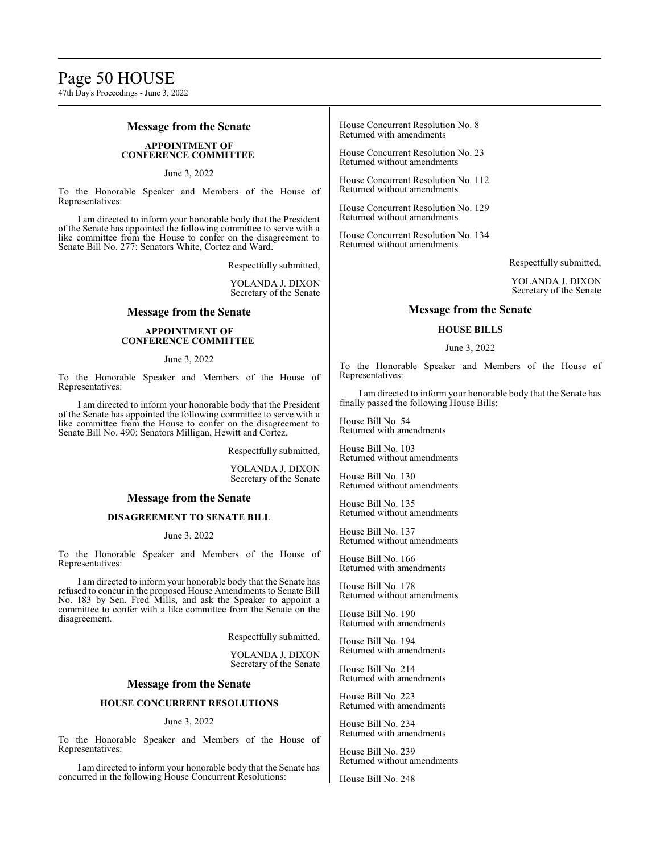## **Message from the Senate**

## **APPOINTMENT OF CONFERENCE COMMITTEE**

June 3, 2022

To the Honorable Speaker and Members of the House of Representatives:

I am directed to inform your honorable body that the President of the Senate has appointed the following committee to serve with a like committee from the House to confer on the disagreement to Senate Bill No. 277: Senators White, Cortez and Ward.

Respectfully submitted,

YOLANDA J. DIXON Secretary of the Senate

### **Message from the Senate**

### **APPOINTMENT OF CONFERENCE COMMITTEE**

### June 3, 2022

To the Honorable Speaker and Members of the House of Representatives:

I am directed to inform your honorable body that the President of the Senate has appointed the following committee to serve with a like committee from the House to confer on the disagreement to Senate Bill No. 490: Senators Milligan, Hewitt and Cortez.

Respectfully submitted,

YOLANDA J. DIXON Secretary of the Senate

## **Message from the Senate**

## **DISAGREEMENT TO SENATE BILL**

### June 3, 2022

To the Honorable Speaker and Members of the House of Representatives:

I am directed to inform your honorable body that the Senate has refused to concur in the proposed House Amendments to Senate Bill No. 183 by Sen. Fred Mills, and ask the Speaker to appoint a committee to confer with a like committee from the Senate on the disagreement.

Respectfully submitted,

YOLANDA J. DIXON Secretary of the Senate

### **Message from the Senate**

## **HOUSE CONCURRENT RESOLUTIONS**

### June 3, 2022

To the Honorable Speaker and Members of the House of Representatives:

I am directed to inform your honorable body that the Senate has concurred in the following House Concurrent Resolutions:

House Concurrent Resolution No. 8 Returned with amendments

House Concurrent Resolution No. 23 Returned without amendments

House Concurrent Resolution No. 112 Returned without amendments

House Concurrent Resolution No. 129 Returned without amendments

House Concurrent Resolution No. 134 Returned without amendments

Respectfully submitted,

YOLANDA J. DIXON Secretary of the Senate

### **Message from the Senate**

### **HOUSE BILLS**

### June 3, 2022

To the Honorable Speaker and Members of the House of Representatives:

I am directed to inform your honorable body that the Senate has finally passed the following House Bills:

House Bill No. 54 Returned with amendments

House Bill No. 103 Returned without amendments

House Bill No. 130 Returned without amendments

House Bill No. 135 Returned without amendments

House Bill No. 137 Returned without amendments

House Bill No. 166 Returned with amendments

House Bill No. 178 Returned without amendments

House Bill No. 190 Returned with amendments

House Bill No. 194 Returned with amendments

House Bill No. 214 Returned with amendments

House Bill No. 223 Returned with amendments

House Bill No. 234 Returned with amendments

House Bill No. 239 Returned without amendments

House Bill No. 248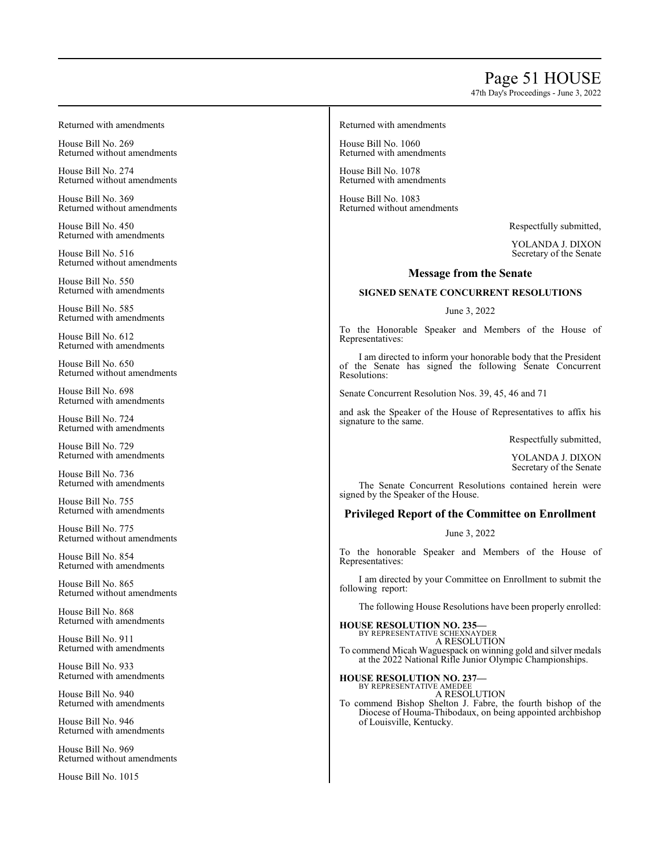# Page 5 1 HOUSE

47th Da y's Pro c e edings - June 3, 2022

Retu rned with amen d ments

House Bill No. 2 6 9 Returned without amendments

House Bill No. 2 7 4 Returned without amendments

House Bill No. 3 6 9 Returned without amendments

House Bill No. 4 5 0 Retu rned with amen d ments

House Bill No. 5 1 6 Returned without amendments

House Bill No. 5 5 0 Retu rned with amen d ments

House Bill No. 5 8 5 Retu rned with amen d ments

House Bill No. 6 1 2 Retu rned with amen d ments

House Bill No. 6 5 0 Returned without amendments

House Bill No. 6 9 8 Retu rned with amen d ments

House Bill No. 7 2 4 Retu rned with amen d ments

House Bill No. 7 2 9 Retu rned with amen d ments

House Bill No. 7 3 6 Retu rned with amen d ments

House Bill No. 7 5 5 Retu rned with amen d ments

House Bill No. 7 7 5 Returned without amendments

House Bill No. 8 5 4 Retu rned with amen d ments

House Bill No. 8 6 5 Returned without amendments

House Bill No. 8 6 8 Retu rned with amen d ments

House Bill No. 9 1 1 Retu rned with amen d ments

House Bill No. 9 3 3 Retu rned with amen d ments

House Bill No. 9 4 0 Retu rned with amen d ments

House Bill No. 9 4 6 Retu rned with amen d ments

House Bill No. 9 6 9 Returned without amendments

House Bill No. 1 0 1 5

Retu rned with amen d ments

Ho use Bill No. 1 0 6 0 Retu rned with amen d ments

Ho use Bill No. 1 0 7 8 Retu rned with amen d ments

Ho use Bill No. 1 0 8 3 Retu rned without amendments

Resp ectfully su b mitted ,

YOL ANDA J. DIXON Secretary o f the Senate

## **Message from the Senate**

## **SIGNED SENATE CONCURRENT RESOLUTIONS**

## June 3, 2022

To the Honorable Speaker and Members of the House of Representatives:

I am directed to inform your honorable body that the President of the Senate has signed the following Senate Concurrent Resolutio ns:

Senate Co ncurrent Resolutio n Nos. 3 9, 4 5, 4 6 an d 7 1

an d ask the Sp e a k e r of the House o f Representatives to affix his signature to the same.

Resp ectfully su b mitted ,

YOL ANDA J. DIXON Secretary o f the Senate

The Senate Concurrent Resolutions contained herein were sig ned b y th e Speak er o f the House.

## **Privileged Report of the Committee on Enrollment**

## June 3, 2022

T o th e honorable Speaker an d Members o f the Ho use o f Representatives:

I am directed by your Committee on Enrollment to submit the follo win g rep ort:

The following House Resolutions have been properly enrolled:

**HOUSE RESOLUTION NO. 2 3 5** I**SE RESOLUTION NO. 235—**<br>by representative schexnayder

A RESOLUTION To commend Micah Waguespack on winning gold and silver medals at the 2 0 2 2 Natio nal Rifle Junior Olympic Champio nships.

**HOUSE RESOLUTION NO. 2 3 7 —** BY REPRESENTATIVE AMEDEE

A RESOLUTION

To commend Bishop Shelton J. Fabre, the fourth bishop of the Diocese o f H o u ma-Thib o dau x, o n bein g ap p ointed arch bish o p o f L o uisville, Kentucky .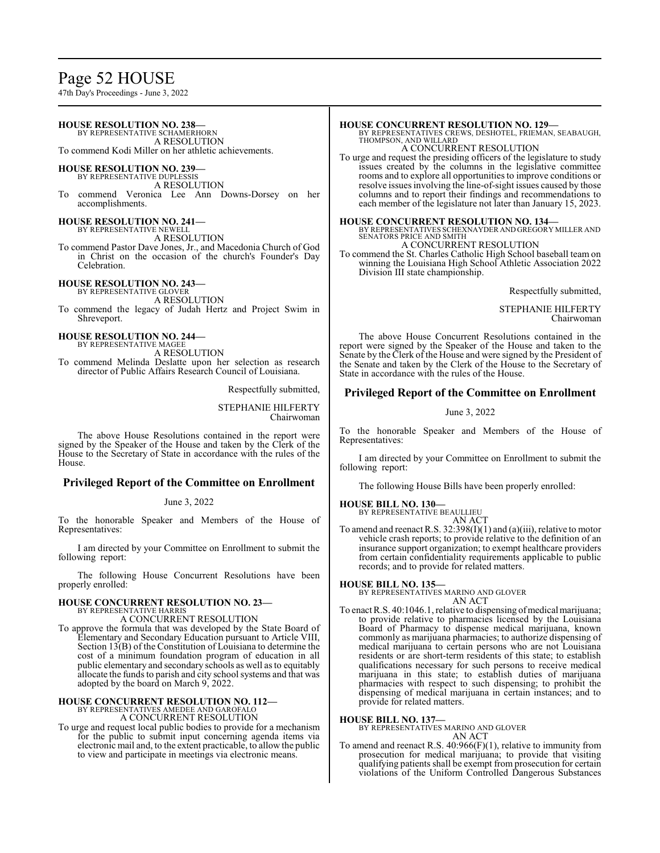## Page 52 HOUSE

47th Day's Proceedings - June 3, 2022

### **HOUSE RESOLUTION NO. 238—** BY REPRESENTATIVE SCHAMERHORN A RESOLUTION To commend Kodi Miller on her athletic achievements.

# **HOUSE RESOLUTION NO. 239—** BY REPRESENTATIVE DUPLESSIS

A RESOLUTION To commend Veronica Lee Ann Downs-Dorsey on her accomplishments.

**HOUSE RESOLUTION NO. 241—** BY REPRESENTATIVE NEWELL

A RESOLUTION

To commend Pastor Dave Jones, Jr., and Macedonia Church of God in Christ on the occasion of the church's Founder's Day Celebration.

**HOUSE RESOLUTION NO. 243—** BY REPRESENTATIVE GLOVER A RESOLUTION

To commend the legacy of Judah Hertz and Project Swim in Shreveport.

**HOUSE RESOLUTION NO. 244—** BY REPRESENTATIVE MAGEE A RESOLUTION

To commend Melinda Deslatte upon her selection as research director of Public Affairs Research Council of Louisiana.

Respectfully submitted,

STEPHANIE HILFERTY Chairwoman

The above House Resolutions contained in the report were signed by the Speaker of the House and taken by the Clerk of the House to the Secretary of State in accordance with the rules of the House.

## **Privileged Report of the Committee on Enrollment**

June 3, 2022

To the honorable Speaker and Members of the House of Representatives:

I am directed by your Committee on Enrollment to submit the following report:

The following House Concurrent Resolutions have been properly enrolled:

### **HOUSE CONCURRENT RESOLUTION NO. 23—** BY REPRESENTATIVE HARRIS

A CONCURRENT RESOLUTION

To approve the formula that was developed by the State Board of Elementary and Secondary Education pursuant to Article VIII, Section 13(B) of the Constitution of Louisiana to determine the cost of a minimum foundation program of education in all public elementary and secondary schools as well as to equitably allocate the funds to parish and city school systems and that was adopted by the board on March 9, 2022.

## **HOUSE CONCURRENT RESOLUTION NO. 112—**

BY REPRESENTATIVES AMEDEE AND GAROFALO A CONCURRENT RESOLUTION

- To urge and request local public bodies to provide for a mechanism
- for the public to submit input concerning agenda items via electronic mail and, to the extent practicable, to allow the public to view and participate in meetings via electronic means.

### **HOUSE CONCURRENT RESOLUTION NO. 129—**

BY REPRESENTATIVES CREWS, DESHOTEL, FRIEMAN, SEABAUGH, THOMPSON, AND WILLARD

A CONCURRENT RESOLUTION

To urge and request the presiding officers of the legislature to study issues created by the columns in the legislative committee rooms and to explore all opportunities to improve conditions or resolve issues involving the line-of-sight issues caused by those columns and to report their findings and recommendations to each member of the legislature not later than January 15, 2023.

**HOUSE CONCURRENT RESOLUTION NO. 134—** BY REPRESENTATIVES SCHEXNAYDER AND GREGORY MILLER AND SENATORS PRICE AND SMITH A CONCURRENT RESOLUTION

To commend the St. Charles Catholic High School baseball team on winning the Louisiana High School Athletic Association 2022 Division III state championship.

Respectfully submitted,

STEPHANIE HILFERTY Chairwoman

The above House Concurrent Resolutions contained in the report were signed by the Speaker of the House and taken to the Senate by the Clerk of the House and were signed by the President of the Senate and taken by the Clerk of the House to the Secretary of State in accordance with the rules of the House.

## **Privileged Report of the Committee on Enrollment**

### June 3, 2022

To the honorable Speaker and Members of the House of Representatives:

I am directed by your Committee on Enrollment to submit the following report:

The following House Bills have been properly enrolled:

**HOUSE BILL NO. 130—** BY REPRESENTATIVE BEAULLIEU

- AN ACT
- To amend and reenact R.S. 32:398(I)(1) and (a)(iii), relative to motor vehicle crash reports; to provide relative to the definition of an insurance support organization; to exempt healthcare providers from certain confidentiality requirements applicable to public records; and to provide for related matters.

# **HOUSE BILL NO. 135—** BY REPRESENTATIVES MARINO AND GLOVER

AN ACT

To enact R.S. 40:1046.1, relative to dispensing of medical marijuana; to provide relative to pharmacies licensed by the Louisiana Board of Pharmacy to dispense medical marijuana, known commonly as marijuana pharmacies; to authorize dispensing of medical marijuana to certain persons who are not Louisiana residents or are short-term residents of this state; to establish qualifications necessary for such persons to receive medical marijuana in this state; to establish duties of marijuana pharmacies with respect to such dispensing; to prohibit the dispensing of medical marijuana in certain instances; and to provide for related matters.

### **HOUSE BILL NO. 137—**

BY REPRESENTATIVES MARINO AND GLOVER AN ACT

To amend and reenact R.S. 40:966(F)(1), relative to immunity from prosecution for medical marijuana; to provide that visiting qualifying patients shall be exempt from prosecution for certain violations of the Uniform Controlled Dangerous Substances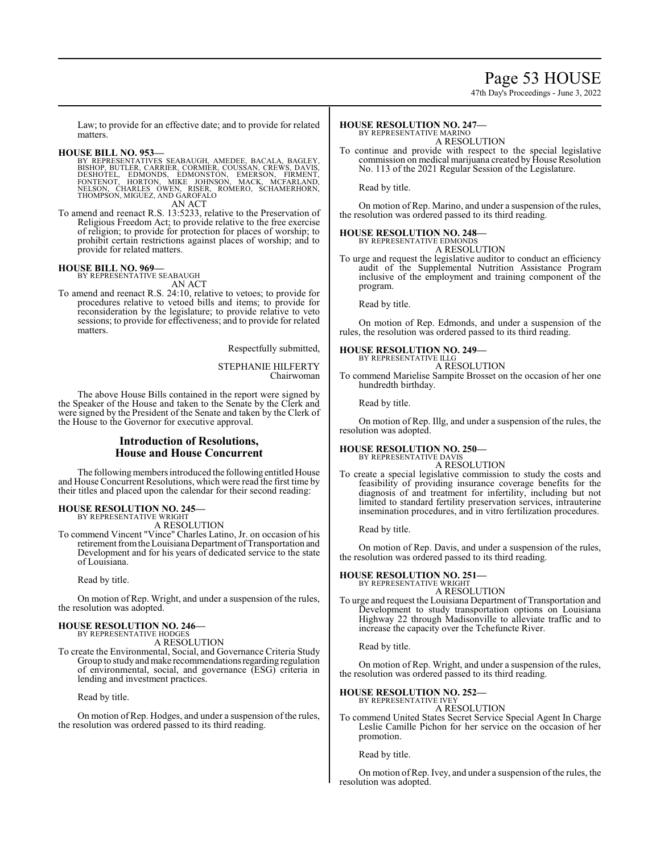## Page 53 HOUSE

47th Day's Proceedings - June 3, 2022

Law; to provide for an effective date; and to provide for related matters.

**HOUSE BILL NO. 953—**<br>BY REPRESENTATIVES SEABAUGH, AMEDEE, BACALA, BAGLEY,<br>BISHOP, BUTLER, CARRIER, CORMIER, COUSSAN, CREWS, DAVIS,<br>DESHOTEL, EDMONDS, EDMONSTON, EMERSON, FIRMENT,<br>FONTENOT, HORTON, MIKE JOHNSON, MACK, MCFA

To amend and reenact R.S. 13:5233, relative to the Preservation of Religious Freedom Act; to provide relative to the free exercise of religion; to provide for protection for places of worship; to prohibit certain restrictions against places of worship; and to provide for related matters.

**HOUSE BILL NO. 969—** BY REPRESENTATIVE SEABAUGH AN ACT

To amend and reenact R.S. 24:10, relative to vetoes; to provide for procedures relative to vetoed bills and items; to provide for reconsideration by the legislature; to provide relative to veto sessions; to provide for effectiveness; and to provide for related matters.

Respectfully submitted,

STEPHANIE HILFERTY Chairwoman

The above House Bills contained in the report were signed by the Speaker of the House and taken to the Senate by the Clerk and were signed by the President of the Senate and taken by the Clerk of the House to the Governor for executive approval.

## **Introduction of Resolutions, House and House Concurrent**

The following members introduced the following entitled House and House Concurrent Resolutions, which were read the first time by their titles and placed upon the calendar for their second reading:

### **HOUSE RESOLUTION NO. 245—**

BY REPRESENTATIVE WRIGHT A RESOLUTION

To commend Vincent "Vince" Charles Latino, Jr. on occasion of his retirement from the Louisiana Department of Transportation and Development and for his years of dedicated service to the state of Louisiana.

Read by title.

On motion of Rep. Wright, and under a suspension of the rules, the resolution was adopted.

### **HOUSE RESOLUTION NO. 246—** BY REPRESENTATIVE HODGES

A RESOLUTION

To create the Environmental, Social, and Governance Criteria Study Group to study and make recommendations regarding regulation of environmental, social, and governance (ESG) criteria in lending and investment practices.

Read by title.

On motion of Rep. Hodges, and under a suspension of the rules, the resolution was ordered passed to its third reading.

#### **HOUSE RESOLUTION NO. 247—** BY REPRESENTATIVE MARINO

A RESOLUTION

To continue and provide with respect to the special legislative commission on medical marijuana created by House Resolution No. 113 of the 2021 Regular Session of the Legislature.

Read by title.

On motion of Rep. Marino, and under a suspension of the rules, the resolution was ordered passed to its third reading.

### **HOUSE RESOLUTION NO. 248—**

BY REPRESENTATIVE EDMONDS A RESOLUTION

To urge and request the legislative auditor to conduct an efficiency audit of the Supplemental Nutrition Assistance Program inclusive of the employment and training component of the program.

Read by title.

On motion of Rep. Edmonds, and under a suspension of the rules, the resolution was ordered passed to its third reading.

### **HOUSE RESOLUTION NO. 249—** BY REPRESENTATIVE ILLG

A RESOLUTION

To commend Marielise Sampite Brosset on the occasion of her one hundredth birthday.

Read by title.

On motion of Rep. Illg, and under a suspension of the rules, the resolution was adopted.

### **HOUSE RESOLUTION NO. 250—** BY REPRESENTATIVE DAVIS

### A RESOLUTION

To create a special legislative commission to study the costs and feasibility of providing insurance coverage benefits for the diagnosis of and treatment for infertility, including but not limited to standard fertility preservation services, intrauterine insemination procedures, and in vitro fertilization procedures.

Read by title.

On motion of Rep. Davis, and under a suspension of the rules, the resolution was ordered passed to its third reading.

## **HOUSE RESOLUTION NO. 251—** BY REPRESENTATIVE WRIGHT

A RESOLUTION

To urge and request the Louisiana Department of Transportation and Development to study transportation options on Louisiana Highway 22 through Madisonville to alleviate traffic and to increase the capacity over the Tchefuncte River.

Read by title.

On motion of Rep. Wright, and under a suspension of the rules, the resolution was ordered passed to its third reading.

## **HOUSE RESOLUTION NO. 252—**

BY REPRESENTATIVE IVEY A RESOLUTION

To commend United States Secret Service Special Agent In Charge Leslie Camille Pichon for her service on the occasion of her promotion.

Read by title.

On motion ofRep. Ivey, and under a suspension of the rules, the resolution was adopted.